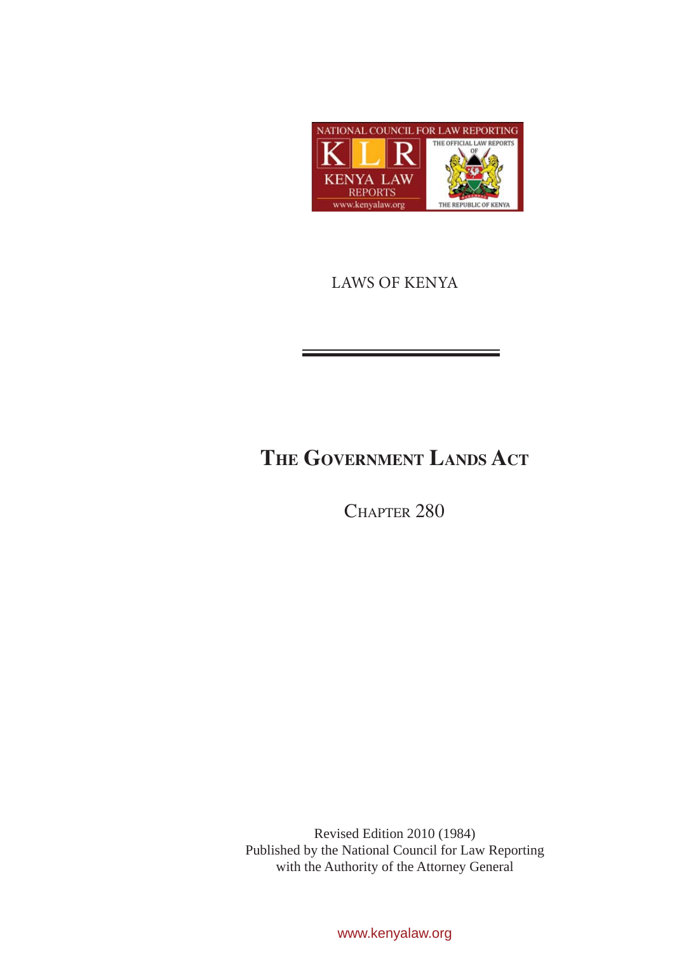

LAWS OF KENYA

# **The Government Lands Act**

CHAPTER 280

Revised Edition 2010 (1984) Published by the National Council for Law Reporting with the Authority of the Attorney General

www.kenyalaw.org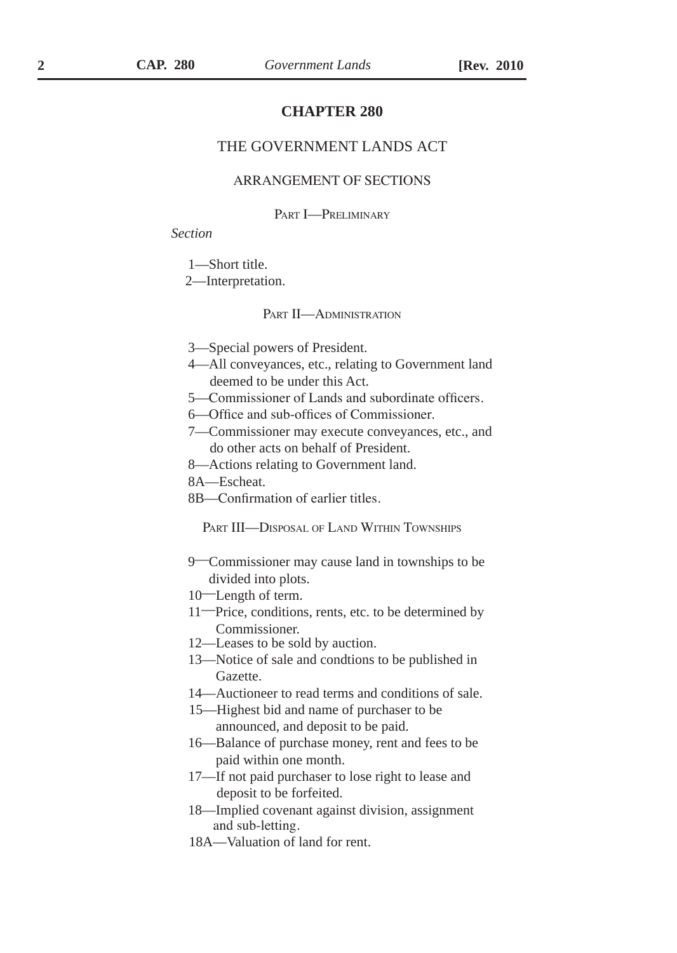# **CHAPTER 280**

# THE GOVERNMENT LANDS ACT

# ARRANGEMENT OF SECTIONS

#### PART **I**-PRELIMINARY

## *Section*

1—Short title.

2—Interpretation.

#### PART II—ADMINISTRATION

- 3—Special powers of President.
- 4—All conveyances, etc., relating to Government land deemed to be under this Act.
- 5—Commissioner of Lands and subordinate officers.
- 6—Office and sub-offices of Commissioner.
- 7—Commissioner may execute conveyances, etc., and do other acts on behalf of President.
- 8—Actions relating to Government land.
- 8A—Escheat.
- 8B—Confirmation of earlier titles.

Part III—Disposal of Land Within Townships

- 9—Commissioner may cause land in townships to be divided into plots.
- 10—Length of term.
- 11—Price, conditions, rents, etc. to be determined by Commissioner.
- 12—Leases to be sold by auction.
- 13—Notice of sale and condtions to be published in Gazette.
- 14—Auctioneer to read terms and conditions of sale.
- 15—Highest bid and name of purchaser to be announced, and deposit to be paid.
- 16—Balance of purchase money, rent and fees to be paid within one month.
- 17—If not paid purchaser to lose right to lease and deposit to be forfeited.
- 18—Implied covenant against division, assignment and sub-letting.
- 18A—Valuation of land for rent.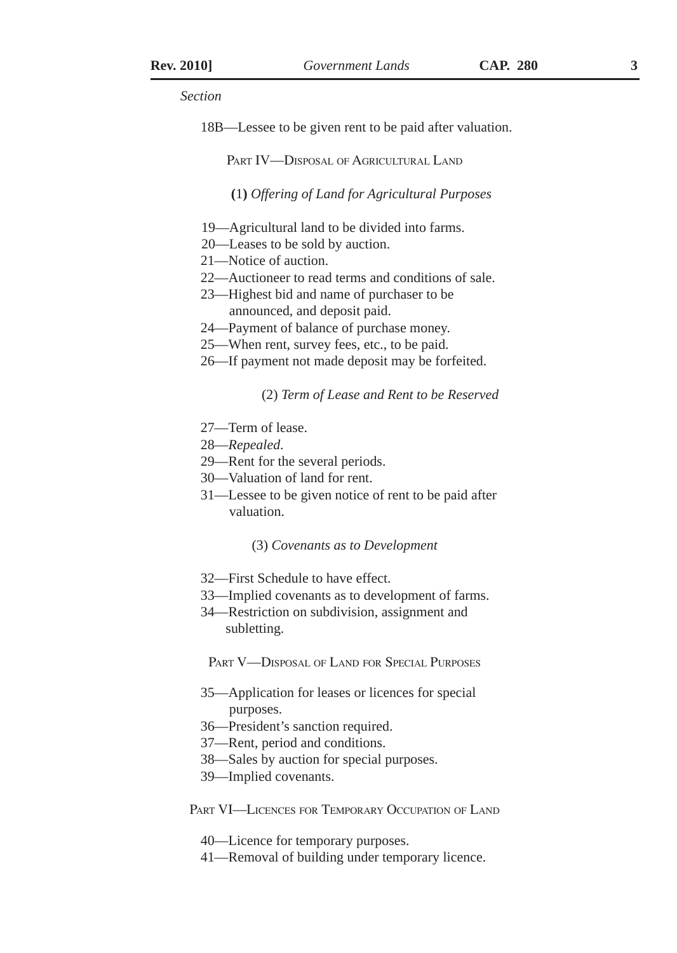18B—Lessee to be given rent to be paid after valuation.

PART **IV—DISPOSAL OF AGRICULTURAL LAND** 

**(**1**)** *Offering of Land for Agricultural Purposes*

- 19—Agricultural land to be divided into farms.
- 20—Leases to be sold by auction.
- 21—Notice of auction.
- 22—Auctioneer to read terms and conditions of sale.
- 23—Highest bid and name of purchaser to be announced, and deposit paid.
- 24—Payment of balance of purchase money.
- 25—When rent, survey fees, etc., to be paid.
- 26—If payment not made deposit may be forfeited.

#### (2) *Term of Lease and Rent to be Reserved*

- 27—Term of lease.
- 28—*Repealed*.
- 29—Rent for the several periods.
- 30—Valuation of land for rent.
- 31—Lessee to be given notice of rent to be paid after valuation.

#### (3) *Covenants as to Development*

- 32—First Schedule to have effect.
- 33—Implied covenants as to development of farms.
- 34—Restriction on subdivision, assignment and subletting.

Part V—Disposal of Land for Special Purposes

- 35—Application for leases or licences for special purposes.
- 36—President's sanction required.
- 37—Rent, period and conditions.
- 38—Sales by auction for special purposes.
- 39—Implied covenants.

PART VI—LICENCES FOR TEMPORARY OCCUPATION OF LAND

- 40—Licence for temporary purposes.
- 41—Removal of building under temporary licence.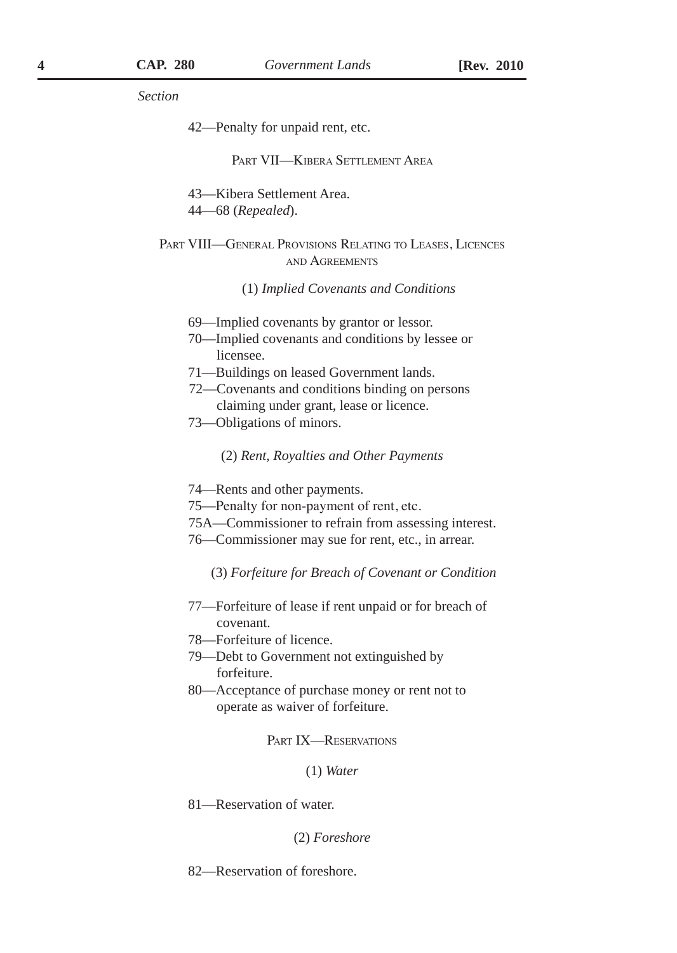42—Penalty for unpaid rent, etc.

#### Part VII—Kibera Settlement Area

43—Kibera Settlement Area. 44—68 (*Repealed*).

Part VIII—General Provisions Relating to Leases, Licences and Agreements

(1) *Implied Covenants and Conditions*

- 69—Implied covenants by grantor or lessor.
- 70—Implied covenants and conditions by lessee or licensee.
- 71—Buildings on leased Government lands.
- 72—Covenants and conditions binding on persons claiming under grant, lease or licence.
- 73—Obligations of minors.

(2) *Rent, Royalties and Other Payments*

- 74—Rents and other payments.
- 75—Penalty for non-payment of rent, etc.
- 75A—Commissioner to refrain from assessing interest.
- 76—Commissioner may sue for rent, etc., in arrear.
	- (3) *Forfeiture for Breach of Covenant or Condition*
- 77—Forfeiture of lease if rent unpaid or for breach of covenant.
- 78—Forfeiture of licence.
- 79—Debt to Government not extinguished by forfeiture.
- 80—Acceptance of purchase money or rent not to operate as waiver of forfeiture.

PART IX—RESERVATIONS

(1) *Water*

81—Reservation of water.

(2) *Foreshore*

82—Reservation of foreshore.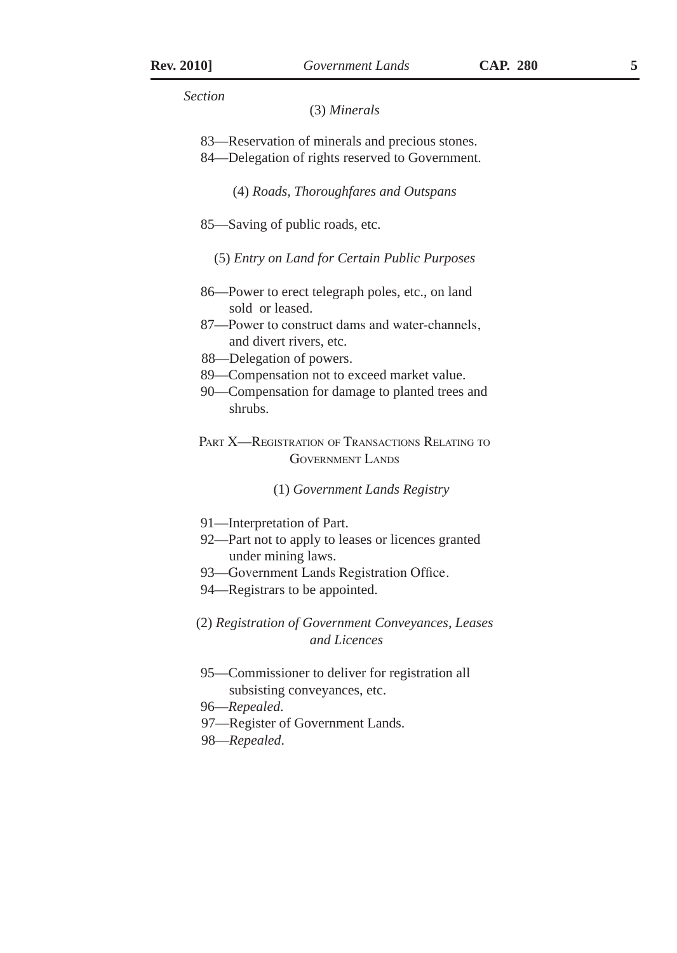#### (3) *Minerals*

- 83—Reservation of minerals and precious stones.
- 84—Delegation of rights reserved to Government.

(4) *Roads, Thoroughfares and Outspans*

- 85—Saving of public roads, etc.
	- (5) *Entry on Land for Certain Public Purposes*
- 86—Power to erect telegraph poles, etc., on land sold or leased.
- 87—Power to construct dams and water-channels, and divert rivers, etc.
- 88—Delegation of powers.
- 89—Compensation not to exceed market value.
- 90—Compensation for damage to planted trees and shrubs.
- PART **X—REGISTRATION OF TRANSACTIONS RELATING TO** Government Lands

## (1) *Government Lands Registry*

- 91—Interpretation of Part.
- 92—Part not to apply to leases or licences granted under mining laws.
- 93—Government Lands Registration Office.
- 94—Registrars to be appointed.
- (2) *Registration of Government Conveyances, Leases and Licences*
- 95—Commissioner to deliver for registration all subsisting conveyances, etc.
- 96—*Repealed*.
- 97—Register of Government Lands.
- 98—*Repealed*.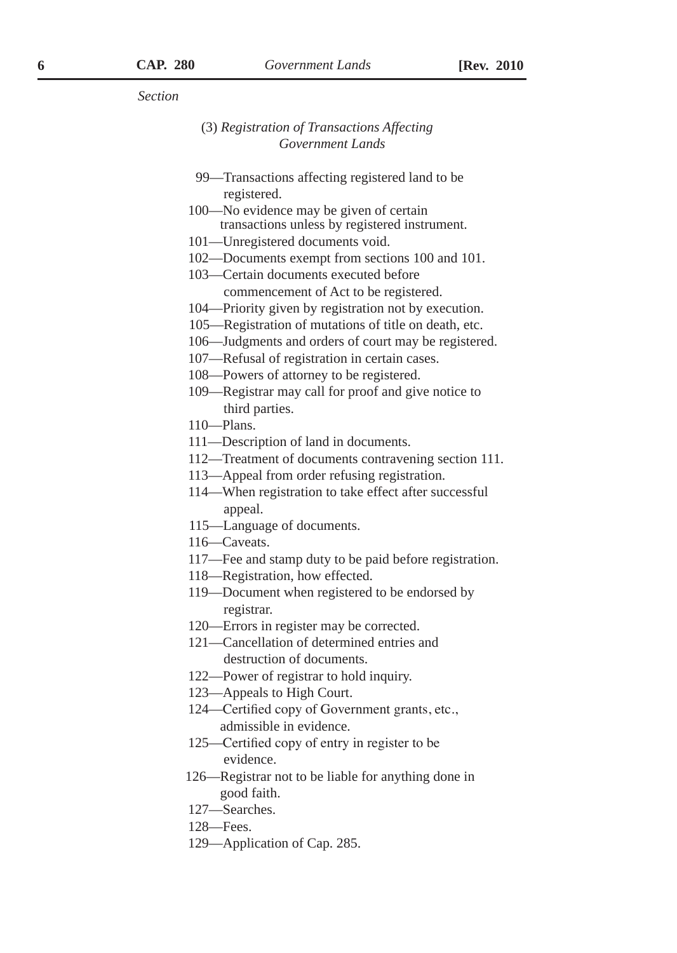# (3) *Registration of Transactions Affecting Government Lands*

- 99—Transactions affecting registered land to be registered.
- 100—No evidence may be given of certain transactions unless by registered instrument.
- 101—Unregistered documents void.
- 102—Documents exempt from sections 100 and 101.
- 103—Certain documents executed before commencement of Act to be registered.
- 104—Priority given by registration not by execution.
- 105—Registration of mutations of title on death, etc.
- 106—Judgments and orders of court may be registered.
- 107—Refusal of registration in certain cases.
- 108—Powers of attorney to be registered.
- 109—Registrar may call for proof and give notice to third parties.
- 110—Plans.
- 111—Description of land in documents.
- 112—Treatment of documents contravening section 111.
- 113—Appeal from order refusing registration.
- 114—When registration to take effect after successful appeal.
- 115—Language of documents.
- 116—Caveats.
- 117—Fee and stamp duty to be paid before registration.
- 118—Registration, how effected.
- 119—Document when registered to be endorsed by registrar.
- 120—Errors in register may be corrected.
- 121—Cancellation of determined entries and destruction of documents.
- 122—Power of registrar to hold inquiry.
- 123—Appeals to High Court.
- 124—Certified copy of Government grants, etc., admissible in evidence.
- 125—Certified copy of entry in register to be evidence.
- 126—Registrar not to be liable for anything done in good faith.
- 127—Searches.
- 128—Fees.
- 129—Application of Cap. 285.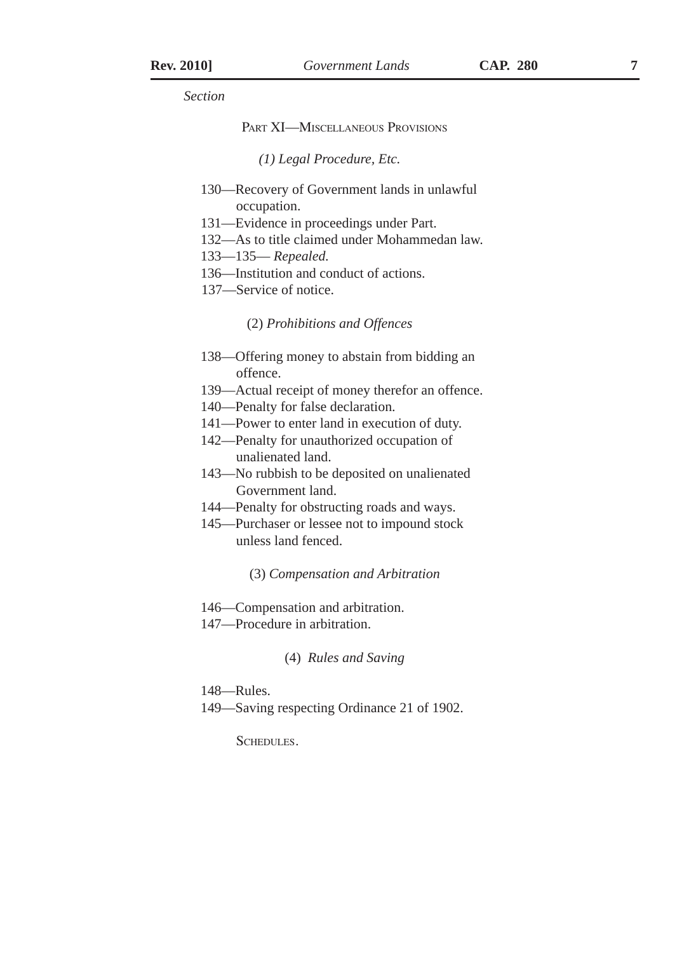#### Part XI—Miscellaneous Provisions

*(1) Legal Procedure, Etc.*

- 130—Recovery of Government lands in unlawful occupation.
- 131—Evidence in proceedings under Part.
- 132—As to title claimed under Mohammedan law.
- 133—135— *Repealed.*
- 136—Institution and conduct of actions.
- 137—Service of notice.

(2) *Prohibitions and Offences*

- 138—Offering money to abstain from bidding an offence.
- 139—Actual receipt of money therefor an offence.
- 140—Penalty for false declaration.
- 141—Power to enter land in execution of duty.
- 142—Penalty for unauthorized occupation of unalienated land.
- 143—No rubbish to be deposited on unalienated Government land.
- 144—Penalty for obstructing roads and ways.
- 145—Purchaser or lessee not to impound stock unless land fenced.

(3) *Compensation and Arbitration*

- 146—Compensation and arbitration.
- 147—Procedure in arbitration.

(4) *Rules and Saving*

- 148—Rules.
- 149—Saving respecting Ordinance 21 of 1902.

SCHEDULES.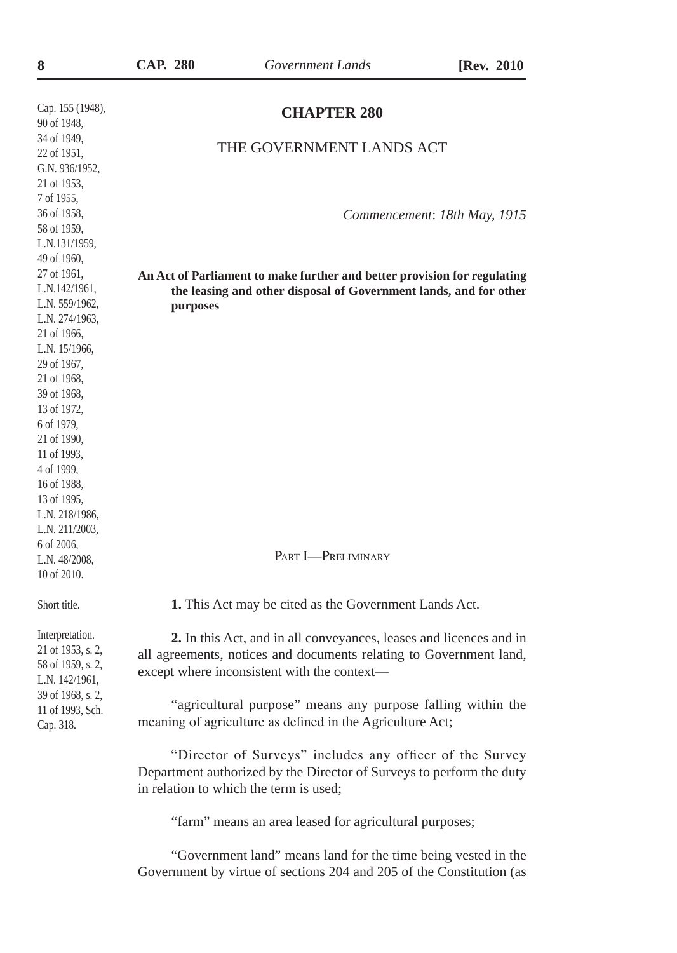| CAP. | 280 |
|------|-----|
|      |     |

| Cap. 155 (1948),<br>90 of 1948,                                                                                                                                                                                                                                                                                       | <b>CHAPTER 280</b>                                                                                                                                                                      |
|-----------------------------------------------------------------------------------------------------------------------------------------------------------------------------------------------------------------------------------------------------------------------------------------------------------------------|-----------------------------------------------------------------------------------------------------------------------------------------------------------------------------------------|
| 34 of 1949,<br>22 of 1951,<br>G.N. 936/1952,<br>21 of 1953,                                                                                                                                                                                                                                                           | THE GOVERNMENT LANDS ACT                                                                                                                                                                |
| 7 of 1955,<br>36 of 1958,<br>58 of 1959,<br>L.N.131/1959,                                                                                                                                                                                                                                                             | Commencement: 18th May, 1915                                                                                                                                                            |
| 49 of 1960,<br>27 of 1961,<br>L.N.142/1961,<br>L.N. 559/1962,<br>L.N. 274/1963,<br>21 of 1966,<br>L.N. 15/1966,<br>29 of 1967,<br>21 of 1968,<br>39 of 1968,<br>13 of 1972,<br>6 of 1979,<br>21 of 1990,<br>11 of 1993,<br>4 of 1999,<br>16 of 1988,<br>13 of 1995,<br>L.N. 218/1986,<br>L.N. 211/2003,<br>6 of 2006, | An Act of Parliament to make further and better provision for regulating<br>the leasing and other disposal of Government lands, and for other<br>purposes                               |
| L.N. 48/2008,<br>10 of 2010.                                                                                                                                                                                                                                                                                          | PART <b>I</b> -PRELIMINARY                                                                                                                                                              |
| Short title.                                                                                                                                                                                                                                                                                                          | 1. This Act may be cited as the Government Lands Act.                                                                                                                                   |
| Interpretation.<br>21 of 1953, s. 2,<br>58 of 1959, s. 2,<br>L.N. 142/1961,<br>39 of 1968, s. 2,                                                                                                                                                                                                                      | 2. In this Act, and in all conveyances, leases and licences and in<br>all agreements, notices and documents relating to Government land,<br>except where inconsistent with the context- |
| 11 of 1993, Sch.<br>Cap. 318.                                                                                                                                                                                                                                                                                         | "agricultural purpose" means any purpose falling within the<br>meaning of agriculture as defined in the Agriculture Act;                                                                |
|                                                                                                                                                                                                                                                                                                                       | "Director of Surveys" includes any officer of the Survey<br>Department authorized by the Director of Surveys to perform the duty<br>in relation to which the term is used;              |
|                                                                                                                                                                                                                                                                                                                       | "farm" means an area leased for agricultural purposes;                                                                                                                                  |

"Government land" means land for the time being vested in the Government by virtue of sections 204 and 205 of the Constitution (as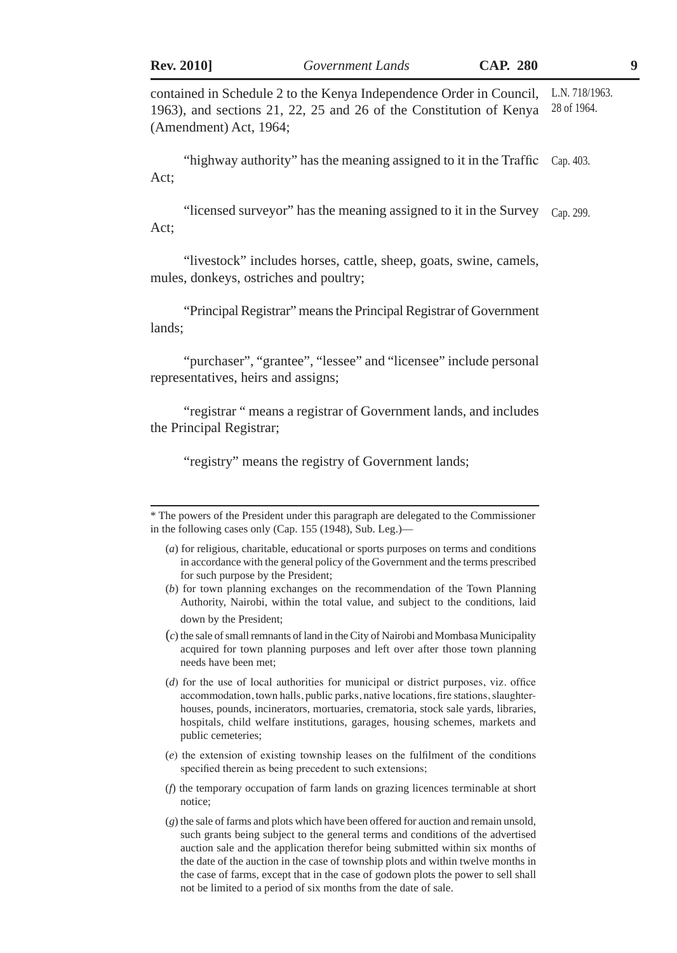contained in Schedule 2 to the Kenya Independence Order in Council, 1963), and sections 21, 22, 25 and 26 of the Constitution of Kenya (Amendment) Act, 1964; L.N. 718/1963. 28 of 1964.

"highway authority" has the meaning assigned to it in the Traffic Cap. 403. Act;

"licensed surveyor" has the meaning assigned to it in the Survey Cap. 299. Act;

"livestock" includes horses, cattle, sheep, goats, swine, camels, mules, donkeys, ostriches and poultry;

"Principal Registrar" means the Principal Registrar of Government lands;

"purchaser", "grantee", "lessee" and "licensee" include personal representatives, heirs and assigns;

"registrar " means a registrar of Government lands, and includes the Principal Registrar;

"registry" means the registry of Government lands;

(*b*) for town planning exchanges on the recommendation of the Town Planning Authority, Nairobi, within the total value, and subject to the conditions, laid down by the President;

(*c*) the sale of small remnants of land in the City of Nairobi and Mombasa Municipality acquired for town planning purposes and left over after those town planning needs have been met;

(*d*) for the use of local authorities for municipal or district purposes, viz. office accommodation, town halls, public parks, native locations, fire stations, slaughterhouses, pounds, incinerators, mortuaries, crematoria, stock sale yards, libraries, hospitals, child welfare institutions, garages, housing schemes, markets and public cemeteries;

- (*e*) the extension of existing township leases on the fulfilment of the conditions specified therein as being precedent to such extensions;
- (*f*) the temporary occupation of farm lands on grazing licences terminable at short notice;
- (*g*) the sale of farms and plots which have been offered for auction and remain unsold, such grants being subject to the general terms and conditions of the advertised auction sale and the application therefor being submitted within six months of the date of the auction in the case of township plots and within twelve months in the case of farms, except that in the case of godown plots the power to sell shall not be limited to a period of six months from the date of sale.

<sup>\*</sup> The powers of the President under this paragraph are delegated to the Commissioner in the following cases only (Cap. 155 (1948), Sub. Leg.)—

<sup>(</sup>*a*) for religious, charitable, educational or sports purposes on terms and conditions in accordance with the general policy of the Government and the terms prescribed for such purpose by the President;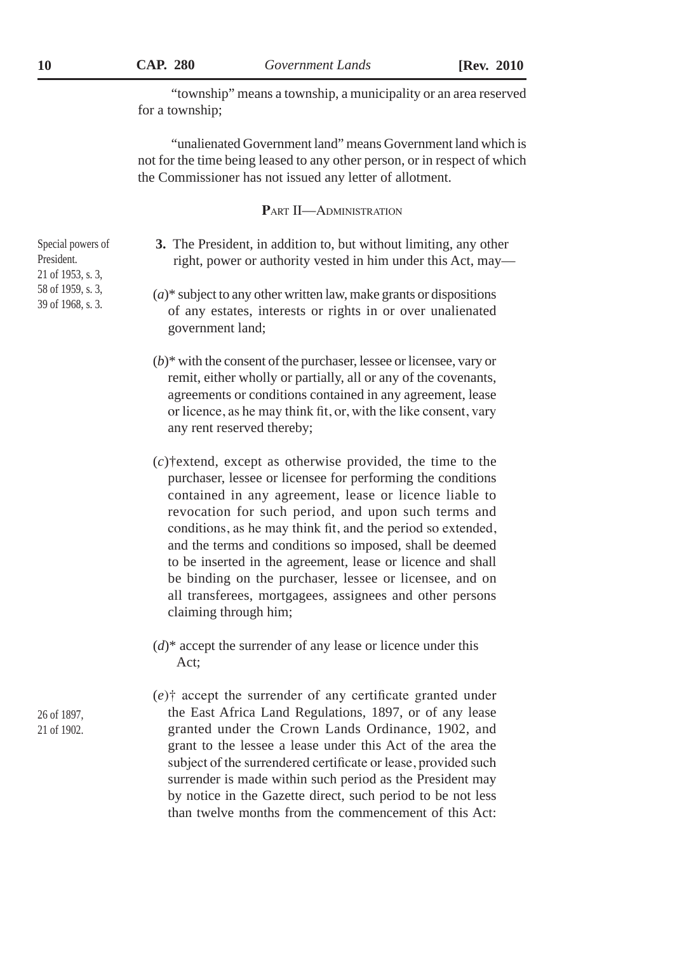"township" means a township, a municipality or an area reserved for a township;

"unalienated Government land" means Government land which is not for the time being leased to any other person, or in respect of which the Commissioner has not issued any letter of allotment.

**P**art II—Administration

- **3.** The President, in addition to, but without limiting, any other right, power or authority vested in him under this Act, may—
- (*a*)\* subject to any other written law, make grants or dispositions of any estates, interests or rights in or over unalienated government land;
- (*b*)\* with the consent of the purchaser, lessee or licensee, vary or remit, either wholly or partially, all or any of the covenants, agreements or conditions contained in any agreement, lease or licence, as he may think fit, or, with the like consent, vary any rent reserved thereby;
- (*c*)†extend, except as otherwise provided, the time to the purchaser, lessee or licensee for performing the conditions contained in any agreement, lease or licence liable to revocation for such period, and upon such terms and conditions, as he may think fit, and the period so extended, and the terms and conditions so imposed, shall be deemed to be inserted in the agreement, lease or licence and shall be binding on the purchaser, lessee or licensee, and on all transferees, mortgagees, assignees and other persons claiming through him;
- $(d)^*$  accept the surrender of any lease or licence under this Act;

(*e*)† accept the surrender of any certificate granted under the East Africa Land Regulations, 1897, or of any lease granted under the Crown Lands Ordinance, 1902, and grant to the lessee a lease under this Act of the area the subject of the surrendered certificate or lease, provided such surrender is made within such period as the President may by notice in the Gazette direct, such period to be not less than twelve months from the commencement of this Act:

Special powers of President. 21 of 1953, s. 3, 58 of 1959, s. 3, 39 of 1968, s. 3.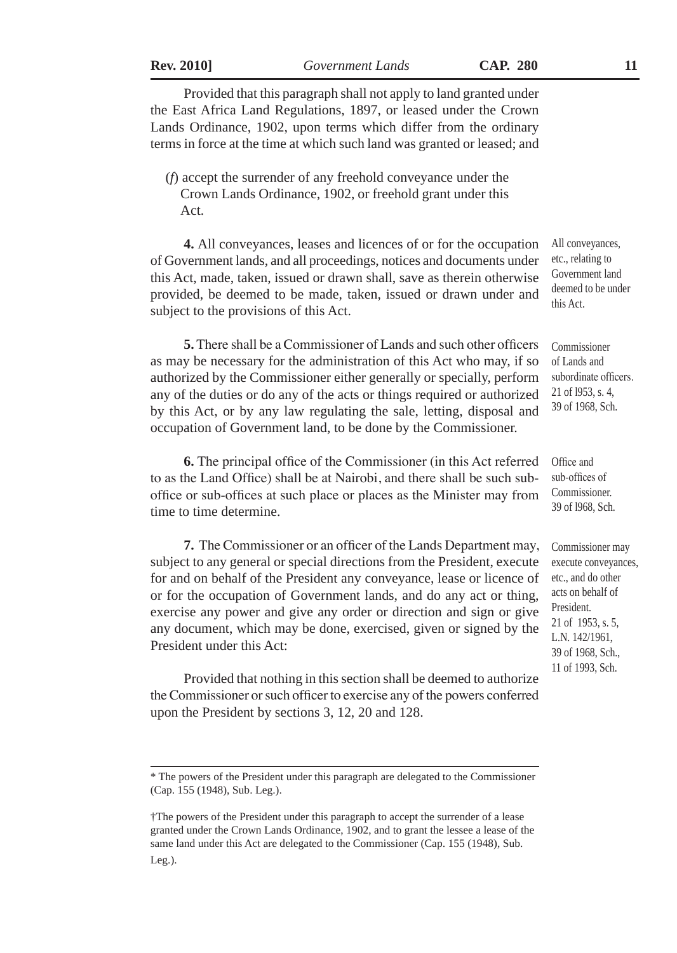| <b>Rev. 2010</b> |  |
|------------------|--|
|                  |  |

**Rev. 2010]** *Government Lands* **CAP. 280 11**

Provided that this paragraph shall not apply to land granted under the East Africa Land Regulations, 1897, or leased under the Crown Lands Ordinance, 1902, upon terms which differ from the ordinary terms in force at the time at which such land was granted or leased; and

(*f*) accept the surrender of any freehold conveyance under the Crown Lands Ordinance, 1902, or freehold grant under this Act.

**4.** All conveyances, leases and licences of or for the occupation of Government lands, and all proceedings, notices and documents under this Act, made, taken, issued or drawn shall, save as therein otherwise provided, be deemed to be made, taken, issued or drawn under and subject to the provisions of this Act.

**5.** There shall be a Commissioner of Lands and such other officers as may be necessary for the administration of this Act who may, if so authorized by the Commissioner either generally or specially, perform any of the duties or do any of the acts or things required or authorized by this Act, or by any law regulating the sale, letting, disposal and occupation of Government land, to be done by the Commissioner.

**6.** The principal office of the Commissioner (in this Act referred to as the Land Office) shall be at Nairobi, and there shall be such suboffice or sub-offices at such place or places as the Minister may from time to time determine.

**7.** The Commissioner or an officer of the Lands Department may, subject to any general or special directions from the President, execute for and on behalf of the President any conveyance, lease or licence of or for the occupation of Government lands, and do any act or thing, exercise any power and give any order or direction and sign or give any document, which may be done, exercised, given or signed by the President under this Act:

Provided that nothing in this section shall be deemed to authorize the Commissioner or such officer to exercise any of the powers conferred upon the President by sections 3, 12, 20 and 128.

All conveyances, etc., relating to Government land deemed to be under this Act.

Commissioner of Lands and subordinate officers. 21 of l953, s. 4, 39 of 1968, Sch.

Commissioner may execute conveyances, etc., and do other acts on behalf of President. 21 of 1953, s. 5, L.N. 142/1961, 39 of 1968, Sch., 11 of 1993, Sch.

<sup>\*</sup> The powers of the President under this paragraph are delegated to the Commissioner (Cap. 155 (1948), Sub. Leg.).

<sup>†</sup>The powers of the President under this paragraph to accept the surrender of a lease granted under the Crown Lands Ordinance, 1902, and to grant the lessee a lease of the same land under this Act are delegated to the Commissioner (Cap. 155 (1948), Sub. Leg.).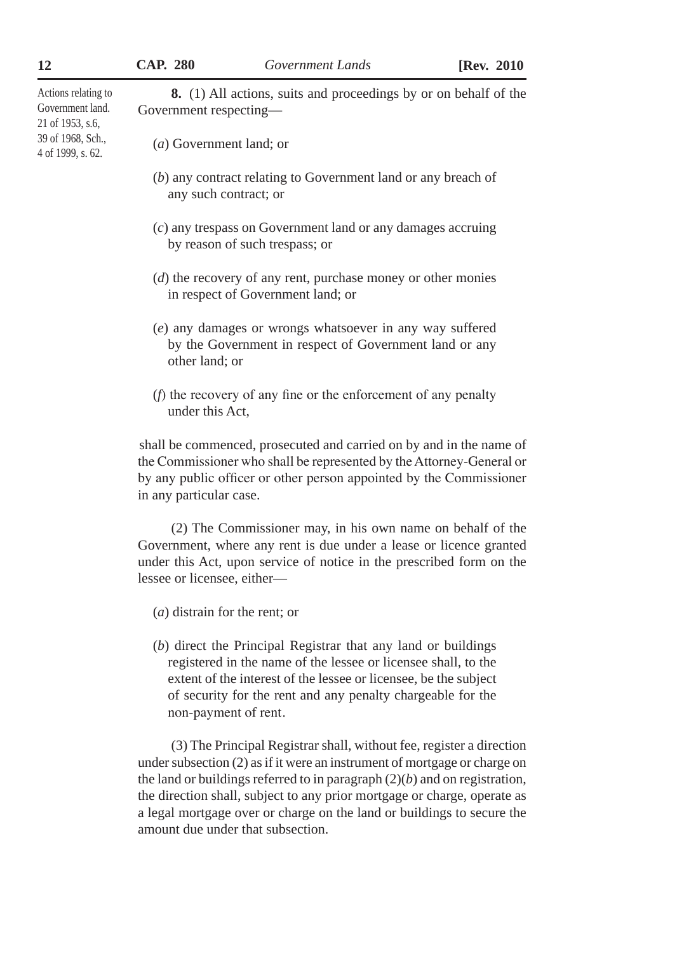Actions relating to Government land. 21 of 1953, s.6, 39 of 1968, Sch., 4 of 1999, s. 62.

(*a*) Government land; or

Government respecting—

(*b*) any contract relating to Government land or any breach of any such contract; or

**8.** (1) All actions, suits and proceedings by or on behalf of the

- (*c*) any trespass on Government land or any damages accruing by reason of such trespass; or
- (*d*) the recovery of any rent, purchase money or other monies in respect of Government land; or
- (*e*) any damages or wrongs whatsoever in any way suffered by the Government in respect of Government land or any other land; or
- (*f*) the recovery of any fine or the enforcement of any penalty under this Act,

shall be commenced, prosecuted and carried on by and in the name of the Commissioner who shall be represented by the Attorney-General or by any public officer or other person appointed by the Commissioner in any particular case.

(2) The Commissioner may, in his own name on behalf of the Government, where any rent is due under a lease or licence granted under this Act, upon service of notice in the prescribed form on the lessee or licensee, either—

- (*a*) distrain for the rent; or
- (*b*) direct the Principal Registrar that any land or buildings registered in the name of the lessee or licensee shall, to the extent of the interest of the lessee or licensee, be the subject of security for the rent and any penalty chargeable for the non-payment of rent.

(3) The Principal Registrar shall, without fee, register a direction under subsection (2) as if it were an instrument of mortgage or charge on the land or buildings referred to in paragraph (2)(*b*) and on registration, the direction shall, subject to any prior mortgage or charge, operate as a legal mortgage over or charge on the land or buildings to secure the amount due under that subsection.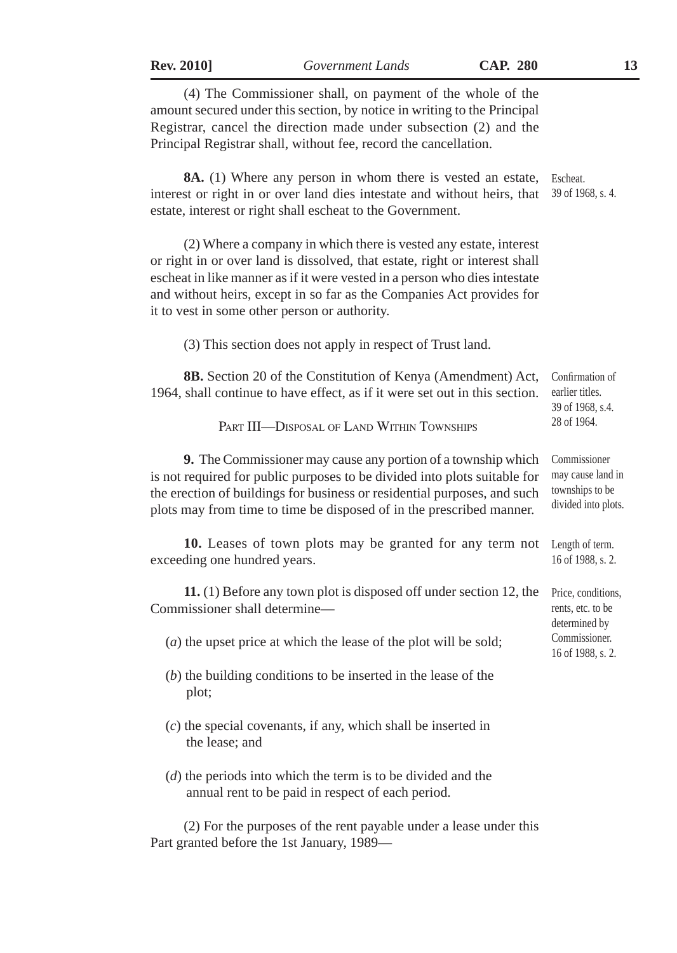| <b>Rev. 2010</b> |  |
|------------------|--|
|                  |  |

(4) The Commissioner shall, on payment of the whole of the amount secured under this section, by notice in writing to the Principal Registrar, cancel the direction made under subsection (2) and the Principal Registrar shall, without fee, record the cancellation. **8A.** (1) Where any person in whom there is vested an estate, Escheat. interest or right in or over land dies intestate and without heirs, that 39 of 1968, s. 4. estate, interest or right shall escheat to the Government. (2) Where a company in which there is vested any estate, interest or right in or over land is dissolved, that estate, right or interest shall escheat in like manner as if it were vested in a person who dies intestate and without heirs, except in so far as the Companies Act provides for it to vest in some other person or authority. (3) This section does not apply in respect of Trust land. **8B.** Section 20 of the Constitution of Kenya (Amendment) Act, 1964, shall continue to have effect, as if it were set out in this section. PART III—DISPOSAL OF LAND WITHIN TOWNSHIPS **9.** The Commissioner may cause any portion of a township which is not required for public purposes to be divided into plots suitable for the erection of buildings for business or residential purposes, and such plots may from time to time be disposed of in the prescribed manner. **10.** Leases of town plots may be granted for any term not exceeding one hundred years. **11.** (1) Before any town plot is disposed off under section 12, the Commissioner shall determine— (*a*) the upset price at which the lease of the plot will be sold; (*b*) the building conditions to be inserted in the lease of the plot; (*c*) the special covenants, if any, which shall be inserted in the lease; and Confirmation of earlier titles. 39 of 1968, s.4. 28 of 1964. Commissioner may cause land in townships to be divided into plots. Length of term. 16 of 1988, s. 2. Price, conditions, rents, etc. to be determined by Commissioner. 16 of 1988, s. 2.

(*d*) the periods into which the term is to be divided and the annual rent to be paid in respect of each period.

(2) For the purposes of the rent payable under a lease under this Part granted before the 1st January, 1989—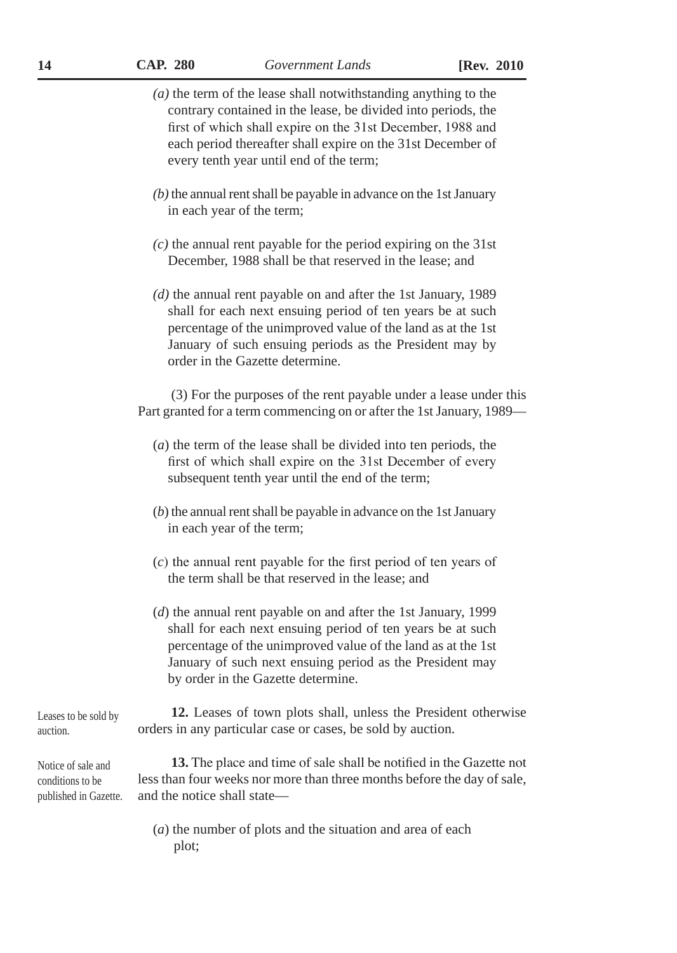|                                                                 | $(a)$ the term of the lease shall notwithstanding anything to the<br>contrary contained in the lease, be divided into periods, the<br>first of which shall expire on the 31st December, 1988 and<br>each period thereafter shall expire on the 31st December of<br>every tenth year until end of the term; |
|-----------------------------------------------------------------|------------------------------------------------------------------------------------------------------------------------------------------------------------------------------------------------------------------------------------------------------------------------------------------------------------|
|                                                                 | $(b)$ the annual rent shall be payable in advance on the 1st January<br>in each year of the term;                                                                                                                                                                                                          |
|                                                                 | $(c)$ the annual rent payable for the period expiring on the 31st<br>December, 1988 shall be that reserved in the lease; and                                                                                                                                                                               |
|                                                                 | $(d)$ the annual rent payable on and after the 1st January, 1989<br>shall for each next ensuing period of ten years be at such<br>percentage of the unimproved value of the land as at the 1st<br>January of such ensuing periods as the President may by<br>order in the Gazette determine.               |
|                                                                 | (3) For the purposes of the rent payable under a lease under this<br>Part granted for a term commencing on or after the 1st January, 1989—                                                                                                                                                                 |
|                                                                 | $(a)$ the term of the lease shall be divided into ten periods, the<br>first of which shall expire on the 31st December of every<br>subsequent tenth year until the end of the term;                                                                                                                        |
|                                                                 | $(b)$ the annual rent shall be payable in advance on the 1st January<br>in each year of the term;                                                                                                                                                                                                          |
|                                                                 | $(c)$ the annual rent payable for the first period of ten years of<br>the term shall be that reserved in the lease; and                                                                                                                                                                                    |
|                                                                 | $(d)$ the annual rent payable on and after the 1st January, 1999<br>shall for each next ensuing period of ten years be at such<br>percentage of the unimproved value of the land as at the 1st<br>January of such next ensuing period as the President may<br>by order in the Gazette determine.           |
| Leases to be sold by<br>auction.                                | 12. Leases of town plots shall, unless the President otherwise<br>orders in any particular case or cases, be sold by auction.                                                                                                                                                                              |
| Notice of sale and<br>conditions to be<br>published in Gazette. | 13. The place and time of sale shall be notified in the Gazette not<br>less than four weeks nor more than three months before the day of sale,<br>and the notice shall state-                                                                                                                              |
|                                                                 | (a) the number of plots and the situation and area of each<br>plot;                                                                                                                                                                                                                                        |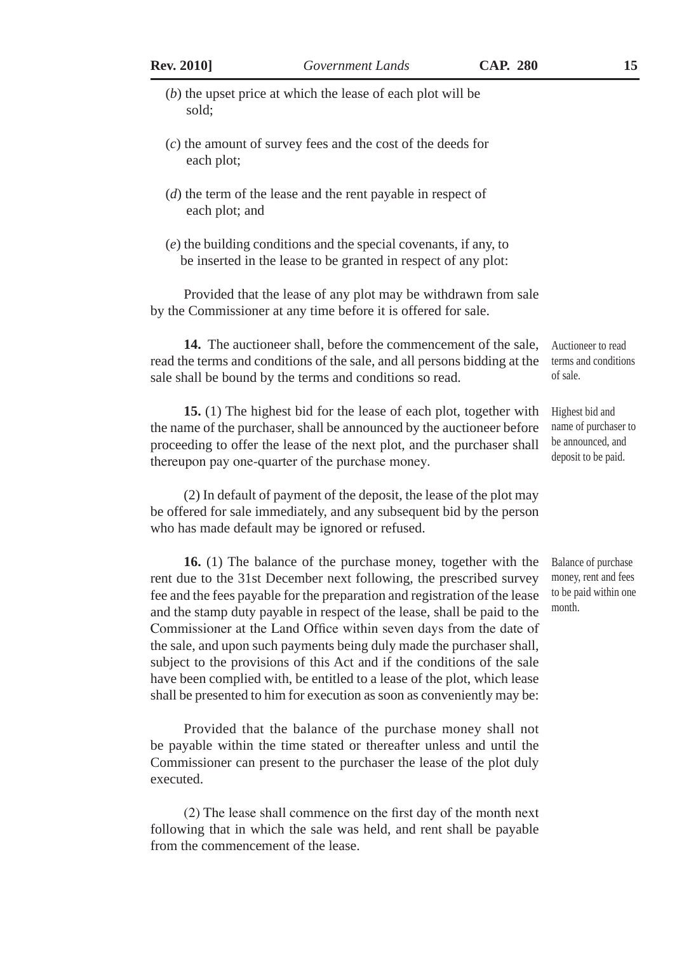| <b>Rev. 2010</b> |  |
|------------------|--|
|                  |  |

- (*b*) the upset price at which the lease of each plot will be sold;
- (*c*) the amount of survey fees and the cost of the deeds for each plot;
- (*d*) the term of the lease and the rent payable in respect of each plot; and
- (*e*) the building conditions and the special covenants, if any, to be inserted in the lease to be granted in respect of any plot:

Provided that the lease of any plot may be withdrawn from sale by the Commissioner at any time before it is offered for sale.

**14.** The auctioneer shall, before the commencement of the sale, read the terms and conditions of the sale, and all persons bidding at the sale shall be bound by the terms and conditions so read. Auctioneer to read terms and conditions of sale.

**15.** (1) The highest bid for the lease of each plot, together with the name of the purchaser, shall be announced by the auctioneer before proceeding to offer the lease of the next plot, and the purchaser shall thereupon pay one-quarter of the purchase money.

(2) In default of payment of the deposit, the lease of the plot may be offered for sale immediately, and any subsequent bid by the person who has made default may be ignored or refused.

**16.** (1) The balance of the purchase money, together with the rent due to the 31st December next following, the prescribed survey fee and the fees payable for the preparation and registration of the lease and the stamp duty payable in respect of the lease, shall be paid to the Commissioner at the Land Office within seven days from the date of the sale, and upon such payments being duly made the purchaser shall, subject to the provisions of this Act and if the conditions of the sale have been complied with, be entitled to a lease of the plot, which lease shall be presented to him for execution as soon as conveniently may be:

Provided that the balance of the purchase money shall not be payable within the time stated or thereafter unless and until the Commissioner can present to the purchaser the lease of the plot duly executed.

(2) The lease shall commence on the first day of the month next following that in which the sale was held, and rent shall be payable from the commencement of the lease.

Highest bid and

name of purchaser to be announced, and deposit to be paid.

Balance of purchase money, rent and fees to be paid within one month.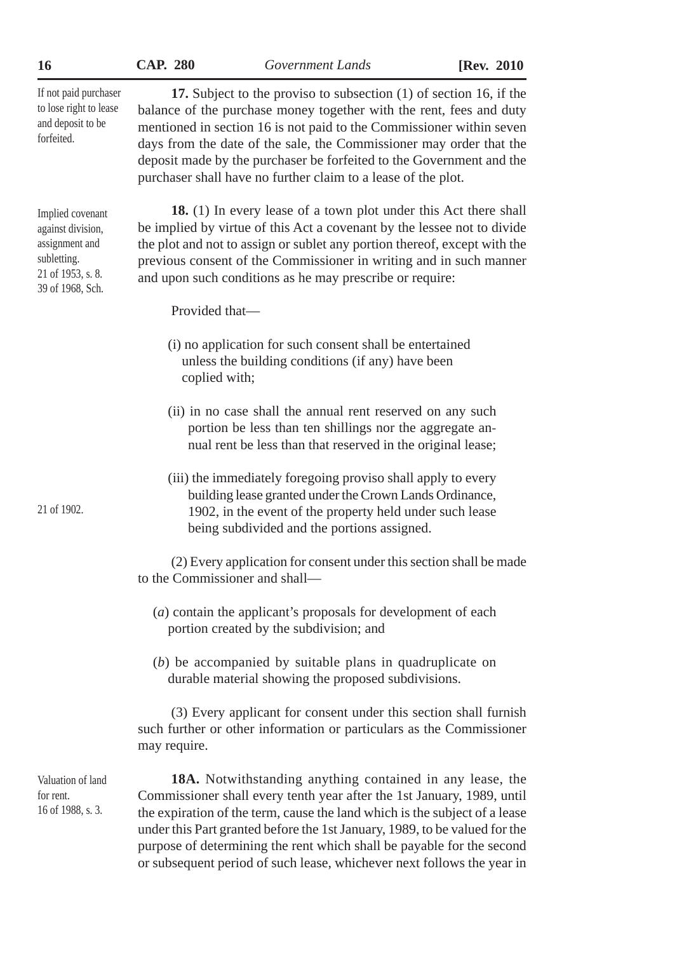| CAP. | 280 |
|------|-----|
|      |     |

**16 CAP. 280** *Government Lands* **[Rev. 2010**

| If not paid purchaser<br>to lose right to lease<br>and deposit to be<br>forfeited.                              | 17. Subject to the proviso to subsection (1) of section 16, if the<br>balance of the purchase money together with the rent, fees and duty<br>mentioned in section 16 is not paid to the Commissioner within seven<br>days from the date of the sale, the Commissioner may order that the<br>deposit made by the purchaser be forfeited to the Government and the<br>purchaser shall have no further claim to a lease of the plot. |  |  |
|-----------------------------------------------------------------------------------------------------------------|-----------------------------------------------------------------------------------------------------------------------------------------------------------------------------------------------------------------------------------------------------------------------------------------------------------------------------------------------------------------------------------------------------------------------------------|--|--|
| Implied covenant<br>against division,<br>assignment and<br>subletting.<br>21 of 1953, s. 8.<br>39 of 1968, Sch. | 18. (1) In every lease of a town plot under this Act there shall<br>be implied by virtue of this Act a covenant by the lessee not to divide<br>the plot and not to assign or sublet any portion thereof, except with the<br>previous consent of the Commissioner in writing and in such manner<br>and upon such conditions as he may prescribe or require:                                                                        |  |  |
|                                                                                                                 | Provided that-                                                                                                                                                                                                                                                                                                                                                                                                                    |  |  |
|                                                                                                                 | (i) no application for such consent shall be entertained<br>unless the building conditions (if any) have been<br>coplied with;                                                                                                                                                                                                                                                                                                    |  |  |
|                                                                                                                 | (ii) in no case shall the annual rent reserved on any such<br>portion be less than ten shillings nor the aggregate an-<br>nual rent be less than that reserved in the original lease;                                                                                                                                                                                                                                             |  |  |
| 21 of 1902.                                                                                                     | (iii) the immediately foregoing proviso shall apply to every<br>building lease granted under the Crown Lands Ordinance,<br>1902, in the event of the property held under such lease<br>being subdivided and the portions assigned.                                                                                                                                                                                                |  |  |
|                                                                                                                 | (2) Every application for consent under this section shall be made<br>to the Commissioner and shall-                                                                                                                                                                                                                                                                                                                              |  |  |
|                                                                                                                 | (a) contain the applicant's proposals for development of each<br>portion created by the subdivision; and                                                                                                                                                                                                                                                                                                                          |  |  |
|                                                                                                                 | $(b)$ be accompanied by suitable plans in quadruplicate on<br>durable material showing the proposed subdivisions.                                                                                                                                                                                                                                                                                                                 |  |  |
|                                                                                                                 | (3) Every applicant for consent under this section shall furnish<br>such further or other information or particulars as the Commissioner<br>may require.                                                                                                                                                                                                                                                                          |  |  |
| Valuation of land<br>for rent.<br>16 of 1988, s. 3.                                                             | 18A. Notwithstanding anything contained in any lease, the<br>Commissioner shall every tenth year after the 1st January, 1989, until<br>the expiration of the term, cause the land which is the subject of a lease<br>under this Part granted before the 1st January, 1989, to be valued for the<br>purpose of determining the rent which shall be payable for the second                                                          |  |  |

or subsequent period of such lease, whichever next follows the year in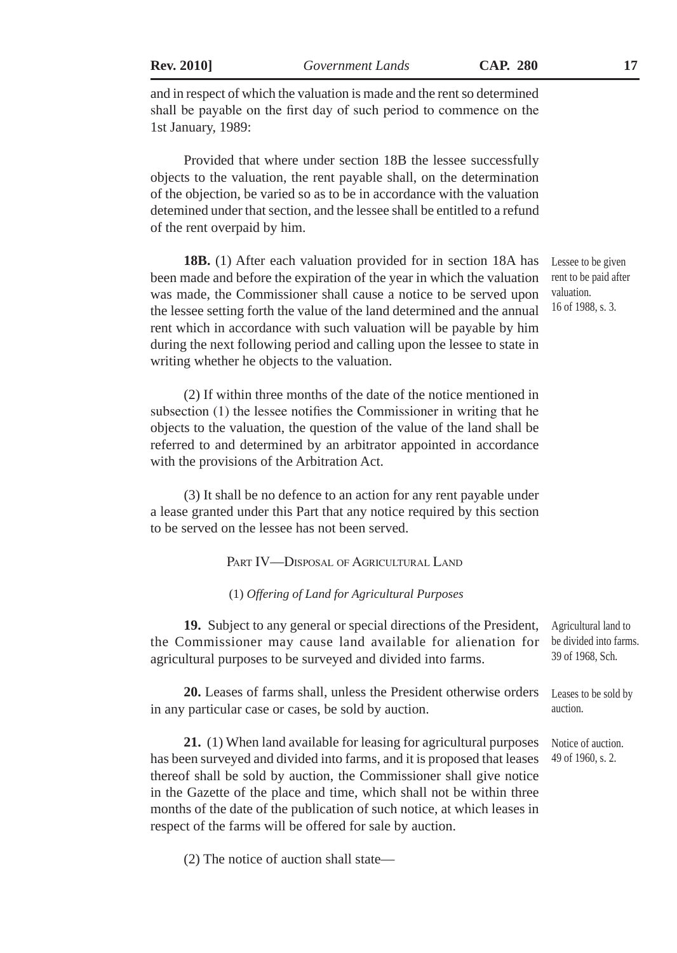**Rev. 2010]** *Government Lands* **CAP. 280 17**

and in respect of which the valuation is made and the rent so determined shall be payable on the first day of such period to commence on the 1st January, 1989:

Provided that where under section 18B the lessee successfully objects to the valuation, the rent payable shall, on the determination of the objection, be varied so as to be in accordance with the valuation detemined under that section, and the lessee shall be entitled to a refund of the rent overpaid by him.

**18B.** (1) After each valuation provided for in section 18A has been made and before the expiration of the year in which the valuation was made, the Commissioner shall cause a notice to be served upon the lessee setting forth the value of the land determined and the annual rent which in accordance with such valuation will be payable by him during the next following period and calling upon the lessee to state in writing whether he objects to the valuation.

(2) If within three months of the date of the notice mentioned in subsection (1) the lessee notifies the Commissioner in writing that he objects to the valuation, the question of the value of the land shall be referred to and determined by an arbitrator appointed in accordance with the provisions of the Arbitration Act.

(3) It shall be no defence to an action for any rent payable under a lease granted under this Part that any notice required by this section to be served on the lessee has not been served.

PART **IV—DISPOSAL OF AGRICULTURAL LAND** 

(1) *Offering of Land for Agricultural Purposes*

**19.** Subject to any general or special directions of the President, the Commissioner may cause land available for alienation for agricultural purposes to be surveyed and divided into farms. Agricultural land to be divided into farms. 39 of 1968, Sch.

**20.** Leases of farms shall, unless the President otherwise orders in any particular case or cases, be sold by auction. Leases to be sold by auction.

**21.** (1) When land available for leasing for agricultural purposes has been surveyed and divided into farms, and it is proposed that leases thereof shall be sold by auction, the Commissioner shall give notice in the Gazette of the place and time, which shall not be within three months of the date of the publication of such notice, at which leases in respect of the farms will be offered for sale by auction.

(2) The notice of auction shall state—

Lessee to be given rent to be paid after valuation. 16 of 1988, s. 3.

Notice of auction. 49 of 1960, s. 2.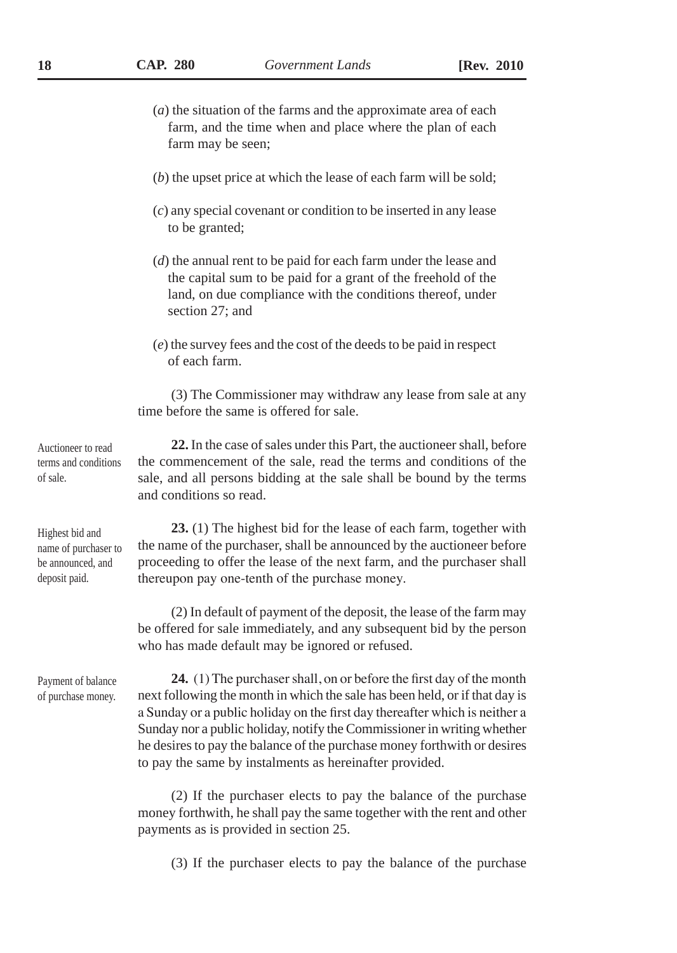- (*a*) the situation of the farms and the approximate area of each farm, and the time when and place where the plan of each farm may be seen;
- (*b*) the upset price at which the lease of each farm will be sold;
- (*c*) any special covenant or condition to be inserted in any lease to be granted;
- (*d*) the annual rent to be paid for each farm under the lease and the capital sum to be paid for a grant of the freehold of the land, on due compliance with the conditions thereof, under section 27; and
- (*e*) the survey fees and the cost of the deeds to be paid in respect of each farm.

(3) The Commissioner may withdraw any lease from sale at any time before the same is offered for sale.

**22.** In the case of sales under this Part, the auctioneer shall, before the commencement of the sale, read the terms and conditions of the sale, and all persons bidding at the sale shall be bound by the terms and conditions so read. Auctioneer to read terms and conditions

Highest bid and name of purchaser to be announced, and deposit paid.

of sale.

**23.** (1) The highest bid for the lease of each farm, together with the name of the purchaser, shall be announced by the auctioneer before proceeding to offer the lease of the next farm, and the purchaser shall thereupon pay one-tenth of the purchase money.

(2) In default of payment of the deposit, the lease of the farm may be offered for sale immediately, and any subsequent bid by the person who has made default may be ignored or refused.

Payment of balance of purchase money.

**24.** (1) The purchaser shall, on or before the first day of the month next following the month in which the sale has been held, or if that day is a Sunday or a public holiday on the first day thereafter which is neither a Sunday nor a public holiday, notify the Commissioner in writing whether he desires to pay the balance of the purchase money forthwith or desires to pay the same by instalments as hereinafter provided.

(2) If the purchaser elects to pay the balance of the purchase money forthwith, he shall pay the same together with the rent and other payments as is provided in section 25.

(3) If the purchaser elects to pay the balance of the purchase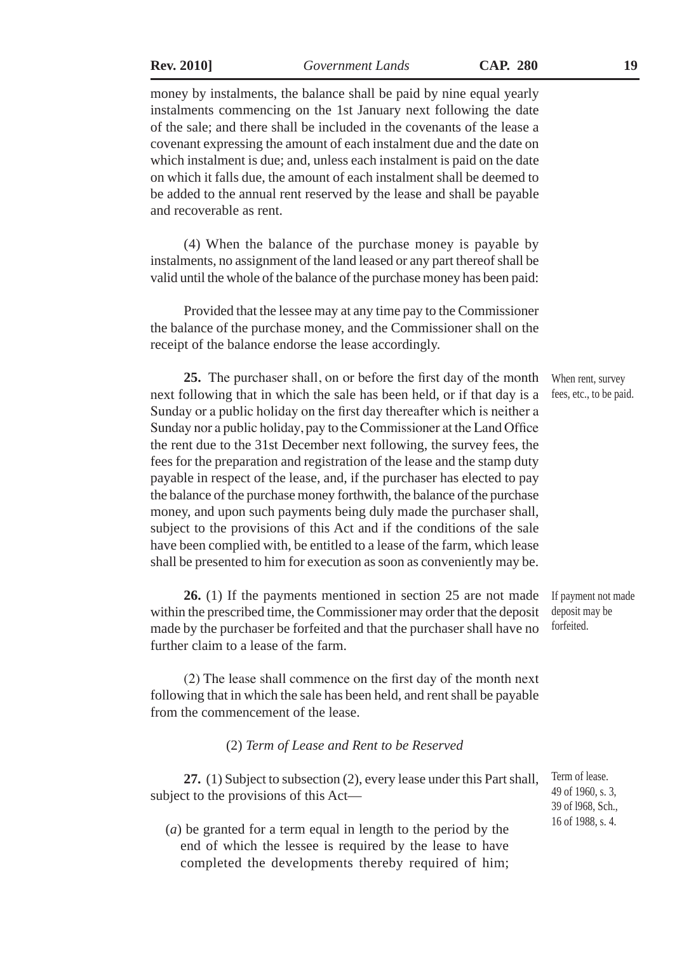**Rev. 2010]** *Government Lands* **CAP. 280 19**

money by instalments, the balance shall be paid by nine equal yearly instalments commencing on the 1st January next following the date of the sale; and there shall be included in the covenants of the lease a covenant expressing the amount of each instalment due and the date on which instalment is due; and, unless each instalment is paid on the date on which it falls due, the amount of each instalment shall be deemed to be added to the annual rent reserved by the lease and shall be payable and recoverable as rent.

(4) When the balance of the purchase money is payable by instalments, no assignment of the land leased or any part thereof shall be valid until the whole of the balance of the purchase money has been paid:

Provided that the lessee may at any time pay to the Commissioner the balance of the purchase money, and the Commissioner shall on the receipt of the balance endorse the lease accordingly.

**25.** The purchaser shall, on or before the first day of the month next following that in which the sale has been held, or if that day is a Sunday or a public holiday on the first day thereafter which is neither a Sunday nor a public holiday, pay to the Commissioner at the Land Office the rent due to the 31st December next following, the survey fees, the fees for the preparation and registration of the lease and the stamp duty payable in respect of the lease, and, if the purchaser has elected to pay the balance of the purchase money forthwith, the balance of the purchase money, and upon such payments being duly made the purchaser shall, subject to the provisions of this Act and if the conditions of the sale have been complied with, be entitled to a lease of the farm, which lease shall be presented to him for execution as soon as conveniently may be.

**26.** (1) If the payments mentioned in section 25 are not made within the prescribed time, the Commissioner may order that the deposit made by the purchaser be forfeited and that the purchaser shall have no further claim to a lease of the farm.

(2) The lease shall commence on the first day of the month next following that in which the sale has been held, and rent shall be payable from the commencement of the lease.

#### (2) *Term of Lease and Rent to be Reserved*

**27.** (1) Subject to subsection (2), every lease under this Part shall, subject to the provisions of this Act—

(*a*) be granted for a term equal in length to the period by the end of which the lessee is required by the lease to have completed the developments thereby required of him; 39 of l968, Sch., 16 of 1988, s. 4.

When rent, survey fees, etc., to be paid.

If payment not made deposit may be forfeited.

Term of lease. 49 of 1960, s. 3,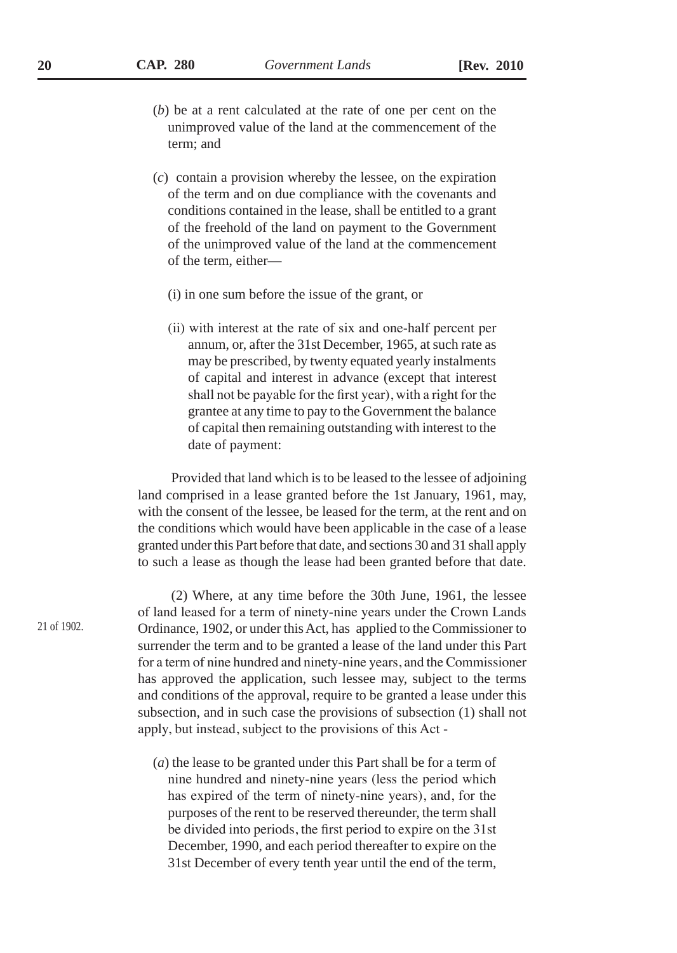- (*b*) be at a rent calculated at the rate of one per cent on the unimproved value of the land at the commencement of the term; and
- (*c*) contain a provision whereby the lessee, on the expiration of the term and on due compliance with the covenants and conditions contained in the lease, shall be entitled to a grant of the freehold of the land on payment to the Government of the unimproved value of the land at the commencement of the term, either—
	- (i) in one sum before the issue of the grant, or
	- (ii) with interest at the rate of six and one-half percent per annum, or, after the 31st December, 1965, at such rate as may be prescribed, by twenty equated yearly instalments of capital and interest in advance (except that interest shall not be payable for the first year), with a right for the grantee at any time to pay to the Government the balance of capital then remaining outstanding with interest to the date of payment:

Provided that land which is to be leased to the lessee of adjoining land comprised in a lease granted before the 1st January, 1961, may, with the consent of the lessee, be leased for the term, at the rent and on the conditions which would have been applicable in the case of a lease granted under this Part before that date, and sections 30 and 31 shall apply to such a lease as though the lease had been granted before that date.

(2) Where, at any time before the 30th June, 1961, the lessee of land leased for a term of ninety-nine years under the Crown Lands Ordinance, 1902, or under this Act, has applied to the Commissioner to surrender the term and to be granted a lease of the land under this Part for a term of nine hundred and ninety-nine years, and the Commissioner has approved the application, such lessee may, subject to the terms and conditions of the approval, require to be granted a lease under this subsection, and in such case the provisions of subsection (1) shall not apply, but instead, subject to the provisions of this Act -

(*a*) the lease to be granted under this Part shall be for a term of nine hundred and ninety-nine years (less the period which has expired of the term of ninety-nine years), and, for the purposes of the rent to be reserved thereunder, the term shall be divided into periods, the first period to expire on the 31st December, 1990, and each period thereafter to expire on the 31st December of every tenth year until the end of the term,

21 of 1902.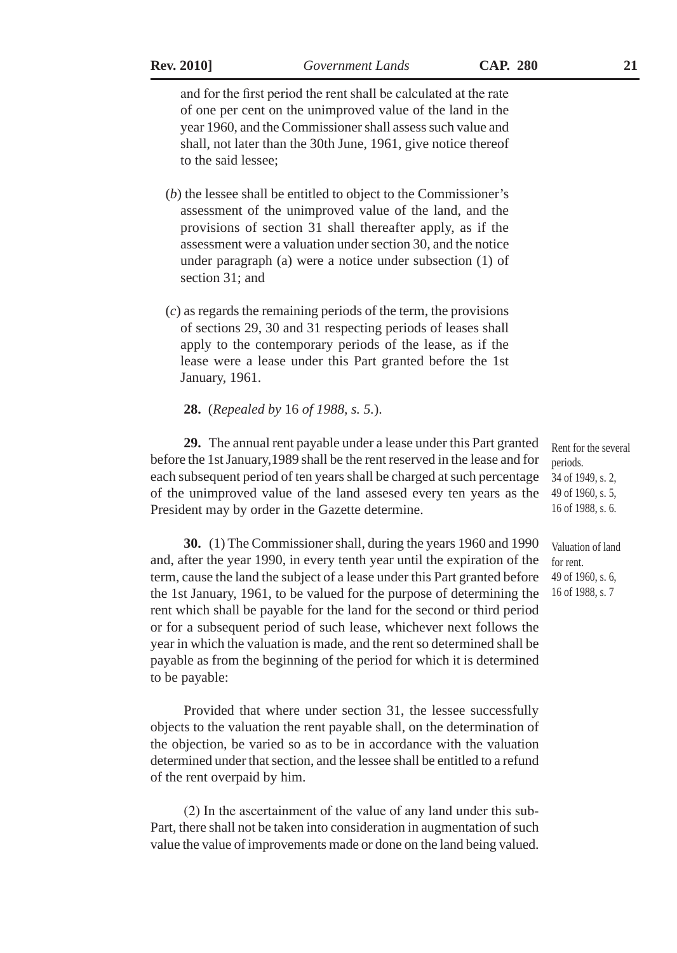and for the first period the rent shall be calculated at the rate of one per cent on the unimproved value of the land in the year 1960, and the Commissioner shall assess such value and shall, not later than the 30th June, 1961, give notice thereof to the said lessee;

- (*b*) the lessee shall be entitled to object to the Commissioner's assessment of the unimproved value of the land, and the provisions of section 31 shall thereafter apply, as if the assessment were a valuation under section 30, and the notice under paragraph (a) were a notice under subsection (1) of section 31; and
- (*c*) as regards the remaining periods of the term, the provisions of sections 29, 30 and 31 respecting periods of leases shall apply to the contemporary periods of the lease, as if the lease were a lease under this Part granted before the 1st January, 1961.

#### **28.** (*Repealed by* 16 *of 1988, s. 5.*).

**29.** The annual rent payable under a lease under this Part granted before the 1st January,1989 shall be the rent reserved in the lease and for each subsequent period of ten years shall be charged at such percentage of the unimproved value of the land assesed every ten years as the President may by order in the Gazette determine.

**30.** (1) The Commissioner shall, during the years 1960 and 1990 and, after the year 1990, in every tenth year until the expiration of the term, cause the land the subject of a lease under this Part granted before the 1st January, 1961, to be valued for the purpose of determining the rent which shall be payable for the land for the second or third period or for a subsequent period of such lease, whichever next follows the year in which the valuation is made, and the rent so determined shall be payable as from the beginning of the period for which it is determined to be payable:

Provided that where under section 31, the lessee successfully objects to the valuation the rent payable shall, on the determination of the objection, be varied so as to be in accordance with the valuation determined under that section, and the lessee shall be entitled to a refund of the rent overpaid by him.

(2) In the ascertainment of the value of any land under this sub-Part, there shall not be taken into consideration in augmentation of such value the value of improvements made or done on the land being valued. Valuation of land for rent. 49 of 1960, s. 6, 16 of 1988, s. 7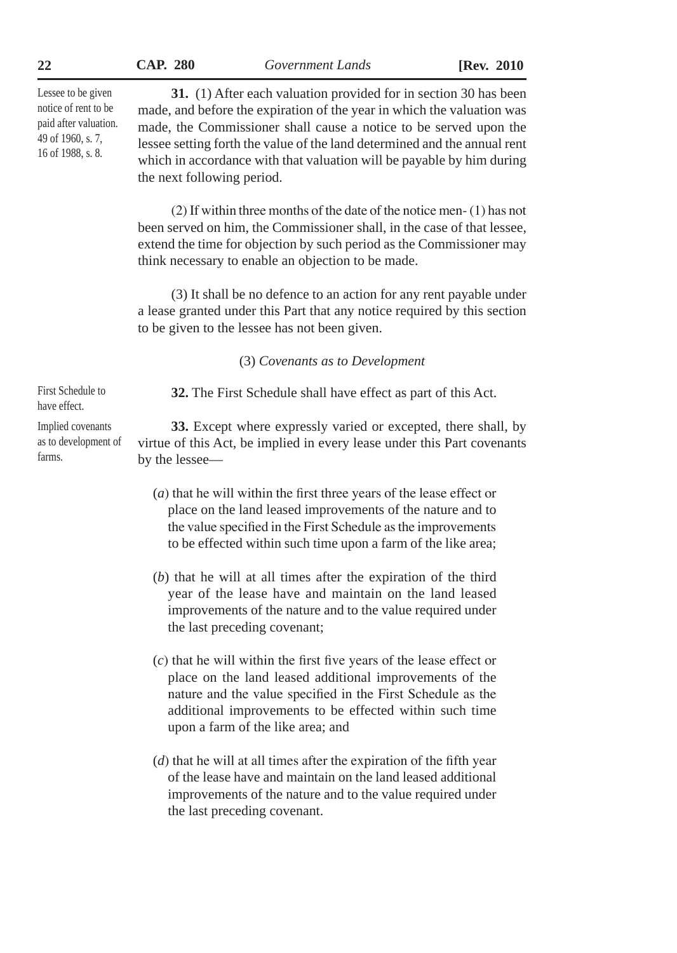| CAP. | <b>280</b> |
|------|------------|
|      |            |

**22 CAP. 280** *Government Lands* **[Rev. 2010**

Lessee to be given notice of rent to be paid after valuation. 49 of 1960, s. 7, 16 of 1988, s. 8.

**31.** (1) After each valuation provided for in section 30 has been made, and before the expiration of the year in which the valuation was made, the Commissioner shall cause a notice to be served upon the lessee setting forth the value of the land determined and the annual rent which in accordance with that valuation will be payable by him during the next following period.

(2) If within three months of the date of the notice men- (1) has not been served on him, the Commissioner shall, in the case of that lessee, extend the time for objection by such period as the Commissioner may think necessary to enable an objection to be made.

(3) It shall be no defence to an action for any rent payable under a lease granted under this Part that any notice required by this section to be given to the lessee has not been given.

(3) *Covenants as to Development*

**32.** The First Schedule shall have effect as part of this Act.

**33.** Except where expressly varied or excepted, there shall, by virtue of this Act, be implied in every lease under this Part covenants by the lessee—

- (*a*) that he will within the first three years of the lease effect or place on the land leased improvements of the nature and to the value specified in the First Schedule as the improvements to be effected within such time upon a farm of the like area;
- (*b*) that he will at all times after the expiration of the third year of the lease have and maintain on the land leased improvements of the nature and to the value required under the last preceding covenant;
- (*c*) that he will within the first five years of the lease effect or place on the land leased additional improvements of the nature and the value specified in the First Schedule as the additional improvements to be effected within such time upon a farm of the like area; and
- (*d*) that he will at all times after the expiration of the fifth year of the lease have and maintain on the land leased additional improvements of the nature and to the value required under the last preceding covenant.

First Schedule to have effect.

Implied covenants as to development of farms.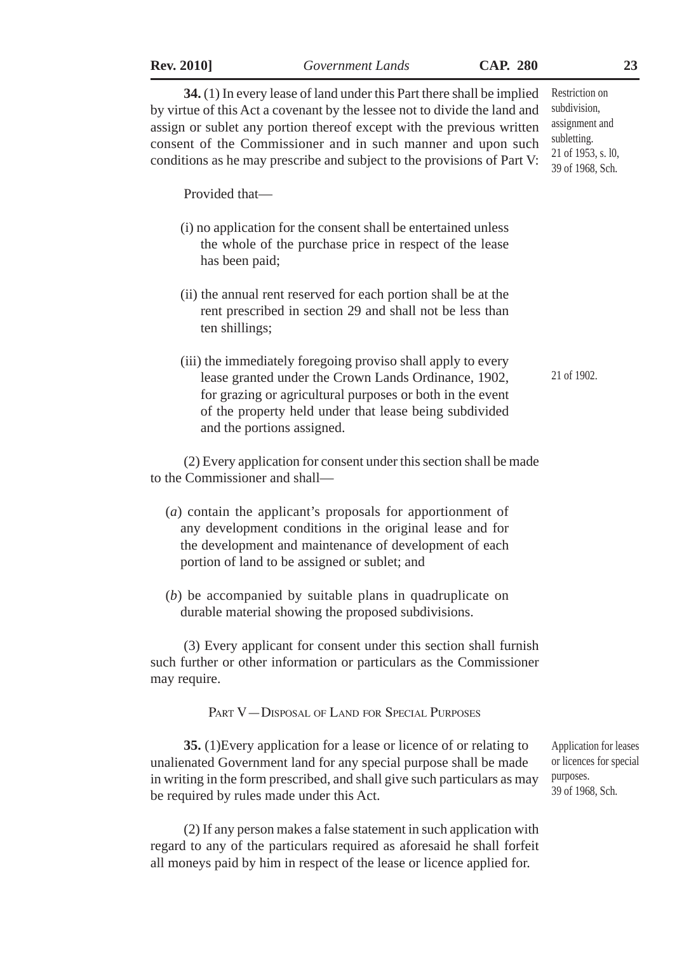| <b>Rev. 2010]</b>              | Government Lands                                                                                                                                                                                                                                                                                                                                                       | <b>CAP. 280</b> |                                                                                                           | 23 |
|--------------------------------|------------------------------------------------------------------------------------------------------------------------------------------------------------------------------------------------------------------------------------------------------------------------------------------------------------------------------------------------------------------------|-----------------|-----------------------------------------------------------------------------------------------------------|----|
|                                | 34. (1) In every lease of land under this Part there shall be implied<br>by virtue of this Act a covenant by the lessee not to divide the land and<br>assign or sublet any portion thereof except with the previous written<br>consent of the Commissioner and in such manner and upon such<br>conditions as he may prescribe and subject to the provisions of Part V: |                 | Restriction on<br>subdivision,<br>assignment and<br>subletting.<br>21 of 1953, s. l0,<br>39 of 1968, Sch. |    |
| Provided that-                 |                                                                                                                                                                                                                                                                                                                                                                        |                 |                                                                                                           |    |
| has been paid;                 | (i) no application for the consent shall be entertained unless<br>the whole of the purchase price in respect of the lease                                                                                                                                                                                                                                              |                 |                                                                                                           |    |
| ten shillings;                 | (ii) the annual rent reserved for each portion shall be at the<br>rent prescribed in section 29 and shall not be less than                                                                                                                                                                                                                                             |                 |                                                                                                           |    |
|                                | (iii) the immediately foregoing proviso shall apply to every<br>lease granted under the Crown Lands Ordinance, 1902,<br>for grazing or agricultural purposes or both in the event<br>of the property held under that lease being subdivided<br>and the portions assigned.                                                                                              |                 | 21 of 1902.                                                                                               |    |
| to the Commissioner and shall- | (2) Every application for consent under this section shall be made                                                                                                                                                                                                                                                                                                     |                 |                                                                                                           |    |
|                                | (a) contain the applicant's proposals for apportionment of<br>any development conditions in the original lease and for<br>the development and maintenance of development of each<br>portion of land to be assigned or sublet; and                                                                                                                                      |                 |                                                                                                           |    |
|                                | $(b)$ be accompanied by suitable plans in quadruplicate on<br>durable material showing the proposed subdivisions.                                                                                                                                                                                                                                                      |                 |                                                                                                           |    |
| may require.                   | (3) Every applicant for consent under this section shall furnish<br>such further or other information or particulars as the Commissioner                                                                                                                                                                                                                               |                 |                                                                                                           |    |
|                                | PART V-DISPOSAL OF LAND FOR SPECIAL PURPOSES                                                                                                                                                                                                                                                                                                                           |                 |                                                                                                           |    |
|                                | 35. (1) Every application for a lease or licence of or relating to<br>unalienated Government land for any special purpose shall be made<br>in writing in the form prescribed, and shall give such particulars as may<br>be required by rules made under this Act.                                                                                                      |                 | Application for leases<br>or licences for special<br>purposes.<br>39 of 1968, Sch.                        |    |
|                                | (2) If any person makes a false statement in such application with<br>regard to any of the particulars required as aforesaid he shall forfeit<br>all moneys paid by him in respect of the lease or licence applied for.                                                                                                                                                |                 |                                                                                                           |    |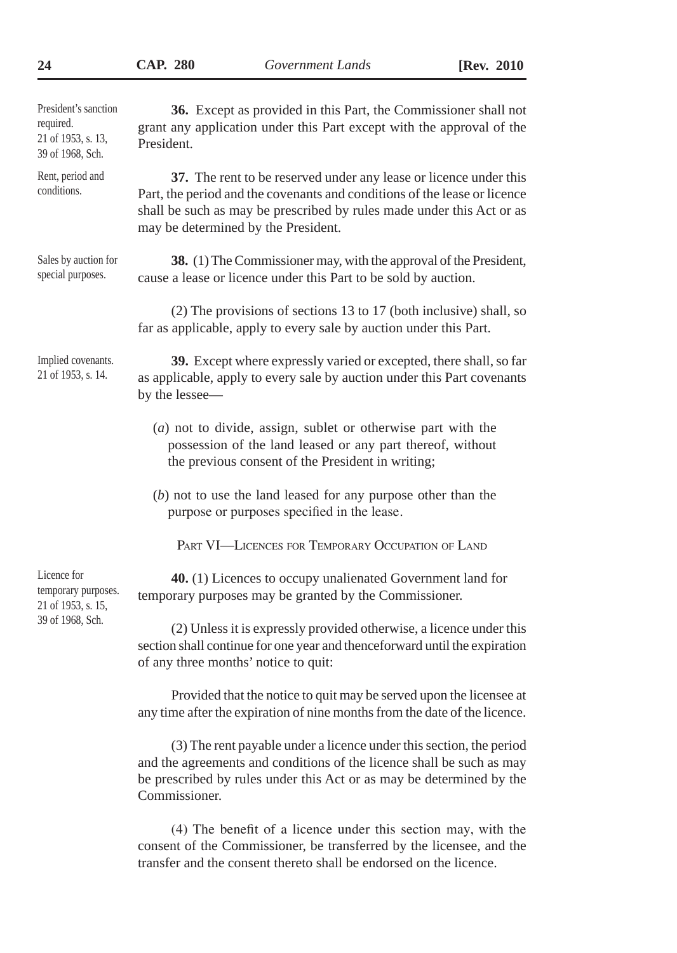| President's sanction<br>required.<br>21 of 1953, s. 13,<br>39 of 1968, Sch. | 36. Except as provided in this Part, the Commissioner shall not<br>grant any application under this Part except with the approval of the<br>President.                                                                                                         |  |
|-----------------------------------------------------------------------------|----------------------------------------------------------------------------------------------------------------------------------------------------------------------------------------------------------------------------------------------------------------|--|
| Rent, period and<br>conditions.                                             | 37. The rent to be reserved under any lease or licence under this<br>Part, the period and the covenants and conditions of the lease or licence<br>shall be such as may be prescribed by rules made under this Act or as<br>may be determined by the President. |  |
| Sales by auction for<br>special purposes.                                   | 38. (1) The Commissioner may, with the approval of the President,<br>cause a lease or licence under this Part to be sold by auction.                                                                                                                           |  |
|                                                                             | (2) The provisions of sections 13 to 17 (both inclusive) shall, so<br>far as applicable, apply to every sale by auction under this Part.                                                                                                                       |  |
| Implied covenants.<br>21 of 1953, s. 14.                                    | 39. Except where expressly varied or excepted, there shall, so far<br>as applicable, apply to every sale by auction under this Part covenants<br>by the lessee-                                                                                                |  |
|                                                                             | $(a)$ not to divide, assign, sublet or otherwise part with the<br>possession of the land leased or any part thereof, without<br>the previous consent of the President in writing;                                                                              |  |
|                                                                             | $(b)$ not to use the land leased for any purpose other than the<br>purpose or purposes specified in the lease.                                                                                                                                                 |  |
|                                                                             | PART VI-LICENCES FOR TEMPORARY OCCUPATION OF LAND                                                                                                                                                                                                              |  |
| Licence for<br>temporary purposes.<br>21 of 1953, s. 15,                    | 40. (1) Licences to occupy unalienated Government land for<br>temporary purposes may be granted by the Commissioner.                                                                                                                                           |  |
| 39 of 1968, Sch.                                                            | (2) Unless it is expressly provided otherwise, a licence under this<br>section shall continue for one year and thenceforward until the expiration<br>of any three months' notice to quit:                                                                      |  |
|                                                                             | Provided that the notice to quit may be served upon the licensee at<br>any time after the expiration of nine months from the date of the licence.                                                                                                              |  |
|                                                                             | $(2)$ The representative under a licence under this section the news d                                                                                                                                                                                         |  |

(3) The rent payable under a licence under this section, the period and the agreements and conditions of the licence shall be such as may be prescribed by rules under this Act or as may be determined by the Commissioner.

(4) The benefit of a licence under this section may, with the consent of the Commissioner, be transferred by the licensee, and the transfer and the consent thereto shall be endorsed on the licence.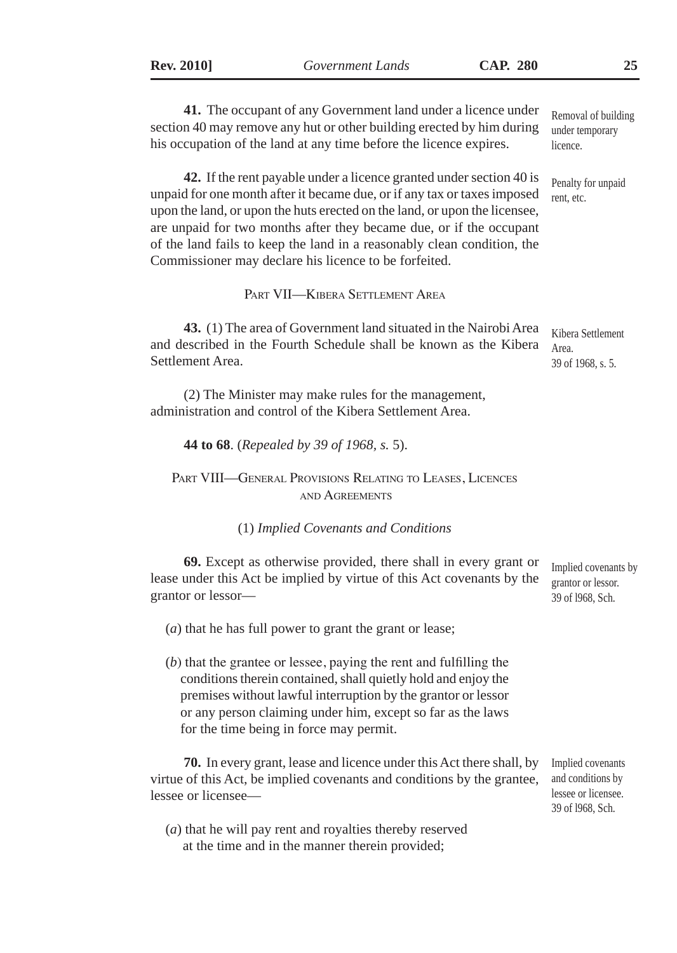**41.** The occupant of any Government land under a licence under section 40 may remove any hut or other building erected by him during his occupation of the land at any time before the licence expires. **42.** If the rent payable under a licence granted under section 40 is unpaid for one month after it became due, or if any tax or taxes imposed upon the land, or upon the huts erected on the land, or upon the licensee, are unpaid for two months after they became due, or if the occupant of the land fails to keep the land in a reasonably clean condition, the Commissioner may declare his licence to be forfeited. Part VII—Kibera Settlement Area **43.** (1) The area of Government land situated in the Nairobi Area and described in the Fourth Schedule shall be known as the Kibera Settlement Area. (2) The Minister may make rules for the management, administration and control of the Kibera Settlement Area. **44 to 68**. (*Repealed by 39 of 1968, s.* 5). Part VIII—General Provisions Relating to Leases, Licences and Agreements (1) *Implied Covenants and Conditions* **69.** Except as otherwise provided, there shall in every grant or lease under this Act be implied by virtue of this Act covenants by the grantor or lessor— (*a*) that he has full power to grant the grant or lease; (*b*) that the grantee or lessee, paying the rent and fulfilling the conditions therein contained, shall quietly hold and enjoy the premises without lawful interruption by the grantor or lessor or any person claiming under him, except so far as the laws for the time being in force may permit. **70.** In every grant, lease and licence under this Act there shall, by virtue of this Act, be implied covenants and conditions by the grantee, lessee or licensee— (*a*) that he will pay rent and royalties thereby reserved at the time and in the manner therein provided; Removal of building under temporary licence. Penalty for unpaid rent, etc. Kibera Settlement Area. 39 of 1968, s. 5. Implied covenants by grantor or lessor. 39 of l968, Sch. Implied covenants and conditions by lessee or licensee. 39 of l968, Sch.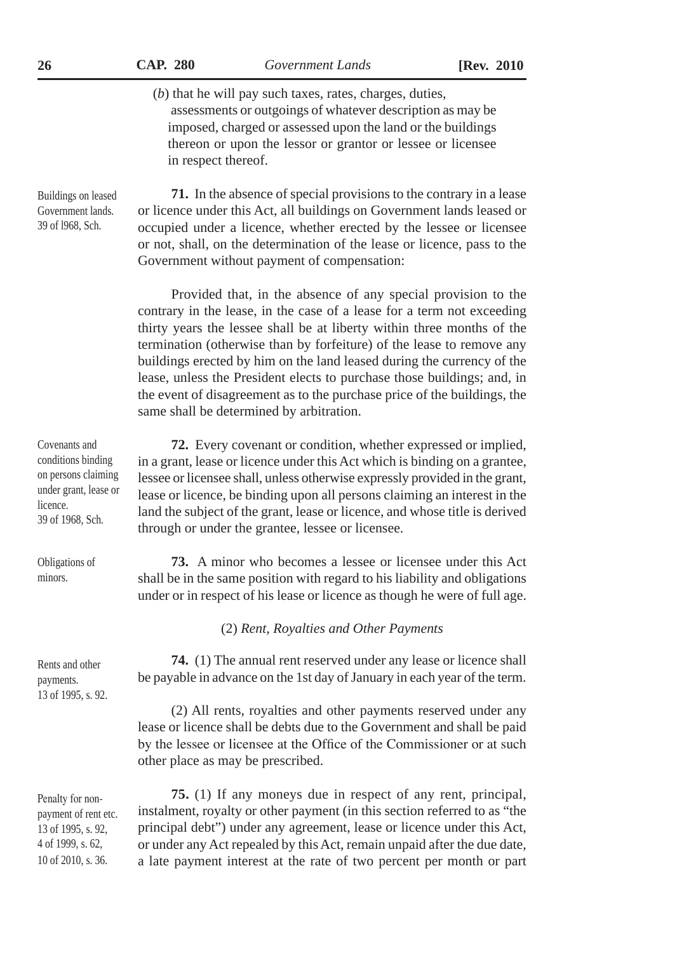| 26                                                                                                                  | <b>CAP. 280</b>                                                                                                                                                                                                                                                                                                                                        | Government Lands                                                                                                                                                                                                                                                                                                                                                                                                                                                                                                                                                        | [Rev. 2010] |
|---------------------------------------------------------------------------------------------------------------------|--------------------------------------------------------------------------------------------------------------------------------------------------------------------------------------------------------------------------------------------------------------------------------------------------------------------------------------------------------|-------------------------------------------------------------------------------------------------------------------------------------------------------------------------------------------------------------------------------------------------------------------------------------------------------------------------------------------------------------------------------------------------------------------------------------------------------------------------------------------------------------------------------------------------------------------------|-------------|
|                                                                                                                     | in respect thereof.                                                                                                                                                                                                                                                                                                                                    | $(b)$ that he will pay such taxes, rates, charges, duties,<br>assessments or outgoings of whatever description as may be<br>imposed, charged or assessed upon the land or the buildings<br>thereon or upon the lessor or grantor or lessee or licensee                                                                                                                                                                                                                                                                                                                  |             |
| Buildings on leased<br>Government lands.<br>39 of 1968, Sch.                                                        | <b>71.</b> In the absence of special provisions to the contrary in a lease<br>or licence under this Act, all buildings on Government lands leased or<br>occupied under a licence, whether erected by the lessee or licensee<br>or not, shall, on the determination of the lease or licence, pass to the<br>Government without payment of compensation: |                                                                                                                                                                                                                                                                                                                                                                                                                                                                                                                                                                         |             |
|                                                                                                                     |                                                                                                                                                                                                                                                                                                                                                        | Provided that, in the absence of any special provision to the<br>contrary in the lease, in the case of a lease for a term not exceeding<br>thirty years the lessee shall be at liberty within three months of the<br>termination (otherwise than by forfeiture) of the lease to remove any<br>buildings erected by him on the land leased during the currency of the<br>lease, unless the President elects to purchase those buildings; and, in<br>the event of disagreement as to the purchase price of the buildings, the<br>same shall be determined by arbitration. |             |
| Covenants and<br>conditions binding<br>on persons claiming<br>under grant, lease or<br>licence.<br>39 of 1968, Sch. |                                                                                                                                                                                                                                                                                                                                                        | 72. Every covenant or condition, whether expressed or implied,<br>in a grant, lease or licence under this Act which is binding on a grantee,<br>lessee or licensee shall, unless otherwise expressly provided in the grant,<br>lease or licence, be binding upon all persons claiming an interest in the<br>land the subject of the grant, lease or licence, and whose title is derived<br>through or under the grantee, lessee or licensee.                                                                                                                            |             |
| Obligations of<br>minors.                                                                                           |                                                                                                                                                                                                                                                                                                                                                        | 73. A minor who becomes a lessee or licensee under this Act<br>shall be in the same position with regard to his liability and obligations<br>under or in respect of his lease or licence as though he were of full age.                                                                                                                                                                                                                                                                                                                                                 |             |
|                                                                                                                     |                                                                                                                                                                                                                                                                                                                                                        | (2) Rent, Royalties and Other Payments                                                                                                                                                                                                                                                                                                                                                                                                                                                                                                                                  |             |
| Rents and other<br>payments.<br>13 of 1995, s. 92.                                                                  |                                                                                                                                                                                                                                                                                                                                                        | 74. (1) The annual rent reserved under any lease or licence shall<br>be payable in advance on the 1st day of January in each year of the term.                                                                                                                                                                                                                                                                                                                                                                                                                          |             |
|                                                                                                                     | (2) All rents, royalties and other payments reserved under any<br>lease or licence shall be debts due to the Government and shall be paid<br>by the lessee or licensee at the Office of the Commissioner or at such<br>other place as may be prescribed.                                                                                               |                                                                                                                                                                                                                                                                                                                                                                                                                                                                                                                                                                         |             |
| Penalty for non-<br>payment of rent etc.<br>13 of 1995, s. 92,<br>4 of 1999, s. 62,<br>10 of 2010, s. 36.           |                                                                                                                                                                                                                                                                                                                                                        | 75. (1) If any moneys due in respect of any rent, principal,<br>instalment, royalty or other payment (in this section referred to as "the<br>principal debt") under any agreement, lease or licence under this Act,<br>or under any Act repealed by this Act, remain unpaid after the due date,<br>a late payment interest at the rate of two percent per month or part                                                                                                                                                                                                 |             |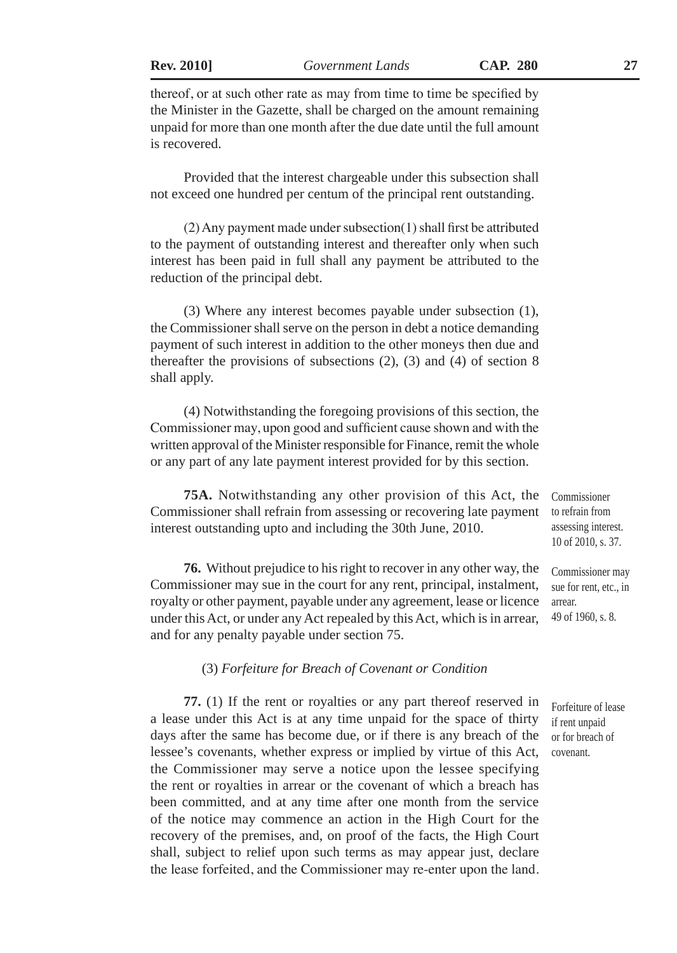thereof, or at such other rate as may from time to time be specified by the Minister in the Gazette, shall be charged on the amount remaining unpaid for more than one month after the due date until the full amount is recovered.

Provided that the interest chargeable under this subsection shall not exceed one hundred per centum of the principal rent outstanding.

(2) Any payment made under subsection(1) shall first be attributed to the payment of outstanding interest and thereafter only when such interest has been paid in full shall any payment be attributed to the reduction of the principal debt.

(3) Where any interest becomes payable under subsection (1), the Commissioner shall serve on the person in debt a notice demanding payment of such interest in addition to the other moneys then due and thereafter the provisions of subsections  $(2)$ ,  $(3)$  and  $(4)$  of section 8 shall apply.

(4) Notwithstanding the foregoing provisions of this section, the Commissioner may, upon good and sufficient cause shown and with the written approval of the Minister responsible for Finance, remit the whole or any part of any late payment interest provided for by this section.

**75A.** Notwithstanding any other provision of this Act, the Commissioner shall refrain from assessing or recovering late payment interest outstanding upto and including the 30th June, 2010.

**76.** Without prejudice to his right to recover in any other way, the Commissioner may sue in the court for any rent, principal, instalment, royalty or other payment, payable under any agreement, lease or licence under this Act, or under any Act repealed by this Act, which is in arrear, and for any penalty payable under section 75.

## (3) *Forfeiture for Breach of Covenant or Condition*

**77.** (1) If the rent or royalties or any part thereof reserved in a lease under this Act is at any time unpaid for the space of thirty days after the same has become due, or if there is any breach of the lessee's covenants, whether express or implied by virtue of this Act, the Commissioner may serve a notice upon the lessee specifying the rent or royalties in arrear or the covenant of which a breach has been committed, and at any time after one month from the service of the notice may commence an action in the High Court for the recovery of the premises, and, on proof of the facts, the High Court shall, subject to relief upon such terms as may appear just, declare the lease forfeited, and the Commissioner may re-enter upon the land.

Commissioner to refrain from assessing interest. 10 of 2010, s. 37.

Commissioner may sue for rent, etc., in arrear. 49 of 1960, s. 8.

Forfeiture of lease if rent unpaid or for breach of covenant.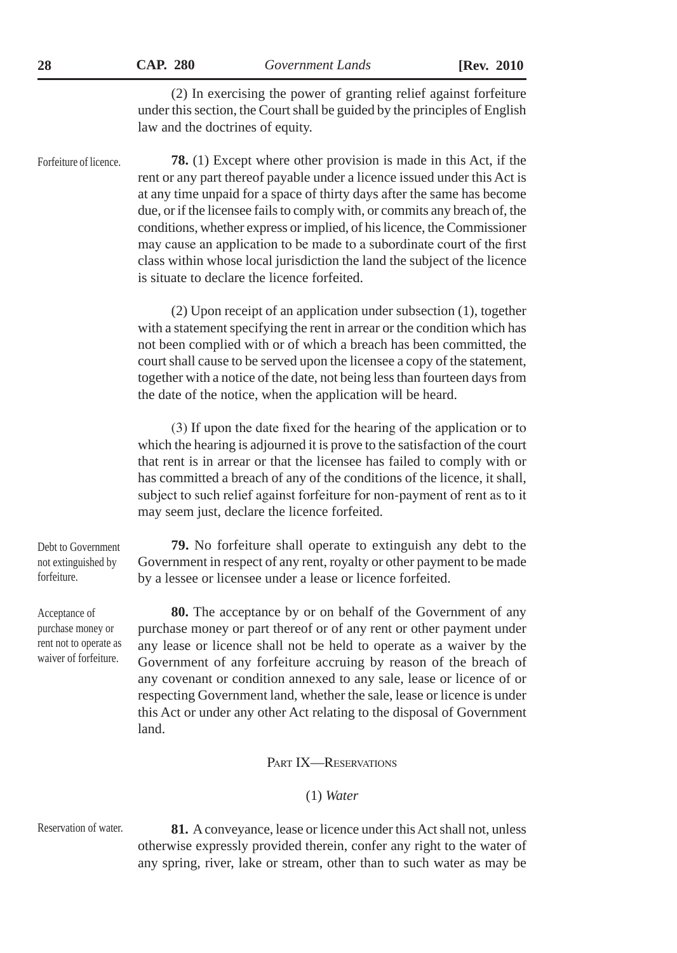(2) In exercising the power of granting relief against forfeiture under this section, the Court shall be guided by the principles of English law and the doctrines of equity.

Forfeiture of licence.

**78.** (1) Except where other provision is made in this Act, if the rent or any part thereof payable under a licence issued under this Act is at any time unpaid for a space of thirty days after the same has become due, or if the licensee fails to comply with, or commits any breach of, the conditions, whether express or implied, of his licence, the Commissioner may cause an application to be made to a subordinate court of the first class within whose local jurisdiction the land the subject of the licence is situate to declare the licence forfeited.

(2) Upon receipt of an application under subsection (1), together with a statement specifying the rent in arrear or the condition which has not been complied with or of which a breach has been committed, the court shall cause to be served upon the licensee a copy of the statement, together with a notice of the date, not being less than fourteen days from the date of the notice, when the application will be heard.

(3) If upon the date fixed for the hearing of the application or to which the hearing is adjourned it is prove to the satisfaction of the court that rent is in arrear or that the licensee has failed to comply with or has committed a breach of any of the conditions of the licence, it shall, subject to such relief against forfeiture for non-payment of rent as to it may seem just, declare the licence forfeited.

Debt to Government not extinguished by forfeiture.

Acceptance of purchase money or rent not to operate as waiver of forfeiture.

**79.** No forfeiture shall operate to extinguish any debt to the Government in respect of any rent, royalty or other payment to be made by a lessee or licensee under a lease or licence forfeited.

**80.** The acceptance by or on behalf of the Government of any purchase money or part thereof or of any rent or other payment under any lease or licence shall not be held to operate as a waiver by the Government of any forfeiture accruing by reason of the breach of any covenant or condition annexed to any sale, lease or licence of or respecting Government land, whether the sale, lease or licence is under this Act or under any other Act relating to the disposal of Government land.

PART IX-RESERVATIONS

## (1) *Water*

Reservation of water.

**81.** A conveyance, lease or licence under this Act shall not, unless otherwise expressly provided therein, confer any right to the water of any spring, river, lake or stream, other than to such water as may be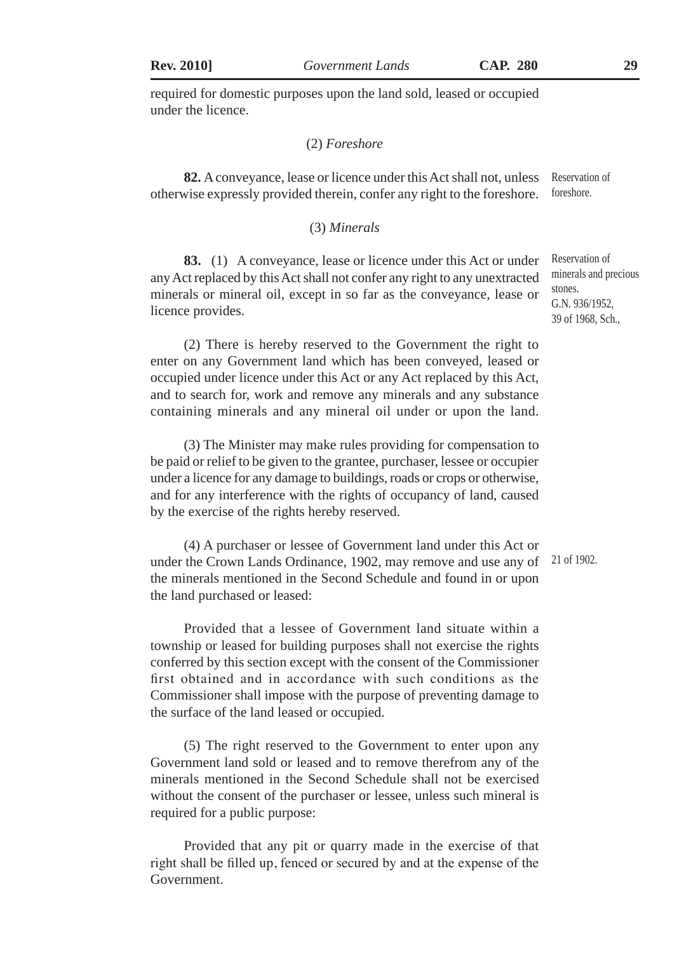required for domestic purposes upon the land sold, leased or occupied under the licence.

## (2) *Foreshore*

**82.** A conveyance, lease or licence under this Act shall not, unless Reservation of otherwise expressly provided therein, confer any right to the foreshore. foreshore.

#### (3) *Minerals*

**83.** (1) A conveyance, lease or licence under this Act or under any Act replaced by this Act shall not confer any right to any unextracted minerals or mineral oil, except in so far as the conveyance, lease or licence provides.

(2) There is hereby reserved to the Government the right to enter on any Government land which has been conveyed, leased or occupied under licence under this Act or any Act replaced by this Act, and to search for, work and remove any minerals and any substance containing minerals and any mineral oil under or upon the land.

(3) The Minister may make rules providing for compensation to be paid or relief to be given to the grantee, purchaser, lessee or occupier under a licence for any damage to buildings, roads or crops or otherwise, and for any interference with the rights of occupancy of land, caused by the exercise of the rights hereby reserved.

(4) A purchaser or lessee of Government land under this Act or under the Crown Lands Ordinance, 1902, may remove and use any of the minerals mentioned in the Second Schedule and found in or upon the land purchased or leased: 21 of 1902.

Provided that a lessee of Government land situate within a township or leased for building purposes shall not exercise the rights conferred by this section except with the consent of the Commissioner first obtained and in accordance with such conditions as the Commissioner shall impose with the purpose of preventing damage to the surface of the land leased or occupied.

(5) The right reserved to the Government to enter upon any Government land sold or leased and to remove therefrom any of the minerals mentioned in the Second Schedule shall not be exercised without the consent of the purchaser or lessee, unless such mineral is required for a public purpose:

Provided that any pit or quarry made in the exercise of that right shall be filled up, fenced or secured by and at the expense of the Government.

Reservation of minerals and precious stones. G.N. 936/1952, 39 of 1968, Sch.,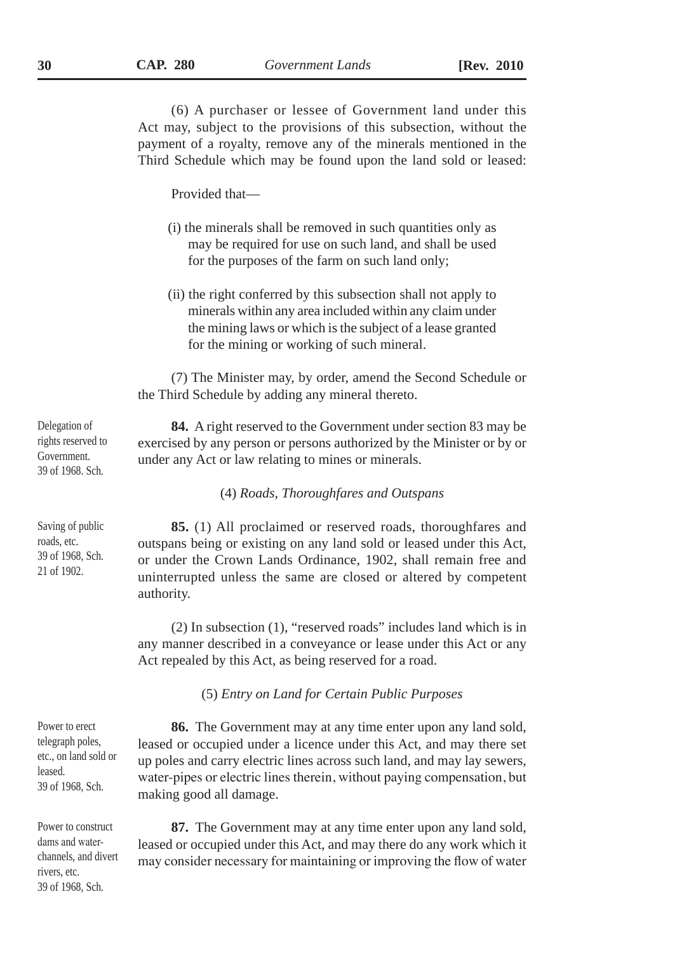(6) A purchaser or lessee of Government land under this Act may, subject to the provisions of this subsection, without the payment of a royalty, remove any of the minerals mentioned in the Third Schedule which may be found upon the land sold or leased:

Provided that—

- (i) the minerals shall be removed in such quantities only as may be required for use on such land, and shall be used for the purposes of the farm on such land only;
- (ii) the right conferred by this subsection shall not apply to minerals within any area included within any claim under the mining laws or which is the subject of a lease granted for the mining or working of such mineral.

(7) The Minister may, by order, amend the Second Schedule or the Third Schedule by adding any mineral thereto.

**84.** A right reserved to the Government under section 83 may be exercised by any person or persons authorized by the Minister or by or under any Act or law relating to mines or minerals.

(4) *Roads, Thoroughfares and Outspans*

**85.** (1) All proclaimed or reserved roads, thoroughfares and outspans being or existing on any land sold or leased under this Act, or under the Crown Lands Ordinance, 1902, shall remain free and uninterrupted unless the same are closed or altered by competent authority.

(2) In subsection (1), "reserved roads" includes land which is in any manner described in a conveyance or lease under this Act or any Act repealed by this Act, as being reserved for a road.

(5) *Entry on Land for Certain Public Purposes*

**86.** The Government may at any time enter upon any land sold, leased or occupied under a licence under this Act, and may there set up poles and carry electric lines across such land, and may lay sewers, water-pipes or electric lines therein, without paying compensation, but making good all damage.

**87.** The Government may at any time enter upon any land sold, leased or occupied under this Act, and may there do any work which it may consider necessary for maintaining or improving the flow of water

Delegation of rights reserved to Government. 39 of 1968. Sch.

Saving of public roads, etc. 39 of 1968, Sch. 21 of 1902.

Power to erect telegraph poles, etc., on land sold or leased. 39 of 1968, Sch.

Power to construct dams and waterchannels, and divert rivers, etc. 39 of 1968, Sch.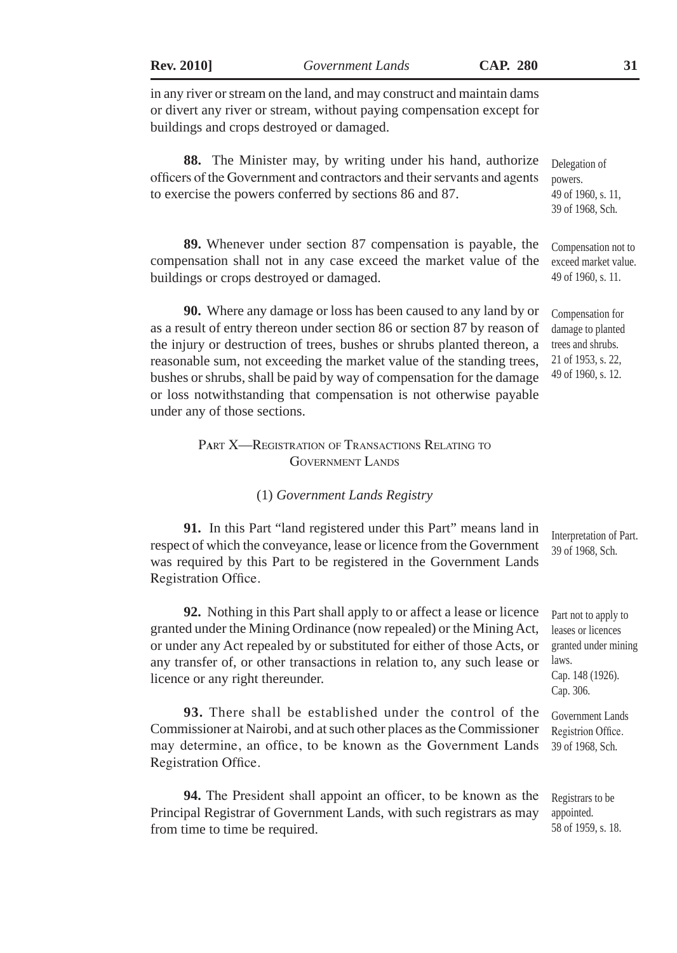**Rev. 2010]** *Government Lands* **CAP. 280 31**

in any river or stream on the land, and may construct and maintain dams or divert any river or stream, without paying compensation except for buildings and crops destroyed or damaged.

**88.** The Minister may, by writing under his hand, authorize officers of the Government and contractors and their servants and agents to exercise the powers conferred by sections 86 and 87. Delegation of powers. 49 of 1960, s. 11,

**89.** Whenever under section 87 compensation is payable, the compensation shall not in any case exceed the market value of the buildings or crops destroyed or damaged. Compensation not to exceed market value. 49 of 1960, s. 11.

**90.** Where any damage or loss has been caused to any land by or as a result of entry thereon under section 86 or section 87 by reason of the injury or destruction of trees, bushes or shrubs planted thereon, a reasonable sum, not exceeding the market value of the standing trees, bushes or shrubs, shall be paid by way of compensation for the damage or loss notwithstanding that compensation is not otherwise payable under any of those sections.

# P**<sup>a</sup>**rt X—Registration of Transactions Relating to Government Lands

#### (1) *Government Lands Registry*

**91.** In this Part "land registered under this Part" means land in respect of which the conveyance, lease or licence from the Government was required by this Part to be registered in the Government Lands Registration Office.

**92.** Nothing in this Part shall apply to or affect a lease or licence granted under the Mining Ordinance (now repealed) or the Mining Act, or under any Act repealed by or substituted for either of those Acts, or any transfer of, or other transactions in relation to, any such lease or licence or any right thereunder.

**93.** There shall be established under the control of the Commissioner at Nairobi, and at such other places as the Commissioner may determine, an office, to be known as the Government Lands Registration Office.

**94.** The President shall appoint an officer, to be known as the Principal Registrar of Government Lands, with such registrars as may from time to time be required.

Interpretation of Part. 39 of 1968, Sch.

Part not to apply to leases or licences granted under mining laws. Cap. 148 (1926). Cap. 306.

Government Lands Registrion Office. 39 of 1968, Sch.

Registrars to be appointed. 58 of 1959, s. 18.

39 of 1968, Sch.

Compensation for damage to planted trees and shrubs. 21 of 1953, s. 22, 49 of 1960, s. 12.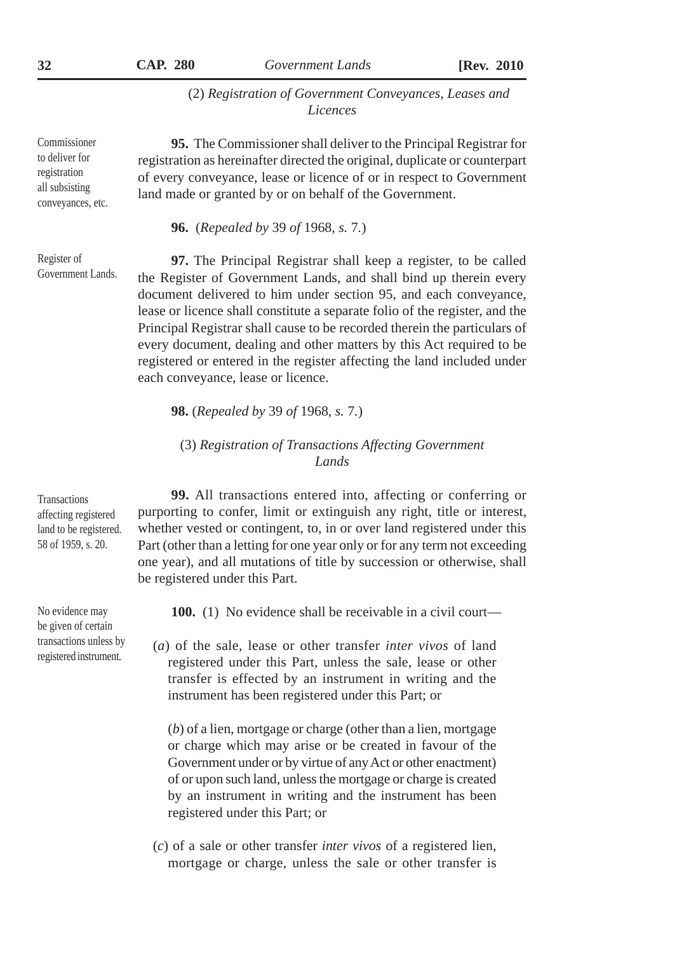(2) *Registration of Government Conveyances, Leases and Licences*

**95.** The Commissioner shall deliver to the Principal Registrar for registration as hereinafter directed the original, duplicate or counterpart of every conveyance, lease or licence of or in respect to Government land made or granted by or on behalf of the Government.

**96.** (*Repealed by* 39 *of* 1968*, s.* 7*.*)

Register of Government Lands.

**97.** The Principal Registrar shall keep a register, to be called the Register of Government Lands, and shall bind up therein every document delivered to him under section 95, and each conveyance, lease or licence shall constitute a separate folio of the register, and the Principal Registrar shall cause to be recorded therein the particulars of every document, dealing and other matters by this Act required to be registered or entered in the register affecting the land included under each conveyance, lease or licence.

**98.** (*Repealed by* 39 *of* 1968*, s.* 7*.*)

# (3) *Registration of Transactions Affecting Government Lands*

**99.** All transactions entered into, affecting or conferring or purporting to confer, limit or extinguish any right, title or interest, whether vested or contingent, to, in or over land registered under this Part (other than a letting for one year only or for any term not exceeding one year), and all mutations of title by succession or otherwise, shall be registered under this Part.

**100.** (1) No evidence shall be receivable in a civil court—

(*a*) of the sale, lease or other transfer *inter vivos* of land registered under this Part, unless the sale, lease or other transfer is effected by an instrument in writing and the instrument has been registered under this Part; or

(*b*) of a lien, mortgage or charge (other than a lien, mortgage or charge which may arise or be created in favour of the Government under or by virtue of any Act or other enactment) of or upon such land, unless the mortgage or charge is created by an instrument in writing and the instrument has been registered under this Part; or

(*c*) of a sale or other transfer *inter vivos* of a registered lien, mortgage or charge, unless the sale or other transfer is

**Transactions** affecting registered land to be registered. 58 of 1959, s. 20.

No evidence may be given of certain transactions unless by registered instrument.

Commissioner to deliver for registration all subsisting conveyances, etc.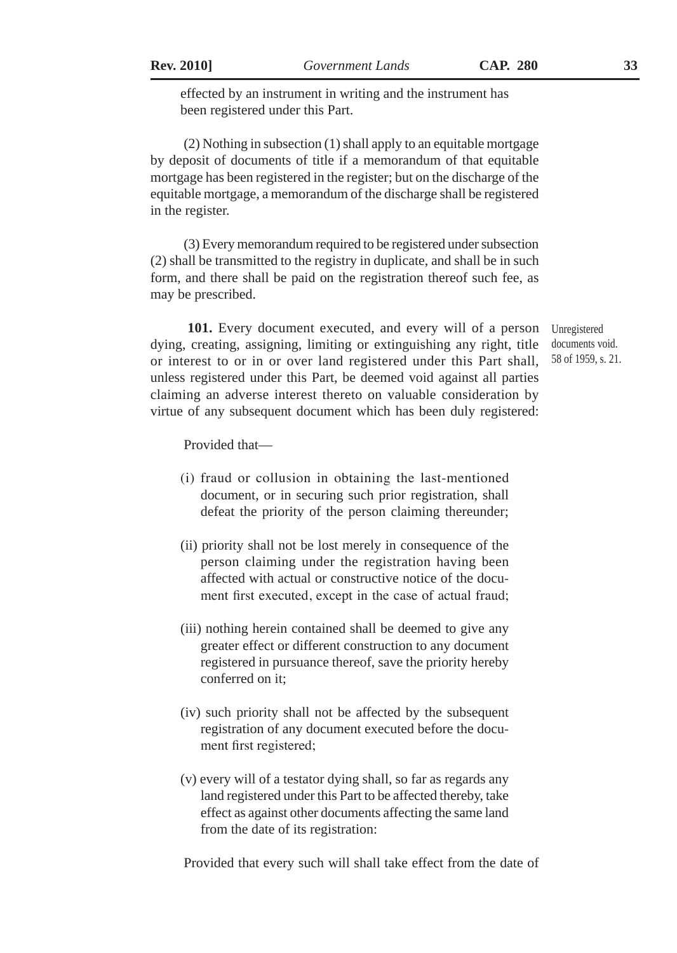effected by an instrument in writing and the instrument has been registered under this Part.

(2) Nothing in subsection (1) shall apply to an equitable mortgage by deposit of documents of title if a memorandum of that equitable mortgage has been registered in the register; but on the discharge of the equitable mortgage, a memorandum of the discharge shall be registered in the register.

(3) Every memorandum required to be registered under subsection (2) shall be transmitted to the registry in duplicate, and shall be in such form, and there shall be paid on the registration thereof such fee, as may be prescribed.

**101.** Every document executed, and every will of a person dying, creating, assigning, limiting or extinguishing any right, title or interest to or in or over land registered under this Part shall, unless registered under this Part, be deemed void against all parties claiming an adverse interest thereto on valuable consideration by virtue of any subsequent document which has been duly registered:

Unregistered documents void. 58 of 1959, s. 21.

Provided that—

- (i) fraud or collusion in obtaining the last-mentioned document, or in securing such prior registration, shall defeat the priority of the person claiming thereunder;
- (ii) priority shall not be lost merely in consequence of the person claiming under the registration having been affected with actual or constructive notice of the document first executed, except in the case of actual fraud;
- (iii) nothing herein contained shall be deemed to give any greater effect or different construction to any document registered in pursuance thereof, save the priority hereby conferred on it;
- (iv) such priority shall not be affected by the subsequent registration of any document executed before the document first registered;
- (v) every will of a testator dying shall, so far as regards any land registered under this Part to be affected thereby, take effect as against other documents affecting the same land from the date of its registration:

Provided that every such will shall take effect from the date of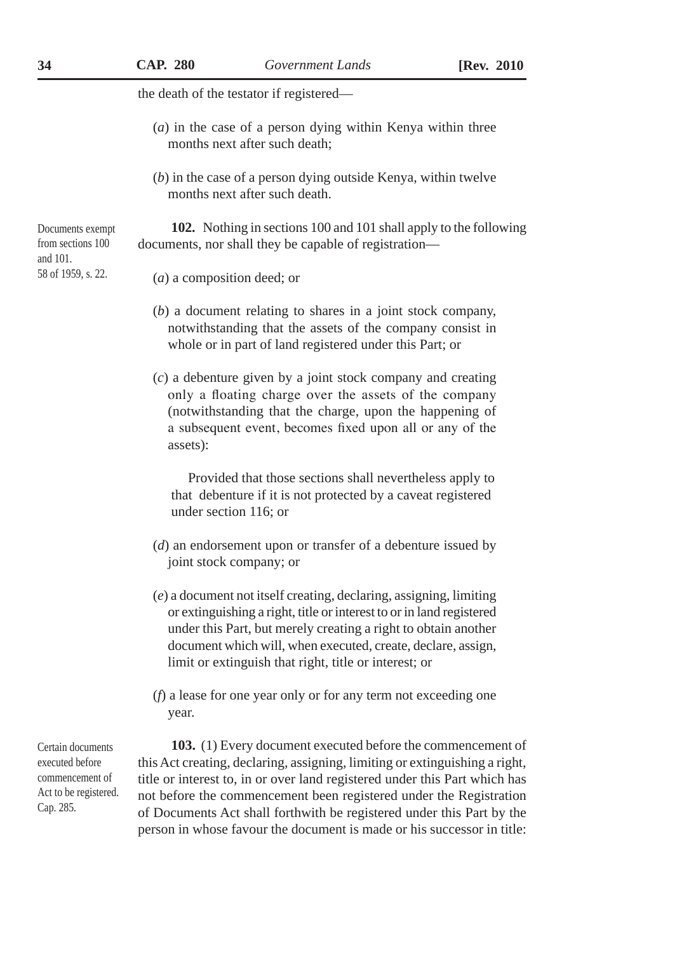the death of the testator if registered—

- (*a*) in the case of a person dying within Kenya within three months next after such death;
- (*b*) in the case of a person dying outside Kenya, within twelve months next after such death.

**102.** Nothing in sections 100 and 101 shall apply to the following documents, nor shall they be capable of registration—

#### (*a*) a composition deed; or

- (*b*) a document relating to shares in a joint stock company, notwithstanding that the assets of the company consist in whole or in part of land registered under this Part; or
- (*c*) a debenture given by a joint stock company and creating only a floating charge over the assets of the company (notwithstanding that the charge, upon the happening of a subsequent event, becomes fixed upon all or any of the assets):

Provided that those sections shall nevertheless apply to that debenture if it is not protected by a caveat registered under section 116; or

- (*d*) an endorsement upon or transfer of a debenture issued by joint stock company; or
- (*e*) a document not itself creating, declaring, assigning, limiting or extinguishing a right, title or interest to or in land registered under this Part, but merely creating a right to obtain another document which will, when executed, create, declare, assign, limit or extinguish that right, title or interest; or
- (*f*) a lease for one year only or for any term not exceeding one year.

Certain documents executed before commencement of Act to be registered. Cap. 285.

**103.** (1) Every document executed before the commencement of this Act creating, declaring, assigning, limiting or extinguishing a right, title or interest to, in or over land registered under this Part which has not before the commencement been registered under the Registration of Documents Act shall forthwith be registered under this Part by the person in whose favour the document is made or his successor in title:

Documents exempt from sections 100 and 101. 58 of 1959, s. 22.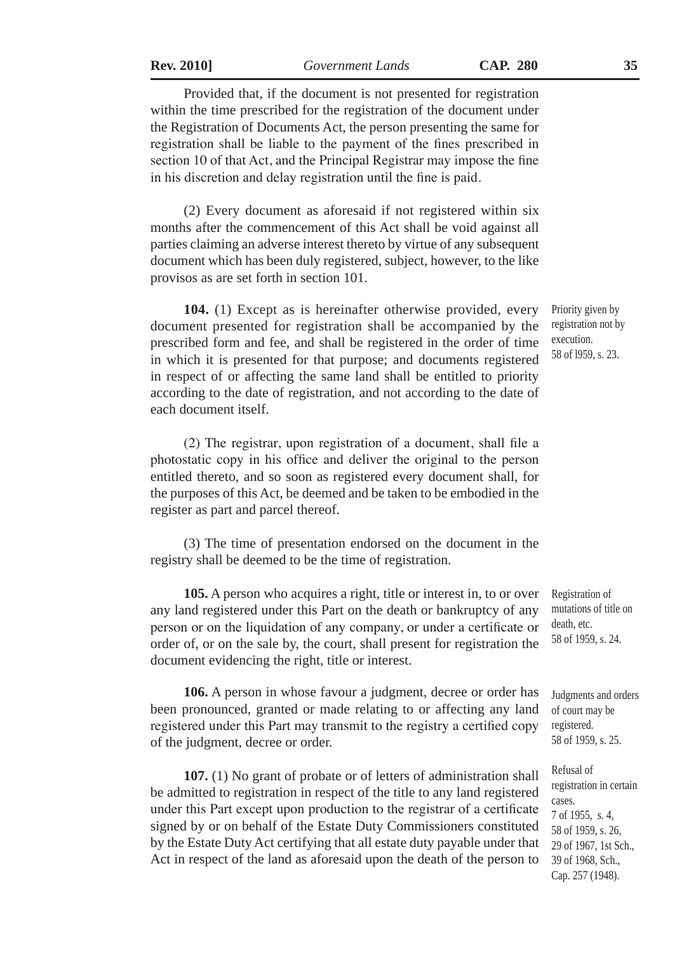**Rev. 2010]** *Government Lands* **CAP. 280 35**

Provided that, if the document is not presented for registration within the time prescribed for the registration of the document under the Registration of Documents Act, the person presenting the same for registration shall be liable to the payment of the fines prescribed in section 10 of that Act, and the Principal Registrar may impose the fine in his discretion and delay registration until the fine is paid.

(2) Every document as aforesaid if not registered within six months after the commencement of this Act shall be void against all parties claiming an adverse interest thereto by virtue of any subsequent document which has been duly registered, subject, however, to the like provisos as are set forth in section 101.

**104.** (1) Except as is hereinafter otherwise provided, every document presented for registration shall be accompanied by the prescribed form and fee, and shall be registered in the order of time in which it is presented for that purpose; and documents registered in respect of or affecting the same land shall be entitled to priority according to the date of registration, and not according to the date of each document itself.

(2) The registrar, upon registration of a document, shall file a photostatic copy in his office and deliver the original to the person entitled thereto, and so soon as registered every document shall, for the purposes of this Act, be deemed and be taken to be embodied in the register as part and parcel thereof.

(3) The time of presentation endorsed on the document in the registry shall be deemed to be the time of registration.

**105.** A person who acquires a right, title or interest in, to or over any land registered under this Part on the death or bankruptcy of any person or on the liquidation of any company, or under a certificate or order of, or on the sale by, the court, shall present for registration the document evidencing the right, title or interest.

**106.** A person in whose favour a judgment, decree or order has been pronounced, granted or made relating to or affecting any land registered under this Part may transmit to the registry a certified copy of the judgment, decree or order.

**107.** (1) No grant of probate or of letters of administration shall be admitted to registration in respect of the title to any land registered under this Part except upon production to the registrar of a certificate signed by or on behalf of the Estate Duty Commissioners constituted by the Estate Duty Act certifying that all estate duty payable under that Act in respect of the land as aforesaid upon the death of the person to

Priority given by registration not by execution. 58 of l959, s. 23.

Registration of mutations of title on death, etc. 58 of 1959, s. 24.

Judgments and orders of court may be registered. 58 of 1959, s. 25.

Refusal of registration in certain cases. 7 of 1955, s. 4, 58 of 1959, s. 26, 29 of 1967, 1st Sch., 39 of 1968, Sch., Cap. 257 (1948).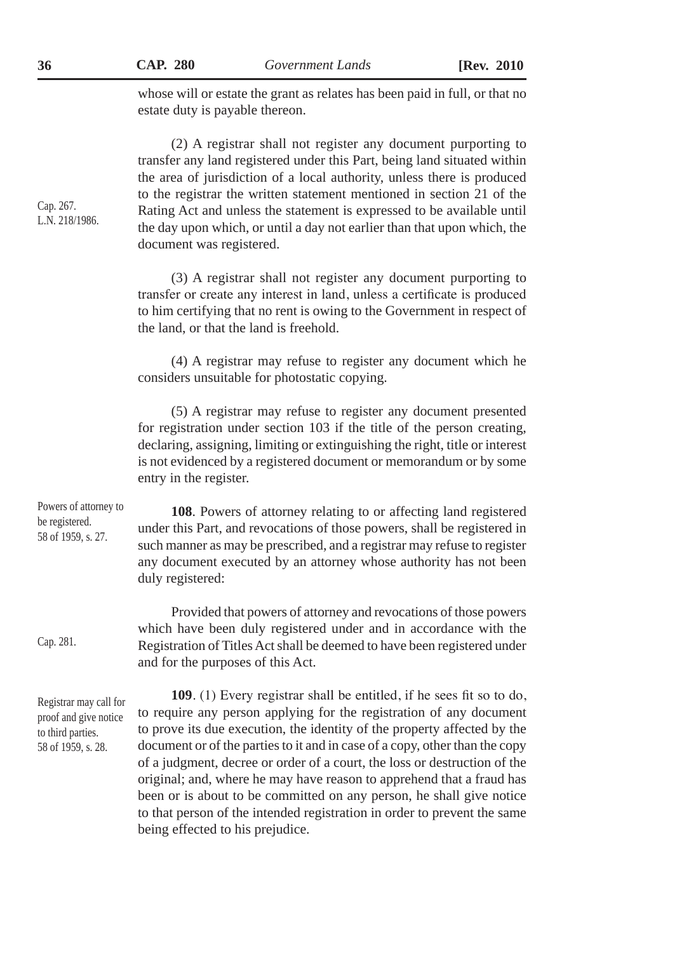whose will or estate the grant as relates has been paid in full, or that no estate duty is payable thereon.

(2) A registrar shall not register any document purporting to transfer any land registered under this Part, being land situated within the area of jurisdiction of a local authority, unless there is produced to the registrar the written statement mentioned in section 21 of the Rating Act and unless the statement is expressed to be available until the day upon which, or until a day not earlier than that upon which, the document was registered.

(3) A registrar shall not register any document purporting to transfer or create any interest in land, unless a certificate is produced to him certifying that no rent is owing to the Government in respect of the land, or that the land is freehold.

(4) A registrar may refuse to register any document which he considers unsuitable for photostatic copying.

(5) A registrar may refuse to register any document presented for registration under section 103 if the title of the person creating, declaring, assigning, limiting or extinguishing the right, title or interest is not evidenced by a registered document or memorandum or by some entry in the register.

**108**. Powers of attorney relating to or affecting land registered under this Part, and revocations of those powers, shall be registered in such manner as may be prescribed, and a registrar may refuse to register any document executed by an attorney whose authority has not been duly registered: Powers of attorney to be registered. 58 of 1959, s. 27.

> Provided that powers of attorney and revocations of those powers which have been duly registered under and in accordance with the Registration of Titles Act shall be deemed to have been registered under and for the purposes of this Act.

Registrar may call for proof and give notice to third parties. 58 of 1959, s. 28.

Cap. 281.

**109**. (1) Every registrar shall be entitled, if he sees fit so to do, to require any person applying for the registration of any document to prove its due execution, the identity of the property affected by the document or of the parties to it and in case of a copy, other than the copy of a judgment, decree or order of a court, the loss or destruction of the original; and, where he may have reason to apprehend that a fraud has been or is about to be committed on any person, he shall give notice to that person of the intended registration in order to prevent the same being effected to his prejudice.

Cap. 267. L.N. 218/1986.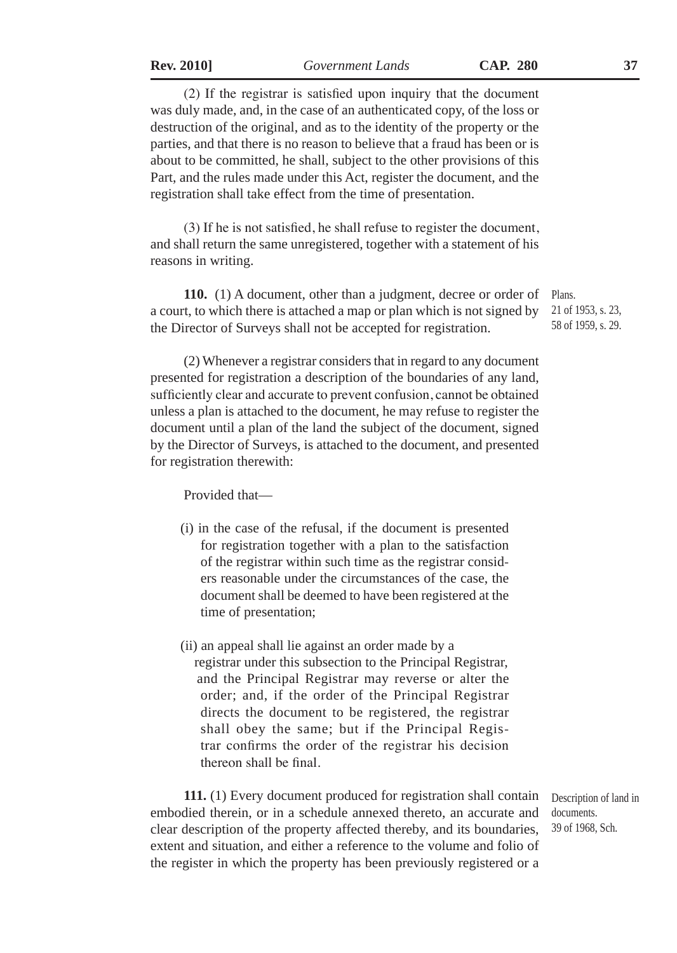(2) If the registrar is satisfied upon inquiry that the document was duly made, and, in the case of an authenticated copy, of the loss or destruction of the original, and as to the identity of the property or the parties, and that there is no reason to believe that a fraud has been or is about to be committed, he shall, subject to the other provisions of this Part, and the rules made under this Act, register the document, and the registration shall take effect from the time of presentation.

(3) If he is not satisfied, he shall refuse to register the document, and shall return the same unregistered, together with a statement of his reasons in writing.

**110.** (1) A document, other than a judgment, decree or order of a court, to which there is attached a map or plan which is not signed by the Director of Surveys shall not be accepted for registration.

(2) Whenever a registrar considers that in regard to any document presented for registration a description of the boundaries of any land, sufficiently clear and accurate to prevent confusion, cannot be obtained unless a plan is attached to the document, he may refuse to register the document until a plan of the land the subject of the document, signed by the Director of Surveys, is attached to the document, and presented for registration therewith:

Provided that—

- (i) in the case of the refusal, if the document is presented for registration together with a plan to the satisfaction of the registrar within such time as the registrar considers reasonable under the circumstances of the case, the document shall be deemed to have been registered at the time of presentation;
- (ii) an appeal shall lie against an order made by a registrar under this subsection to the Principal Registrar, and the Principal Registrar may reverse or alter the order; and, if the order of the Principal Registrar directs the document to be registered, the registrar shall obey the same; but if the Principal Registrar confirms the order of the registrar his decision thereon shall be final.

**111.** (1) Every document produced for registration shall contain embodied therein, or in a schedule annexed thereto, an accurate and clear description of the property affected thereby, and its boundaries, extent and situation, and either a reference to the volume and folio of the register in which the property has been previously registered or a

Description of land in documents. 39 of 1968, Sch.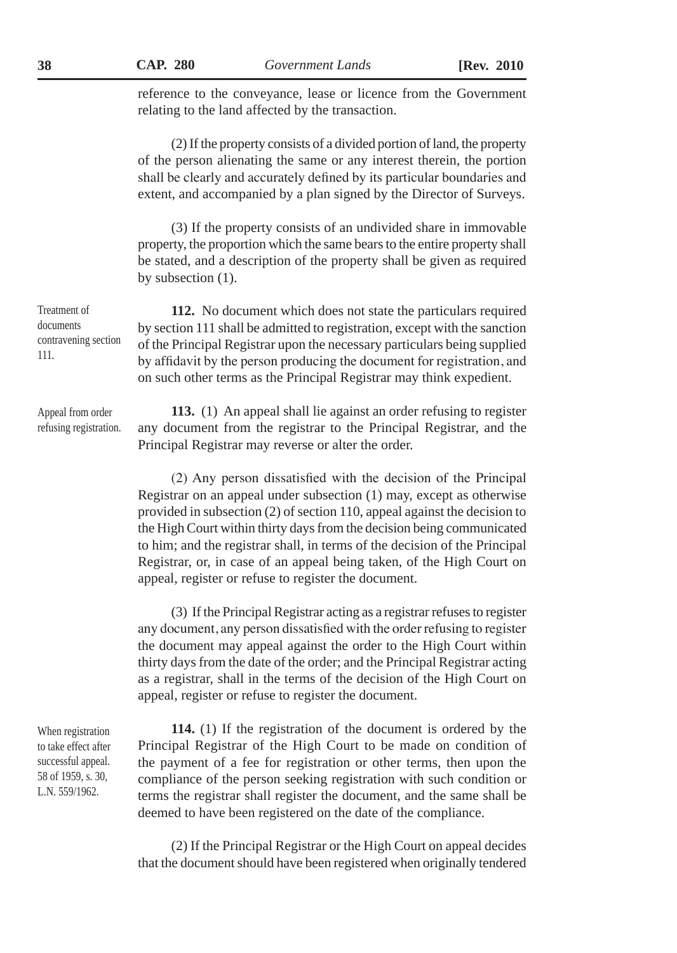reference to the conveyance, lease or licence from the Government relating to the land affected by the transaction.

(2) If the property consists of a divided portion of land, the property of the person alienating the same or any interest therein, the portion shall be clearly and accurately defined by its particular boundaries and extent, and accompanied by a plan signed by the Director of Surveys.

(3) If the property consists of an undivided share in immovable property, the proportion which the same bears to the entire property shall be stated, and a description of the property shall be given as required by subsection (1).

**112.** No document which does not state the particulars required by section 111 shall be admitted to registration, except with the sanction of the Principal Registrar upon the necessary particulars being supplied by affidavit by the person producing the document for registration, and on such other terms as the Principal Registrar may think expedient.

**113.** (1) An appeal shall lie against an order refusing to register any document from the registrar to the Principal Registrar, and the Principal Registrar may reverse or alter the order.

(2) Any person dissatisfied with the decision of the Principal Registrar on an appeal under subsection (1) may, except as otherwise provided in subsection (2) of section 110, appeal against the decision to the High Court within thirty days from the decision being communicated to him; and the registrar shall, in terms of the decision of the Principal Registrar, or, in case of an appeal being taken, of the High Court on appeal, register or refuse to register the document.

(3) If the Principal Registrar acting as a registrar refuses to register any document, any person dissatisfied with the order refusing to register the document may appeal against the order to the High Court within thirty days from the date of the order; and the Principal Registrar acting as a registrar, shall in the terms of the decision of the High Court on appeal, register or refuse to register the document.

When registration to take effect after successful appeal. 58 of 1959, s. 30, L.N. 559/1962.

**114.** (1) If the registration of the document is ordered by the Principal Registrar of the High Court to be made on condition of the payment of a fee for registration or other terms, then upon the compliance of the person seeking registration with such condition or terms the registrar shall register the document, and the same shall be deemed to have been registered on the date of the compliance.

(2) If the Principal Registrar or the High Court on appeal decides that the document should have been registered when originally tendered

Treatment of documents contravening section 111.

Appeal from order refusing registration.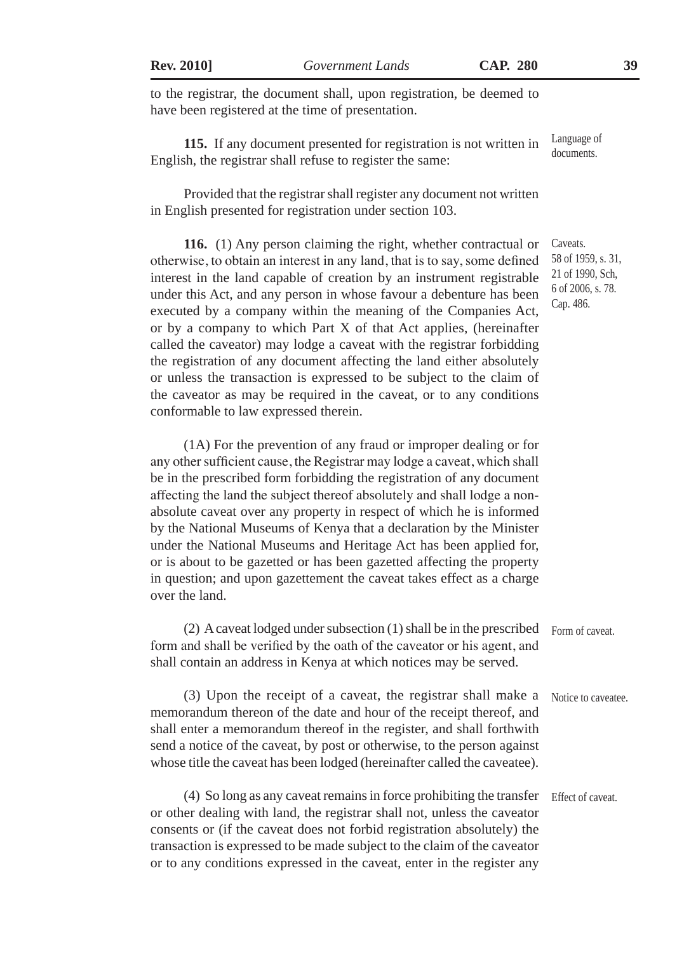|  | <b>Rev. 2010</b> |  |  |
|--|------------------|--|--|
|--|------------------|--|--|

to the registrar, the document shall, upon registration, be deemed to have been registered at the time of presentation.

**115.** If any document presented for registration is not written in English, the registrar shall refuse to register the same: Language of documents.

Provided that the registrar shall register any document not written in English presented for registration under section 103.

**116.** (1) Any person claiming the right, whether contractual or otherwise, to obtain an interest in any land, that is to say, some defined interest in the land capable of creation by an instrument registrable under this Act, and any person in whose favour a debenture has been executed by a company within the meaning of the Companies Act, or by a company to which Part X of that Act applies, (hereinafter called the caveator) may lodge a caveat with the registrar forbidding the registration of any document affecting the land either absolutely or unless the transaction is expressed to be subject to the claim of the caveator as may be required in the caveat, or to any conditions conformable to law expressed therein.

(1A) For the prevention of any fraud or improper dealing or for any other sufficient cause, the Registrar may lodge a caveat, which shall be in the prescribed form forbidding the registration of any document affecting the land the subject thereof absolutely and shall lodge a nonabsolute caveat over any property in respect of which he is informed by the National Museums of Kenya that a declaration by the Minister under the National Museums and Heritage Act has been applied for, or is about to be gazetted or has been gazetted affecting the property in question; and upon gazettement the caveat takes effect as a charge over the land.

(2) A caveat lodged under subsection (1) shall be in the prescribed form and shall be verified by the oath of the caveator or his agent, and shall contain an address in Kenya at which notices may be served. Form of caveat.

(3) Upon the receipt of a caveat, the registrar shall make a memorandum thereon of the date and hour of the receipt thereof, and shall enter a memorandum thereof in the register, and shall forthwith send a notice of the caveat, by post or otherwise, to the person against whose title the caveat has been lodged (hereinafter called the caveatee). Notice to caveatee.

(4) So long as any caveat remains in force prohibiting the transfer or other dealing with land, the registrar shall not, unless the caveator consents or (if the caveat does not forbid registration absolutely) the transaction is expressed to be made subject to the claim of the caveator or to any conditions expressed in the caveat, enter in the register any Effect of caveat.

Caveats. 58 of 1959, s. 31, 21 of 1990, Sch, 6 of 2006, s. 78. Cap. 486.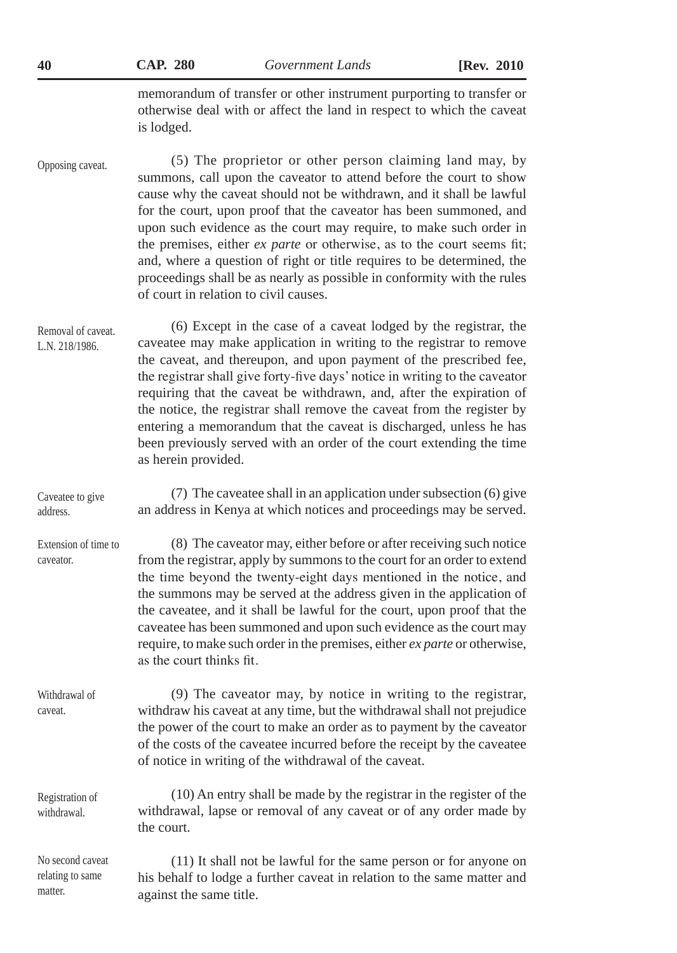|  | CAP. |  | <b>280</b> |
|--|------|--|------------|
|--|------|--|------------|

**40 CAP. 280** *Government Lands* **[Rev. 2010**

memorandum of transfer or other instrument purporting to transfer or otherwise deal with or affect the land in respect to which the caveat is lodged.

(5) The proprietor or other person claiming land may, by summons, call upon the caveator to attend before the court to show cause why the caveat should not be withdrawn, and it shall be lawful for the court, upon proof that the caveator has been summoned, and upon such evidence as the court may require, to make such order in the premises, either *ex parte* or otherwise, as to the court seems fit; and, where a question of right or title requires to be determined, the proceedings shall be as nearly as possible in conformity with the rules of court in relation to civil causes. Opposing caveat.

(6) Except in the case of a caveat lodged by the registrar, the caveatee may make application in writing to the registrar to remove the caveat, and thereupon, and upon payment of the prescribed fee, the registrar shall give forty-five days' notice in writing to the caveator requiring that the caveat be withdrawn, and, after the expiration of the notice, the registrar shall remove the caveat from the register by entering a memorandum that the caveat is discharged, unless he has been previously served with an order of the court extending the time as herein provided. Removal of caveat. L.N. 218/1986.

(7) The caveatee shall in an application under subsection (6) give an address in Kenya at which notices and proceedings may be served. Caveatee to give address.

(8) The caveator may, either before or after receiving such notice from the registrar, apply by summons to the court for an order to extend the time beyond the twenty-eight days mentioned in the notice, and the summons may be served at the address given in the application of the caveatee, and it shall be lawful for the court, upon proof that the caveatee has been summoned and upon such evidence as the court may require, to make such order in the premises, either *ex parte* or otherwise, as the court thinks fit. Extension of time to caveator.

(9) The caveator may, by notice in writing to the registrar, withdraw his caveat at any time, but the withdrawal shall not prejudice the power of the court to make an order as to payment by the caveator of the costs of the caveatee incurred before the receipt by the caveatee of notice in writing of the withdrawal of the caveat. Withdrawal of caveat.

(10) An entry shall be made by the registrar in the register of the withdrawal, lapse or removal of any caveat or of any order made by the court. Registration of withdrawal.

(11) It shall not be lawful for the same person or for anyone on his behalf to lodge a further caveat in relation to the same matter and against the same title. No second caveat relating to same matter.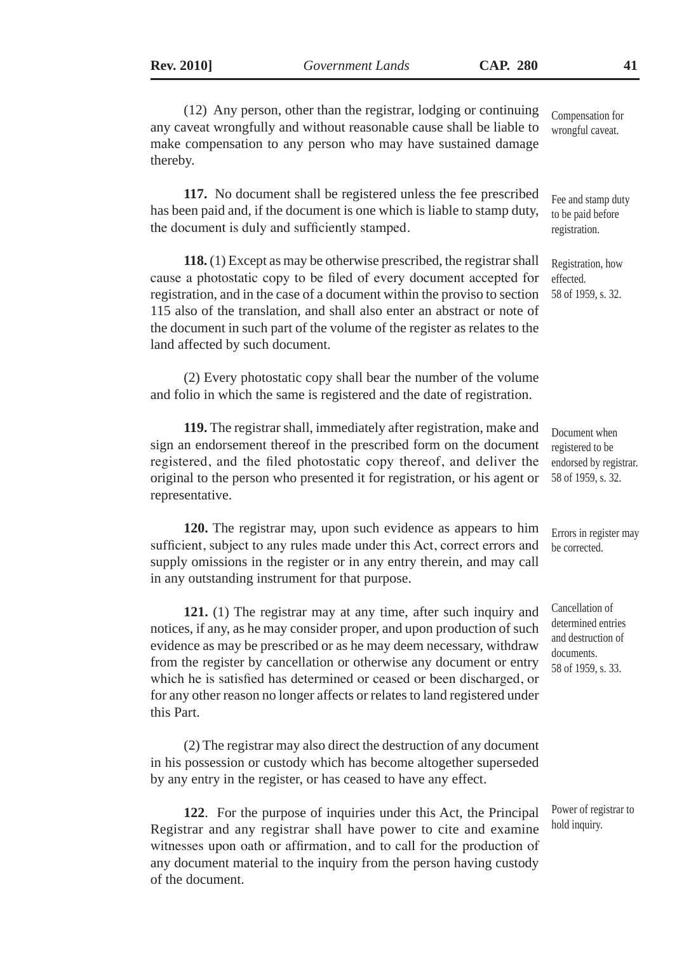(12) Any person, other than the registrar, lodging or continuing any caveat wrongfully and without reasonable cause shall be liable to make compensation to any person who may have sustained damage thereby. Compensation for

**117.** No document shall be registered unless the fee prescribed has been paid and, if the document is one which is liable to stamp duty, the document is duly and sufficiently stamped.

**118.** (1) Except as may be otherwise prescribed, the registrar shall cause a photostatic copy to be filed of every document accepted for registration, and in the case of a document within the proviso to section 115 also of the translation, and shall also enter an abstract or note of the document in such part of the volume of the register as relates to the land affected by such document.

(2) Every photostatic copy shall bear the number of the volume and folio in which the same is registered and the date of registration.

**119.** The registrar shall, immediately after registration, make and sign an endorsement thereof in the prescribed form on the document registered, and the filed photostatic copy thereof, and deliver the original to the person who presented it for registration, or his agent or representative.

**120.** The registrar may, upon such evidence as appears to him sufficient, subject to any rules made under this Act, correct errors and supply omissions in the register or in any entry therein, and may call in any outstanding instrument for that purpose.

**121.** (1) The registrar may at any time, after such inquiry and notices, if any, as he may consider proper, and upon production of such evidence as may be prescribed or as he may deem necessary, withdraw from the register by cancellation or otherwise any document or entry which he is satisfied has determined or ceased or been discharged, or for any other reason no longer affects or relates to land registered under this Part.

(2) The registrar may also direct the destruction of any document in his possession or custody which has become altogether superseded by any entry in the register, or has ceased to have any effect.

**122**. For the purpose of inquiries under this Act, the Principal Registrar and any registrar shall have power to cite and examine witnesses upon oath or affirmation, and to call for the production of any document material to the inquiry from the person having custody of the document.

Cancellation of determined entries and destruction of documents. 58 of 1959, s. 33.

wrongful caveat.

Fee and stamp duty to be paid before registration.

Registration, how effected. 58 of 1959, s. 32.

Document when registered to be endorsed by registrar. 58 of 1959, s. 32.

Errors in register may be corrected.

Power of registrar to hold inquiry.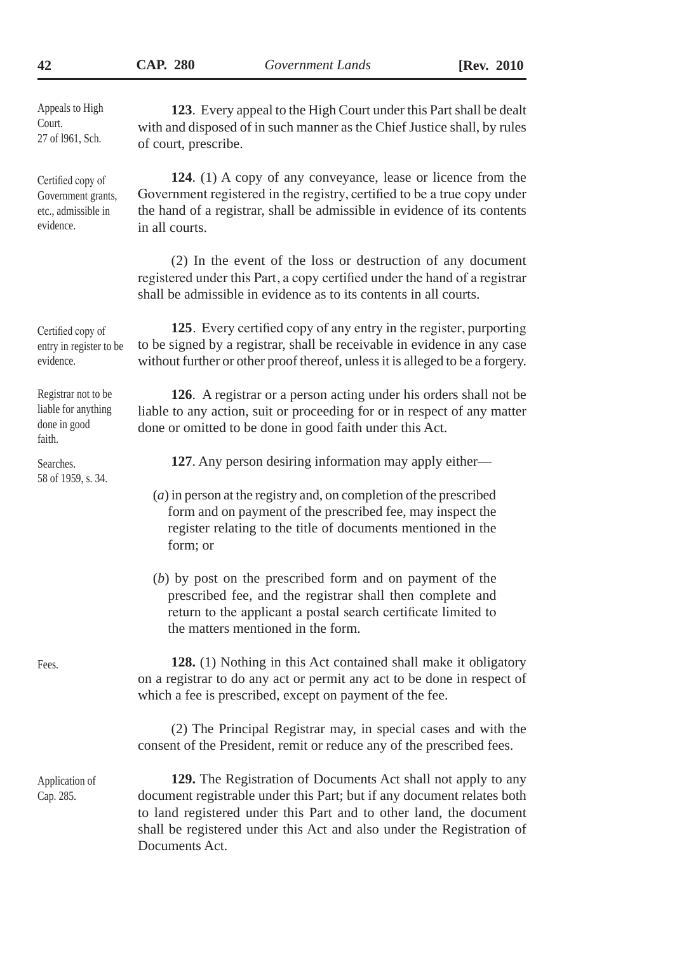Documents Act.

| Appeals to High<br>Court.<br>27 of 1961, Sch.                               | 123. Every appeal to the High Court under this Part shall be dealt<br>with and disposed of in such manner as the Chief Justice shall, by rules<br>of court, prescribe.                                                                                                                 |
|-----------------------------------------------------------------------------|----------------------------------------------------------------------------------------------------------------------------------------------------------------------------------------------------------------------------------------------------------------------------------------|
| Certified copy of<br>Government grants,<br>etc., admissible in<br>evidence. | 124. (1) A copy of any conveyance, lease or licence from the<br>Government registered in the registry, certified to be a true copy under<br>the hand of a registrar, shall be admissible in evidence of its contents<br>in all courts.                                                 |
|                                                                             | (2) In the event of the loss or destruction of any document<br>registered under this Part, a copy certified under the hand of a registrar<br>shall be admissible in evidence as to its contents in all courts.                                                                         |
| Certified copy of<br>entry in register to be<br>evidence.                   | 125. Every certified copy of any entry in the register, purporting<br>to be signed by a registrar, shall be receivable in evidence in any case<br>without further or other proof thereof, unless it is alleged to be a forgery.                                                        |
| Registrar not to be<br>liable for anything<br>done in good<br>faith.        | 126. A registrar or a person acting under his orders shall not be<br>liable to any action, suit or proceeding for or in respect of any matter<br>done or omitted to be done in good faith under this Act.                                                                              |
| Searches.<br>58 of 1959, s. 34.                                             | 127. Any person desiring information may apply either—                                                                                                                                                                                                                                 |
|                                                                             | $(a)$ in person at the registry and, on completion of the prescribed<br>form and on payment of the prescribed fee, may inspect the<br>register relating to the title of documents mentioned in the<br>form; or                                                                         |
|                                                                             | $(b)$ by post on the prescribed form and on payment of the<br>prescribed fee, and the registrar shall then complete and<br>return to the applicant a postal search certificate limited to<br>the matters mentioned in the form.                                                        |
| Fees.                                                                       | 128. (1) Nothing in this Act contained shall make it obligatory<br>on a registrar to do any act or permit any act to be done in respect of<br>which a fee is prescribed, except on payment of the fee.                                                                                 |
|                                                                             | (2) The Principal Registrar may, in special cases and with the<br>consent of the President, remit or reduce any of the prescribed fees.                                                                                                                                                |
| Application of<br>Cap. 285.                                                 | 129. The Registration of Documents Act shall not apply to any<br>document registrable under this Part; but if any document relates both<br>to land registered under this Part and to other land, the document<br>shall be registered under this Act and also under the Registration of |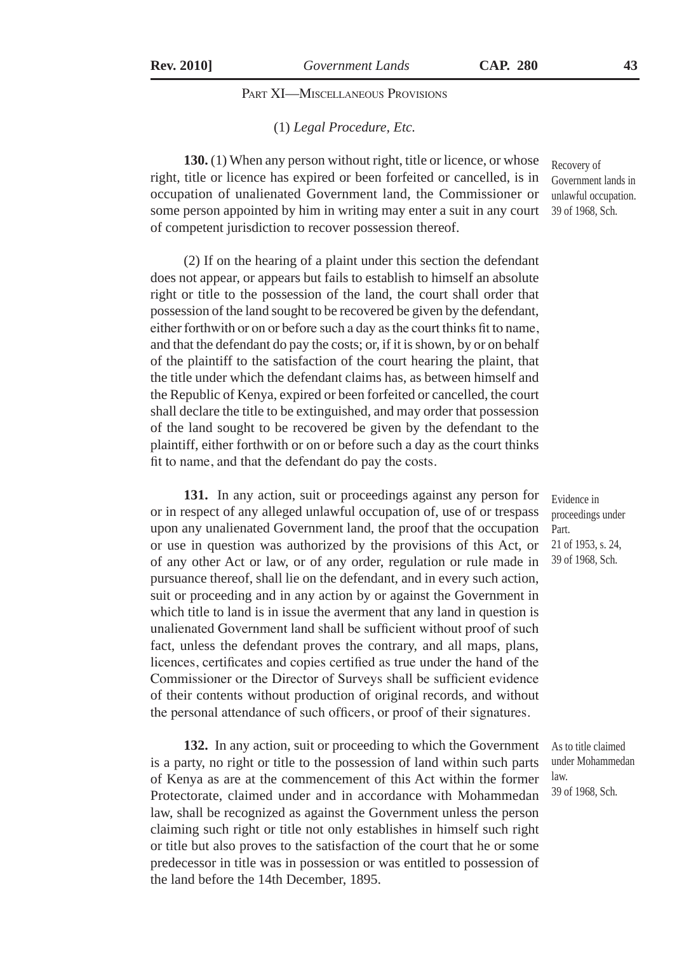# Part XI—Miscellaneous Provisions

#### (1) *Legal Procedure, Etc.*

**130.** (1) When any person without right, title or licence, or whose right, title or licence has expired or been forfeited or cancelled, is in occupation of unalienated Government land, the Commissioner or some person appointed by him in writing may enter a suit in any court of competent jurisdiction to recover possession thereof.

(2) If on the hearing of a plaint under this section the defendant does not appear, or appears but fails to establish to himself an absolute right or title to the possession of the land, the court shall order that possession of the land sought to be recovered be given by the defendant, either forthwith or on or before such a day as the court thinks fit to name, and that the defendant do pay the costs; or, if it is shown, by or on behalf of the plaintiff to the satisfaction of the court hearing the plaint, that the title under which the defendant claims has, as between himself and the Republic of Kenya, expired or been forfeited or cancelled, the court shall declare the title to be extinguished, and may order that possession of the land sought to be recovered be given by the defendant to the plaintiff, either forthwith or on or before such a day as the court thinks fit to name, and that the defendant do pay the costs.

**131.** In any action, suit or proceedings against any person for or in respect of any alleged unlawful occupation of, use of or trespass upon any unalienated Government land, the proof that the occupation or use in question was authorized by the provisions of this Act, or of any other Act or law, or of any order, regulation or rule made in pursuance thereof, shall lie on the defendant, and in every such action, suit or proceeding and in any action by or against the Government in which title to land is in issue the averment that any land in question is unalienated Government land shall be sufficient without proof of such fact, unless the defendant proves the contrary, and all maps, plans, licences, certificates and copies certified as true under the hand of the Commissioner or the Director of Surveys shall be sufficient evidence of their contents without production of original records, and without the personal attendance of such officers, or proof of their signatures.

**132.** In any action, suit or proceeding to which the Government is a party, no right or title to the possession of land within such parts of Kenya as are at the commencement of this Act within the former Protectorate, claimed under and in accordance with Mohammedan law, shall be recognized as against the Government unless the person claiming such right or title not only establishes in himself such right or title but also proves to the satisfaction of the court that he or some predecessor in title was in possession or was entitled to possession of the land before the 14th December, 1895.

Government lands in unlawful occupation. 39 of 1968, Sch.

Recovery of

Evidence in proceedings under Part. 21 of 1953, s. 24, 39 of 1968, Sch.

As to title claimed under Mohammedan law. 39 of 1968, Sch.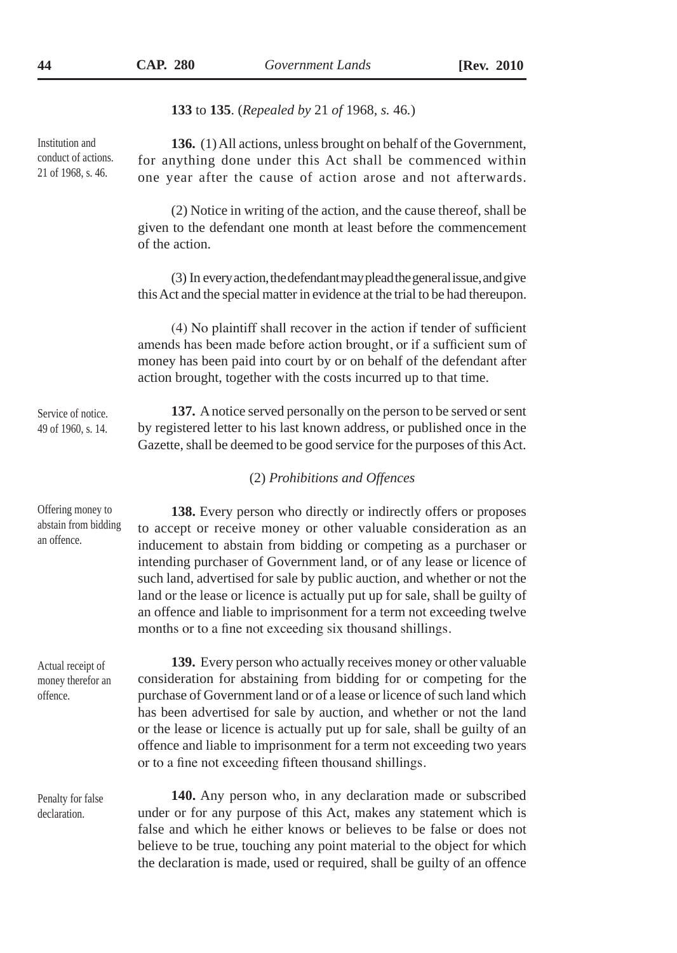**133** to **135**. (*Repealed by* 21 *of* 1968*, s.* 46*.*)

Institution and conduct of actions. 21 of 1968, s. 46.

**136.** (1) All actions, unless brought on behalf of the Government, for anything done under this Act shall be commenced within one year after the cause of action arose and not afterwards.

(2) Notice in writing of the action, and the cause thereof, shall be given to the defendant one month at least before the commencement of the action.

(3) In every action, the defendant may plead the general issue, and give this Act and the special matter in evidence at the trial to be had thereupon.

(4) No plaintiff shall recover in the action if tender of sufficient amends has been made before action brought, or if a sufficient sum of money has been paid into court by or on behalf of the defendant after action brought, together with the costs incurred up to that time.

**137.** A notice served personally on the person to be served or sent by registered letter to his last known address, or published once in the Gazette, shall be deemed to be good service for the purposes of this Act. Service of notice. 49 of 1960, s. 14.

### (2) *Prohibitions and Offences*

**138.** Every person who directly or indirectly offers or proposes to accept or receive money or other valuable consideration as an inducement to abstain from bidding or competing as a purchaser or intending purchaser of Government land, or of any lease or licence of such land, advertised for sale by public auction, and whether or not the land or the lease or licence is actually put up for sale, shall be guilty of an offence and liable to imprisonment for a term not exceeding twelve months or to a fine not exceeding six thousand shillings. abstain from bidding

Actual receipt of money therefor an offence.

Offering money to

an offence.

Penalty for false declaration.

**139.** Every person who actually receives money or other valuable consideration for abstaining from bidding for or competing for the purchase of Government land or of a lease or licence of such land which has been advertised for sale by auction, and whether or not the land or the lease or licence is actually put up for sale, shall be guilty of an offence and liable to imprisonment for a term not exceeding two years or to a fine not exceeding fifteen thousand shillings.

**140.** Any person who, in any declaration made or subscribed under or for any purpose of this Act, makes any statement which is false and which he either knows or believes to be false or does not believe to be true, touching any point material to the object for which the declaration is made, used or required, shall be guilty of an offence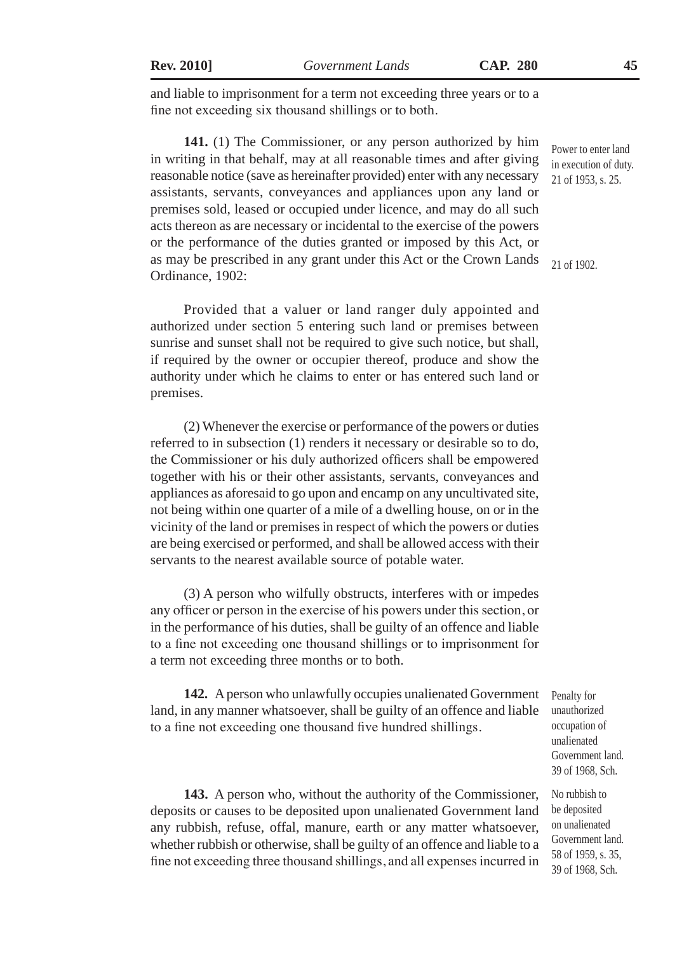and liable to imprisonment for a term not exceeding three years or to a fine not exceeding six thousand shillings or to both.

**141.** (1) The Commissioner, or any person authorized by him in writing in that behalf, may at all reasonable times and after giving reasonable notice (save as hereinafter provided) enter with any necessary assistants, servants, conveyances and appliances upon any land or premises sold, leased or occupied under licence, and may do all such acts thereon as are necessary or incidental to the exercise of the powers or the performance of the duties granted or imposed by this Act, or as may be prescribed in any grant under this Act or the Crown Lands Ordinance, 1902:

Provided that a valuer or land ranger duly appointed and authorized under section 5 entering such land or premises between sunrise and sunset shall not be required to give such notice, but shall, if required by the owner or occupier thereof, produce and show the authority under which he claims to enter or has entered such land or premises.

(2) Whenever the exercise or performance of the powers or duties referred to in subsection (1) renders it necessary or desirable so to do, the Commissioner or his duly authorized officers shall be empowered together with his or their other assistants, servants, conveyances and appliances as aforesaid to go upon and encamp on any uncultivated site, not being within one quarter of a mile of a dwelling house, on or in the vicinity of the land or premises in respect of which the powers or duties are being exercised or performed, and shall be allowed access with their servants to the nearest available source of potable water.

(3) A person who wilfully obstructs, interferes with or impedes any officer or person in the exercise of his powers under this section, or in the performance of his duties, shall be guilty of an offence and liable to a fine not exceeding one thousand shillings or to imprisonment for a term not exceeding three months or to both.

**142.** A person who unlawfully occupies unalienated Government land, in any manner whatsoever, shall be guilty of an offence and liable to a fine not exceeding one thousand five hundred shillings.

Penalty for unauthorized occupation of unalienated Government land. 39 of 1968, Sch.

No rubbish to be deposited on unalienated Government land. 58 of 1959, s. 35, 39 of 1968, Sch.

**143.** A person who, without the authority of the Commissioner, deposits or causes to be deposited upon unalienated Government land any rubbish, refuse, offal, manure, earth or any matter whatsoever, whether rubbish or otherwise, shall be guilty of an offence and liable to a fine not exceeding three thousand shillings, and all expenses incurred in

Power to enter land in execution of duty. 21 of 1953, s. 25.

21 of 1902.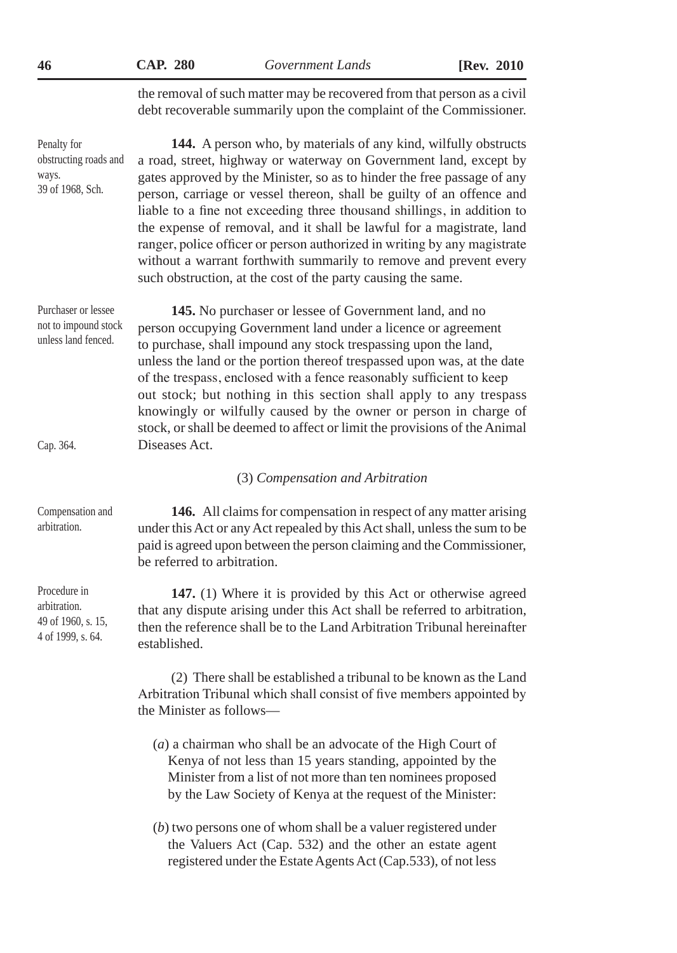| 46                                                                      | <b>CAP. 280</b>                                                                                                                                                                                                                                                                                                                                                                                                                                                                                                                                                                                                                                               | Government Lands                                                                                                                                                                                                                                           | [Rev. 2010] |  |
|-------------------------------------------------------------------------|---------------------------------------------------------------------------------------------------------------------------------------------------------------------------------------------------------------------------------------------------------------------------------------------------------------------------------------------------------------------------------------------------------------------------------------------------------------------------------------------------------------------------------------------------------------------------------------------------------------------------------------------------------------|------------------------------------------------------------------------------------------------------------------------------------------------------------------------------------------------------------------------------------------------------------|-------------|--|
|                                                                         |                                                                                                                                                                                                                                                                                                                                                                                                                                                                                                                                                                                                                                                               | the removal of such matter may be recovered from that person as a civil<br>debt recoverable summarily upon the complaint of the Commissioner.                                                                                                              |             |  |
| Penalty for<br>obstructing roads and<br>ways.<br>39 of 1968, Sch.       | 144. A person who, by materials of any kind, wilfully obstructs<br>a road, street, highway or waterway on Government land, except by<br>gates approved by the Minister, so as to hinder the free passage of any<br>person, carriage or vessel thereon, shall be guilty of an offence and<br>liable to a fine not exceeding three thousand shillings, in addition to<br>the expense of removal, and it shall be lawful for a magistrate, land<br>ranger, police officer or person authorized in writing by any magistrate<br>without a warrant forthwith summarily to remove and prevent every<br>such obstruction, at the cost of the party causing the same. |                                                                                                                                                                                                                                                            |             |  |
| Purchaser or lessee<br>not to impound stock<br>unless land fenced.      | 145. No purchaser or lessee of Government land, and no<br>person occupying Government land under a licence or agreement<br>to purchase, shall impound any stock trespassing upon the land,<br>unless the land or the portion thereof trespassed upon was, at the date<br>of the trespass, enclosed with a fence reasonably sufficient to keep<br>out stock; but nothing in this section shall apply to any trespass<br>knowingly or wilfully caused by the owner or person in charge of<br>stock, or shall be deemed to affect or limit the provisions of the Animal                                                                                          |                                                                                                                                                                                                                                                            |             |  |
| Cap. 364.                                                               | Diseases Act.                                                                                                                                                                                                                                                                                                                                                                                                                                                                                                                                                                                                                                                 |                                                                                                                                                                                                                                                            |             |  |
|                                                                         | (3) Compensation and Arbitration                                                                                                                                                                                                                                                                                                                                                                                                                                                                                                                                                                                                                              |                                                                                                                                                                                                                                                            |             |  |
| Compensation and<br>arbitration.                                        | 146. All claims for compensation in respect of any matter arising<br>under this Act or any Act repealed by this Act shall, unless the sum to be<br>paid is agreed upon between the person claiming and the Commissioner,<br>be referred to arbitration.                                                                                                                                                                                                                                                                                                                                                                                                       |                                                                                                                                                                                                                                                            |             |  |
| Procedure in<br>arbitration.<br>49 of 1960, s. 15,<br>4 of 1999, s. 64. | 147. (1) Where it is provided by this Act or otherwise agreed<br>that any dispute arising under this Act shall be referred to arbitration,<br>then the reference shall be to the Land Arbitration Tribunal hereinafter<br>established.                                                                                                                                                                                                                                                                                                                                                                                                                        |                                                                                                                                                                                                                                                            |             |  |
|                                                                         | the Minister as follows-                                                                                                                                                                                                                                                                                                                                                                                                                                                                                                                                                                                                                                      | (2) There shall be established a tribunal to be known as the Land<br>Arbitration Tribunal which shall consist of five members appointed by                                                                                                                 |             |  |
|                                                                         |                                                                                                                                                                                                                                                                                                                                                                                                                                                                                                                                                                                                                                                               | $(a)$ a chairman who shall be an advocate of the High Court of<br>Kenya of not less than 15 years standing, appointed by the<br>Minister from a list of not more than ten nominees proposed<br>by the Law Society of Kenya at the request of the Minister: |             |  |

(*b*) two persons one of whom shall be a valuer registered under the Valuers Act (Cap. 532) and the other an estate agent registered under the Estate Agents Act (Cap.533), of not less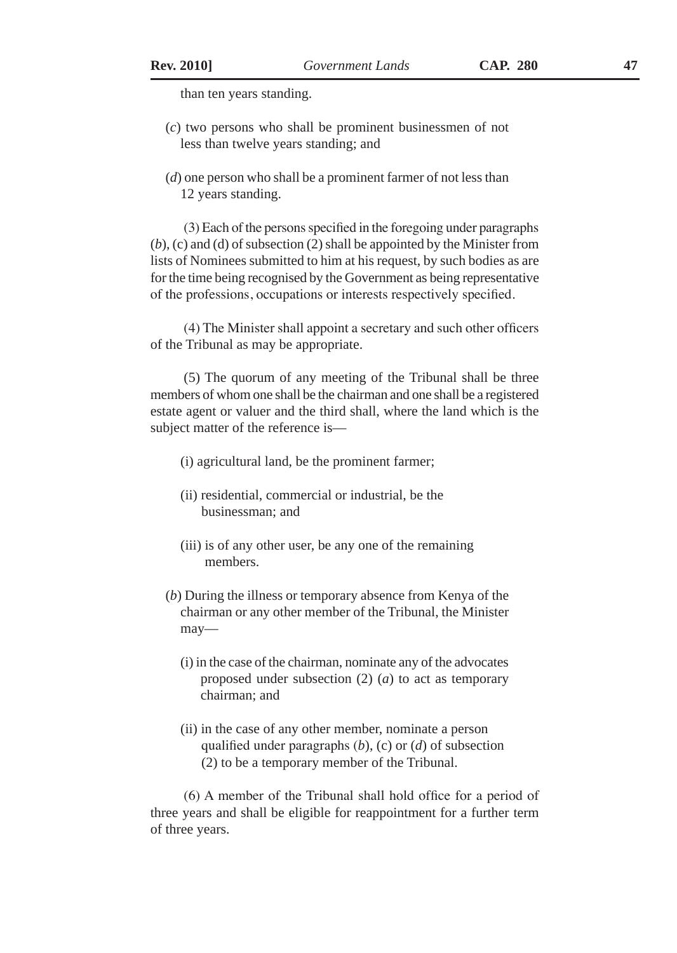than ten years standing.

- (*c*) two persons who shall be prominent businessmen of not less than twelve years standing; and
- (*d*) one person who shall be a prominent farmer of not less than 12 years standing.

(3) Each of the persons specified in the foregoing under paragraphs (*b*), (c) and (d) of subsection (2) shall be appointed by the Minister from lists of Nominees submitted to him at his request, by such bodies as are for the time being recognised by the Government as being representative of the professions, occupations or interests respectively specified.

(4) The Minister shall appoint a secretary and such other officers of the Tribunal as may be appropriate.

(5) The quorum of any meeting of the Tribunal shall be three members of whom one shall be the chairman and one shall be a registered estate agent or valuer and the third shall, where the land which is the subject matter of the reference is—

- (i) agricultural land, be the prominent farmer;
- (ii) residential, commercial or industrial, be the businessman; and
- (iii) is of any other user, be any one of the remaining members.
- (*b*) During the illness or temporary absence from Kenya of the chairman or any other member of the Tribunal, the Minister may—
	- (i) in the case of the chairman, nominate any of the advocates proposed under subsection (2) (*a*) to act as temporary chairman; and
	- (ii) in the case of any other member, nominate a person qualified under paragraphs (*b*), (c) or (*d*) of subsection (2) to be a temporary member of the Tribunal.

(6) A member of the Tribunal shall hold office for a period of three years and shall be eligible for reappointment for a further term of three years.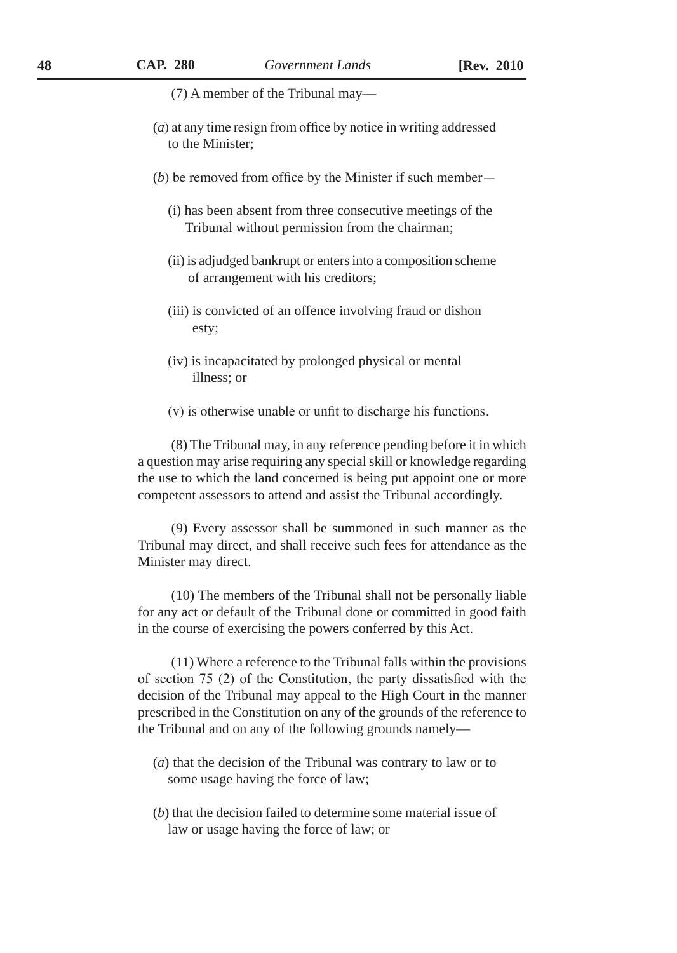(7) A member of the Tribunal may—

- (*a*) at any time resign from office by notice in writing addressed to the Minister;
- (*b*) be removed from office by the Minister if such member—
	- (i) has been absent from three consecutive meetings of the Tribunal without permission from the chairman;
	- (ii) is adjudged bankrupt or enters into a composition scheme of arrangement with his creditors;
	- (iii) is convicted of an offence involving fraud or dishon esty;
	- (iv) is incapacitated by prolonged physical or mental illness; or
	- (v) is otherwise unable or unfit to discharge his functions.

(8) The Tribunal may, in any reference pending before it in which a question may arise requiring any special skill or knowledge regarding the use to which the land concerned is being put appoint one or more competent assessors to attend and assist the Tribunal accordingly.

(9) Every assessor shall be summoned in such manner as the Tribunal may direct, and shall receive such fees for attendance as the Minister may direct.

(10) The members of the Tribunal shall not be personally liable for any act or default of the Tribunal done or committed in good faith in the course of exercising the powers conferred by this Act.

(11) Where a reference to the Tribunal falls within the provisions of section 75 (2) of the Constitution, the party dissatisfied with the decision of the Tribunal may appeal to the High Court in the manner prescribed in the Constitution on any of the grounds of the reference to the Tribunal and on any of the following grounds namely—

- (*a*) that the decision of the Tribunal was contrary to law or to some usage having the force of law;
- (*b*) that the decision failed to determine some material issue of law or usage having the force of law; or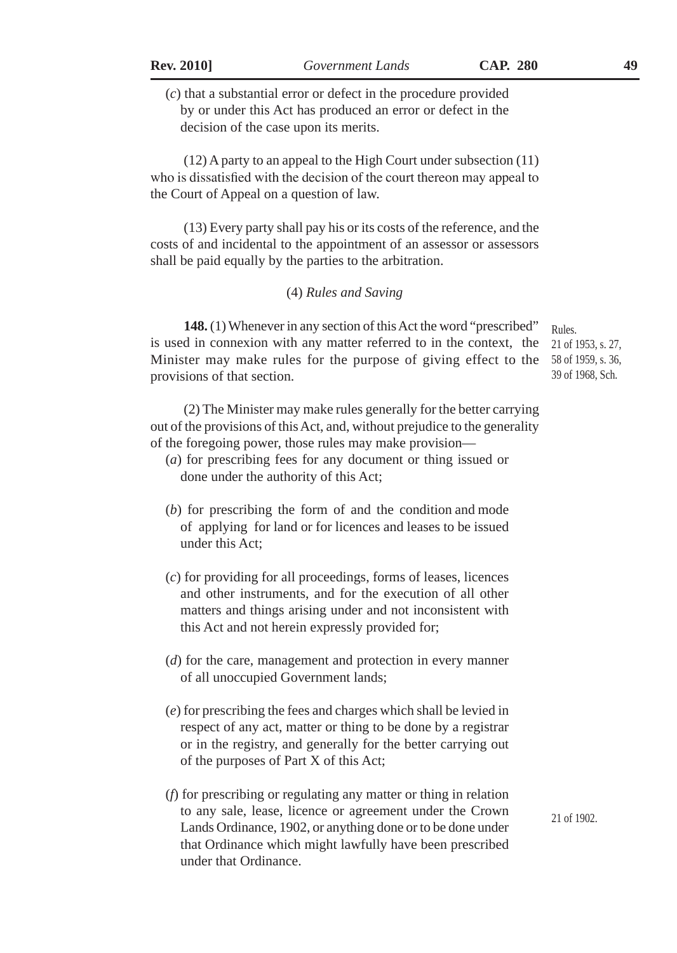(*c*) that a substantial error or defect in the procedure provided by or under this Act has produced an error or defect in the decision of the case upon its merits.

(12) A party to an appeal to the High Court under subsection (11) who is dissatisfied with the decision of the court thereon may appeal to the Court of Appeal on a question of law.

(13) Every party shall pay his or its costs of the reference, and the costs of and incidental to the appointment of an assessor or assessors shall be paid equally by the parties to the arbitration.

#### (4) *Rules and Saving*

**148.** (1) Whenever in any section of this Act the word "prescribed" is used in connexion with any matter referred to in the context, the Minister may make rules for the purpose of giving effect to the 58 of 1959, s. 36, provisions of that section.

(2) The Minister may make rules generally for the better carrying out of the provisions of this Act, and, without prejudice to the generality of the foregoing power, those rules may make provision—

- (*a*) for prescribing fees for any document or thing issued or done under the authority of this Act;
- (*b*) for prescribing the form of and the condition and mode of applying for land or for licences and leases to be issued under this Act;
- (*c*) for providing for all proceedings, forms of leases, licences and other instruments, and for the execution of all other matters and things arising under and not inconsistent with this Act and not herein expressly provided for;
- (*d*) for the care, management and protection in every manner of all unoccupied Government lands;
- (*e*) for prescribing the fees and charges which shall be levied in respect of any act, matter or thing to be done by a registrar or in the registry, and generally for the better carrying out of the purposes of Part X of this Act;
- (*f*) for prescribing or regulating any matter or thing in relation to any sale, lease, licence or agreement under the Crown Lands Ordinance, 1902, or anything done or to be done under that Ordinance which might lawfully have been prescribed under that Ordinance.

Rules.

21 of 1953, s. 27, 39 of 1968, Sch.

21 of 1902.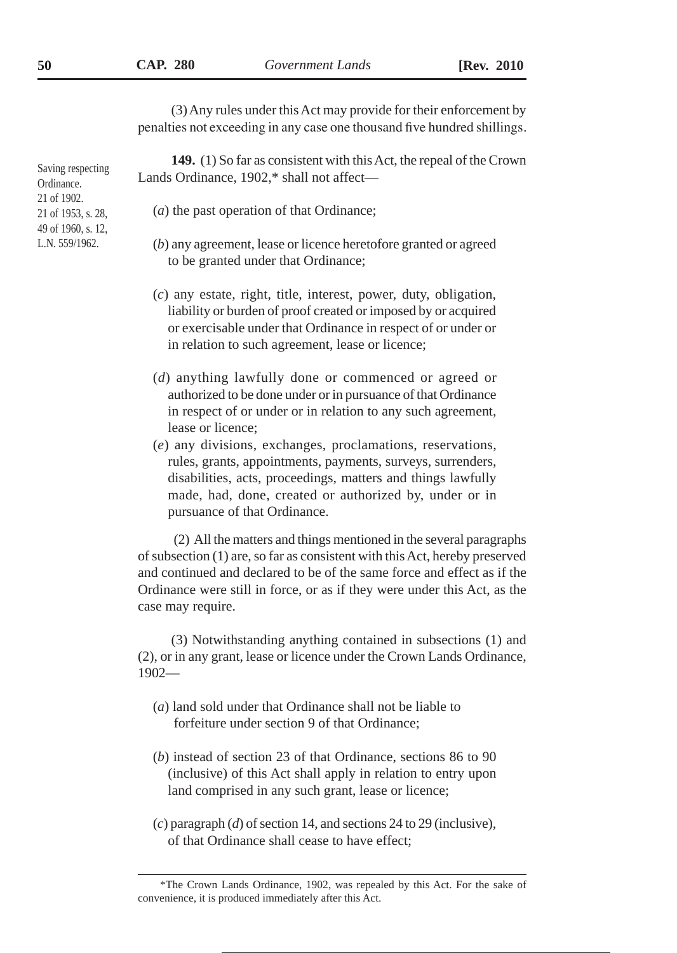(3) Any rules under this Act may provide for their enforcement by penalties not exceeding in any case one thousand five hundred shillings.

**149.** (1) So far as consistent with this Act, the repeal of the Crown Lands Ordinance, 1902,\* shall not affect—

- (*a*) the past operation of that Ordinance;
- (*b*) any agreement, lease or licence heretofore granted or agreed to be granted under that Ordinance;
- (*c*) any estate, right, title, interest, power, duty, obligation, liability or burden of proof created or imposed by or acquired or exercisable under that Ordinance in respect of or under or in relation to such agreement, lease or licence;
- (*d*) anything lawfully done or commenced or agreed or authorized to be done under or in pursuance of that Ordinance in respect of or under or in relation to any such agreement, lease or licence;
- (*e*) any divisions, exchanges, proclamations, reservations, rules, grants, appointments, payments, surveys, surrenders, disabilities, acts, proceedings, matters and things lawfully made, had, done, created or authorized by, under or in pursuance of that Ordinance.

 (2) All the matters and things mentioned in the several paragraphs of subsection (1) are, so far as consistent with this Act, hereby preserved and continued and declared to be of the same force and effect as if the Ordinance were still in force, or as if they were under this Act, as the case may require.

(3) Notwithstanding anything contained in subsections (1) and (2), or in any grant, lease or licence under the Crown Lands Ordinance, 1902—

- (*a*) land sold under that Ordinance shall not be liable to forfeiture under section 9 of that Ordinance;
- (*b*) instead of section 23 of that Ordinance, sections 86 to 90 (inclusive) of this Act shall apply in relation to entry upon land comprised in any such grant, lease or licence;
- (*c*) paragraph (*d*) of section 14, and sections 24 to 29 (inclusive), of that Ordinance shall cease to have effect;

<sup>\*</sup>The Crown Lands Ordinance, 1902, was repealed by this Act. For the sake of convenience, it is produced immediately after this Act.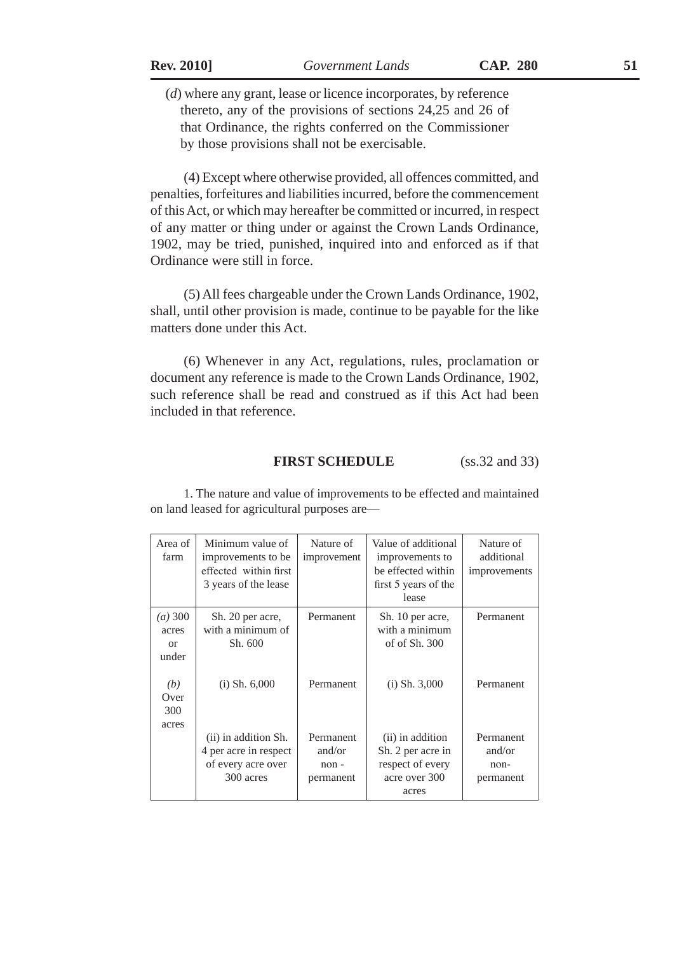(*d*) where any grant, lease or licence incorporates, by reference thereto, any of the provisions of sections 24,25 and 26 of that Ordinance, the rights conferred on the Commissioner by those provisions shall not be exercisable.

(4) Except where otherwise provided, all offences committed, and penalties, forfeitures and liabilities incurred, before the commencement of this Act, or which may hereafter be committed or incurred, in respect of any matter or thing under or against the Crown Lands Ordinance, 1902, may be tried, punished, inquired into and enforced as if that Ordinance were still in force.

(5) All fees chargeable under the Crown Lands Ordinance, 1902, shall, until other provision is made, continue to be payable for the like matters done under this Act.

(6) Whenever in any Act, regulations, rules, proclamation or document any reference is made to the Crown Lands Ordinance, 1902, such reference shall be read and construed as if this Act had been included in that reference.

## **FIRST SCHEDULE** (ss.32 and 33)

| Area of<br>farm                       | Minimum value of<br>improvements to be<br>effected within first<br>3 years of the lease | Nature of<br>improvement                 | Value of additional<br>improvements to<br>be effected within<br>first 5 years of the<br>lease | Nature of<br>additional<br>improvements    |
|---------------------------------------|-----------------------------------------------------------------------------------------|------------------------------------------|-----------------------------------------------------------------------------------------------|--------------------------------------------|
| (a) 300<br>acres<br>$\alpha$<br>under | Sh. 20 per acre,<br>with a minimum of<br>Sh. 600                                        | Permanent                                | Sh. 10 per acre,<br>with a minimum<br>of of $Sh. 300$                                         | Permanent                                  |
| (b)<br>Over<br>300<br>acres           | $(i)$ Sh. $6,000$                                                                       | Permanent                                | $(i)$ Sh. 3,000                                                                               | Permanent                                  |
|                                       | (ii) in addition Sh.<br>4 per acre in respect<br>of every acre over<br>300 acres        | Permanent<br>and/or<br>non-<br>permanent | (ii) in addition<br>Sh. 2 per acre in<br>respect of every<br>acre over 300<br>acres           | Permanent<br>and/or<br>$non-$<br>permanent |

1. The nature and value of improvements to be effected and maintained on land leased for agricultural purposes are—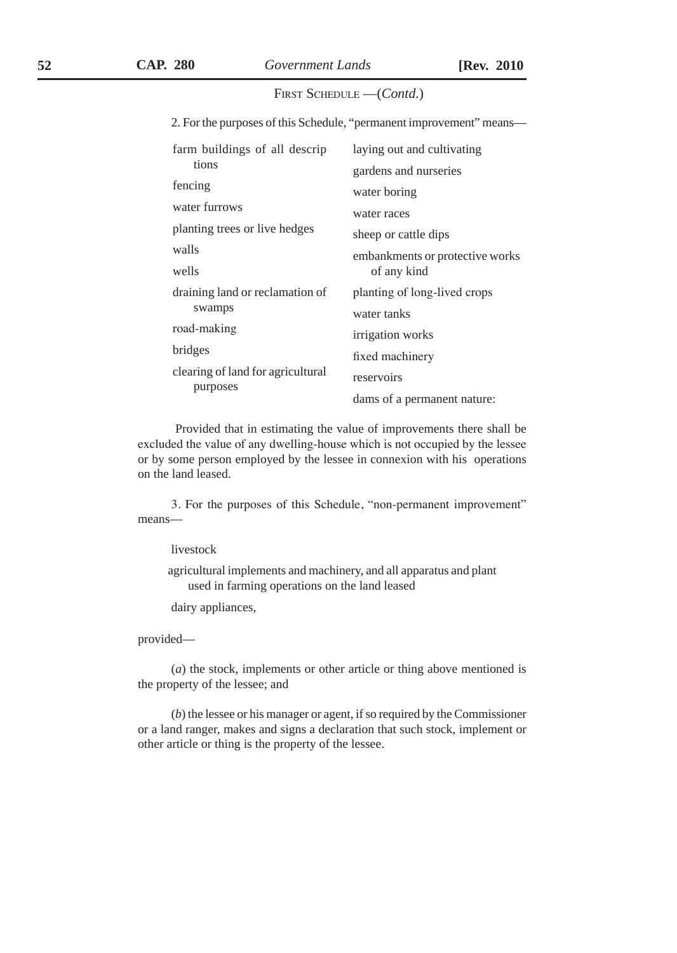#### FIRST SCHEDULE —(*Contd.*)

2. For the purposes of this Schedule, "permanent improvement" means—

| farm buildings of all descrip     | laying out and cultivating      |
|-----------------------------------|---------------------------------|
| tions                             | gardens and nurseries           |
| fencing                           | water boring                    |
| water furrows                     | water races                     |
| planting trees or live hedges     | sheep or cattle dips            |
| walls                             | embankments or protective works |
| wells                             | of any kind                     |
| draining land or reclamation of   | planting of long-lived crops    |
| swamps                            | water tanks                     |
| road-making                       | irrigation works                |
| bridges                           | fixed machinery                 |
| clearing of land for agricultural | reservoirs                      |
| purposes                          | dams of a permanent nature:     |

 Provided that in estimating the value of improvements there shall be excluded the value of any dwelling-house which is not occupied by the lessee or by some person employed by the lessee in connexion with his operations on the land leased.

3. For the purposes of this Schedule, "non-permanent improvement" means—

livestock

agricultural implements and machinery, and all apparatus and plant used in farming operations on the land leased

dairy appliances,

provided—

(*a*) the stock, implements or other article or thing above mentioned is the property of the lessee; and

(*b*) the lessee or his manager or agent, if so required by the Commissioner or a land ranger, makes and signs a declaration that such stock, implement or other article or thing is the property of the lessee.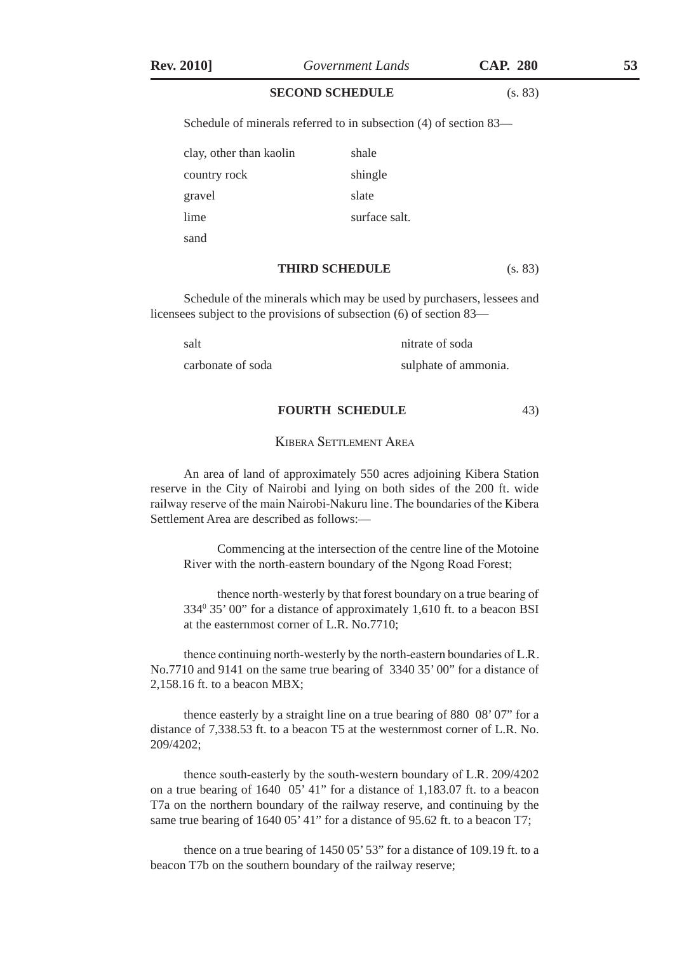#### **SECOND SCHEDULE** (s. 83)

Schedule of minerals referred to in subsection (4) of section 83—

| clay, other than kaolin | shale         |
|-------------------------|---------------|
| country rock            | shingle       |
| gravel                  | slate         |
| lime                    | surface salt. |
| sand                    |               |

#### **THIRD SCHEDULE** (s. 83)

Schedule of the minerals which may be used by purchasers, lessees and licensees subject to the provisions of subsection (6) of section 83—

salt nitrate of soda

carbonate of soda sulphate of ammonia.

 **FOURTH SCHEDULE** 43)

#### Kibera Settlement Area

An area of land of approximately 550 acres adjoining Kibera Station reserve in the City of Nairobi and lying on both sides of the 200 ft. wide railway reserve of the main Nairobi-Nakuru line. The boundaries of the Kibera Settlement Area are described as follows:—

Commencing at the intersection of the centre line of the Motoine River with the north-eastern boundary of the Ngong Road Forest;

thence north-westerly by that forest boundary on a true bearing of 3340 35' 00" for a distance of approximately 1,610 ft. to a beacon BSI at the easternmost corner of L.R. No.7710;

thence continuing north-westerly by the north-eastern boundaries of L.R. No.7710 and 9141 on the same true bearing of 3340 35' 00" for a distance of 2,158.16 ft. to a beacon MBX;

thence easterly by a straight line on a true bearing of 880 08' 07" for a distance of 7,338.53 ft. to a beacon T5 at the westernmost corner of L.R. No. 209/4202;

thence south-easterly by the south-western boundary of L.R. 209/4202 on a true bearing of 1640 05' 41" for a distance of 1,183.07 ft. to a beacon T7a on the northern boundary of the railway reserve, and continuing by the same true bearing of 1640 05' 41" for a distance of 95.62 ft. to a beacon T7;

thence on a true bearing of 1450 05' 53" for a distance of 109.19 ft. to a beacon T7b on the southern boundary of the railway reserve;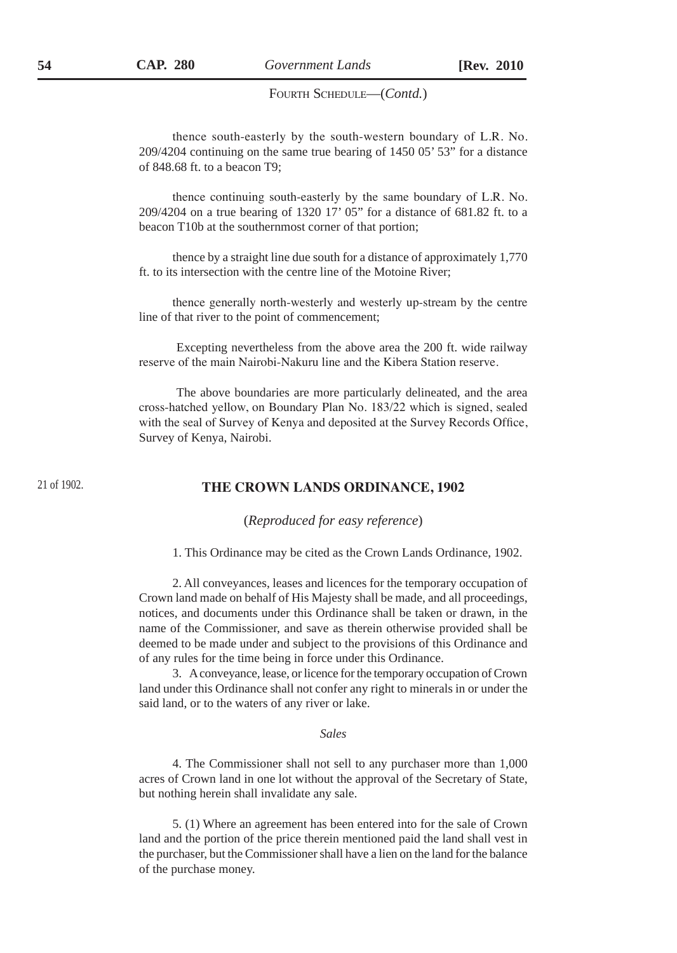#### FOURTH SCHEDULE-(Contd.)

thence south-easterly by the south-western boundary of L.R. No. 209/4204 continuing on the same true bearing of 1450 05' 53" for a distance of 848.68 ft. to a beacon T9;

thence continuing south-easterly by the same boundary of L.R. No. 209/4204 on a true bearing of 1320 17' 05" for a distance of 681.82 ft. to a beacon T10b at the southernmost corner of that portion;

thence by a straight line due south for a distance of approximately 1,770 ft. to its intersection with the centre line of the Motoine River;

thence generally north-westerly and westerly up-stream by the centre line of that river to the point of commencement;

 Excepting nevertheless from the above area the 200 ft. wide railway reserve of the main Nairobi-Nakuru line and the Kibera Station reserve.

 The above boundaries are more particularly delineated, and the area cross-hatched yellow, on Boundary Plan No. 183/22 which is signed, sealed with the seal of Survey of Kenya and deposited at the Survey Records Office, Survey of Kenya, Nairobi.

#### 21 of 1902.

#### **THE CROWN LANDS ORDINANCE, 1902**

(*Reproduced for easy reference*)

1. This Ordinance may be cited as the Crown Lands Ordinance, 1902.

2. All conveyances, leases and licences for the temporary occupation of Crown land made on behalf of His Majesty shall be made, and all proceedings, notices, and documents under this Ordinance shall be taken or drawn, in the name of the Commissioner, and save as therein otherwise provided shall be deemed to be made under and subject to the provisions of this Ordinance and of any rules for the time being in force under this Ordinance.

3. A conveyance, lease, or licence for the temporary occupation of Crown land under this Ordinance shall not confer any right to minerals in or under the said land, or to the waters of any river or lake.

*Sales*

4. The Commissioner shall not sell to any purchaser more than 1,000 acres of Crown land in one lot without the approval of the Secretary of State, but nothing herein shall invalidate any sale.

5. (1) Where an agreement has been entered into for the sale of Crown land and the portion of the price therein mentioned paid the land shall vest in the purchaser, but the Commissioner shall have a lien on the land for the balance of the purchase money.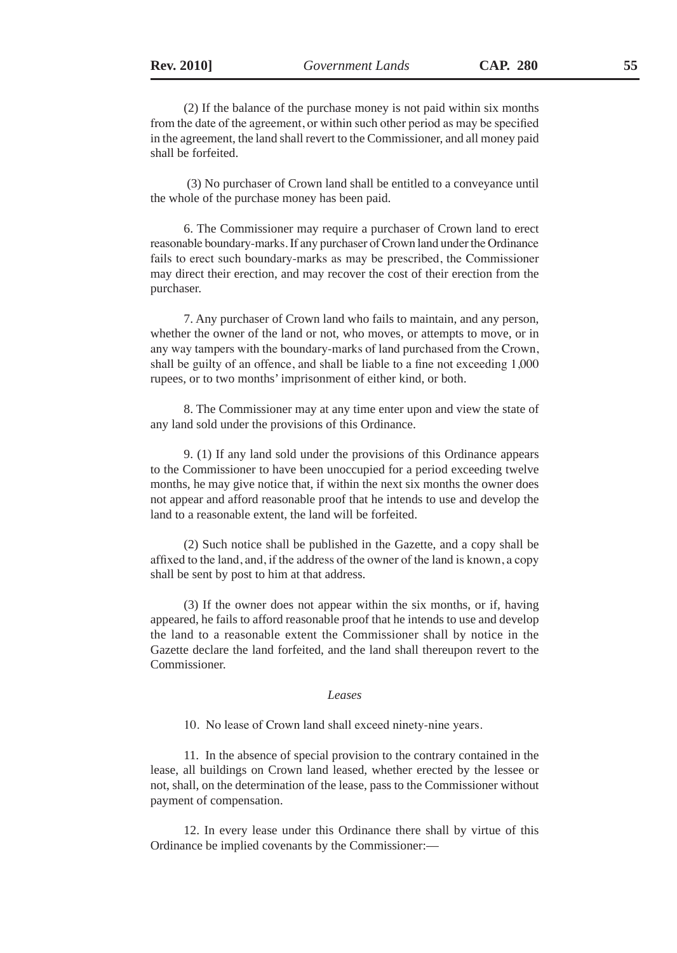(2) If the balance of the purchase money is not paid within six months from the date of the agreement, or within such other period as may be specified in the agreement, the land shall revert to the Commissioner, and all money paid shall be forfeited.

 (3) No purchaser of Crown land shall be entitled to a conveyance until the whole of the purchase money has been paid.

6. The Commissioner may require a purchaser of Crown land to erect reasonable boundary-marks. If any purchaser of Crown land under the Ordinance fails to erect such boundary-marks as may be prescribed, the Commissioner may direct their erection, and may recover the cost of their erection from the purchaser.

7. Any purchaser of Crown land who fails to maintain, and any person, whether the owner of the land or not, who moves, or attempts to move, or in any way tampers with the boundary-marks of land purchased from the Crown, shall be guilty of an offence, and shall be liable to a fine not exceeding 1,000 rupees, or to two months' imprisonment of either kind, or both.

8. The Commissioner may at any time enter upon and view the state of any land sold under the provisions of this Ordinance.

9. (1) If any land sold under the provisions of this Ordinance appears to the Commissioner to have been unoccupied for a period exceeding twelve months, he may give notice that, if within the next six months the owner does not appear and afford reasonable proof that he intends to use and develop the land to a reasonable extent, the land will be forfeited.

(2) Such notice shall be published in the Gazette, and a copy shall be affixed to the land, and, if the address of the owner of the land is known, a copy shall be sent by post to him at that address.

(3) If the owner does not appear within the six months, or if, having appeared, he fails to afford reasonable proof that he intends to use and develop the land to a reasonable extent the Commissioner shall by notice in the Gazette declare the land forfeited, and the land shall thereupon revert to the Commissioner.

#### *Leases*

10. No lease of Crown land shall exceed ninety-nine years.

11. In the absence of special provision to the contrary contained in the lease, all buildings on Crown land leased, whether erected by the lessee or not, shall, on the determination of the lease, pass to the Commissioner without payment of compensation.

12. In every lease under this Ordinance there shall by virtue of this Ordinance be implied covenants by the Commissioner:—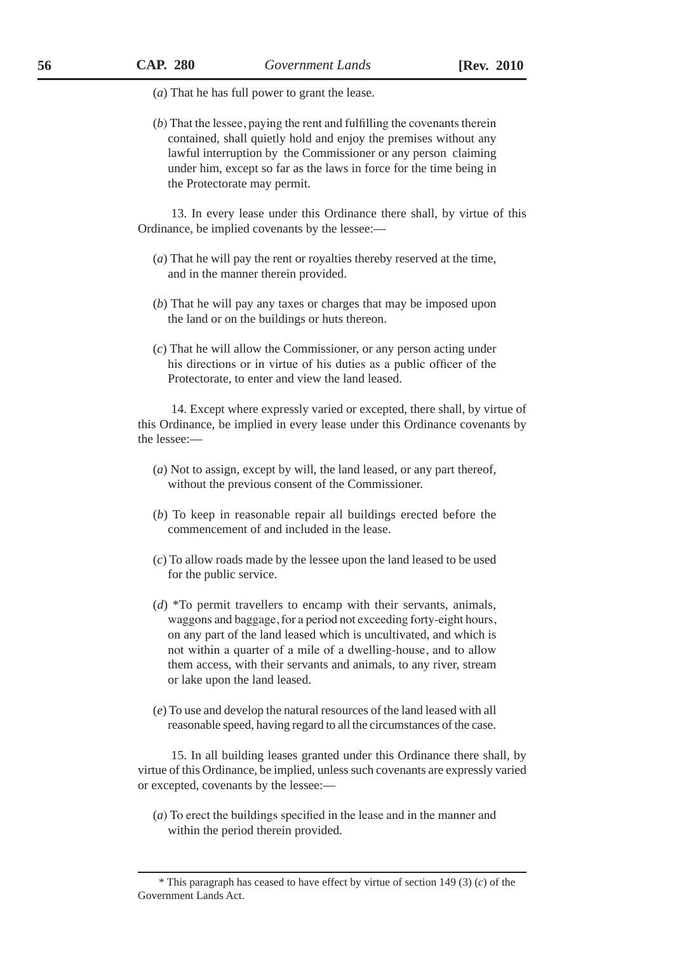(*a*) That he has full power to grant the lease.

(*b*) That the lessee, paying the rent and fulfilling the covenants therein contained, shall quietly hold and enjoy the premises without any lawful interruption by the Commissioner or any person claiming under him, except so far as the laws in force for the time being in the Protectorate may permit.

13. In every lease under this Ordinance there shall, by virtue of this Ordinance, be implied covenants by the lessee:—

- (*a*) That he will pay the rent or royalties thereby reserved at the time, and in the manner therein provided.
- (*b*) That he will pay any taxes or charges that may be imposed upon the land or on the buildings or huts thereon.
- (*c*) That he will allow the Commissioner, or any person acting under his directions or in virtue of his duties as a public officer of the Protectorate, to enter and view the land leased.

14. Except where expressly varied or excepted, there shall, by virtue of this Ordinance, be implied in every lease under this Ordinance covenants by the lessee:—

- (*a*) Not to assign, except by will, the land leased, or any part thereof, without the previous consent of the Commissioner.
- (*b*) To keep in reasonable repair all buildings erected before the commencement of and included in the lease.
- (*c*) To allow roads made by the lessee upon the land leased to be used for the public service.
- (*d*) \*To permit travellers to encamp with their servants, animals, waggons and baggage, for a period not exceeding forty-eight hours, on any part of the land leased which is uncultivated, and which is not within a quarter of a mile of a dwelling-house, and to allow them access, with their servants and animals, to any river, stream or lake upon the land leased.
- (*e*) To use and develop the natural resources of the land leased with all reasonable speed, having regard to all the circumstances of the case.

15. In all building leases granted under this Ordinance there shall, by virtue of this Ordinance, be implied, unless such covenants are expressly varied or excepted, covenants by the lessee:—

(*a*) To erect the buildings specified in the lease and in the manner and within the period therein provided.

<sup>\*</sup> This paragraph has ceased to have effect by virtue of section 149 (3) (*c*) of the Government Lands Act.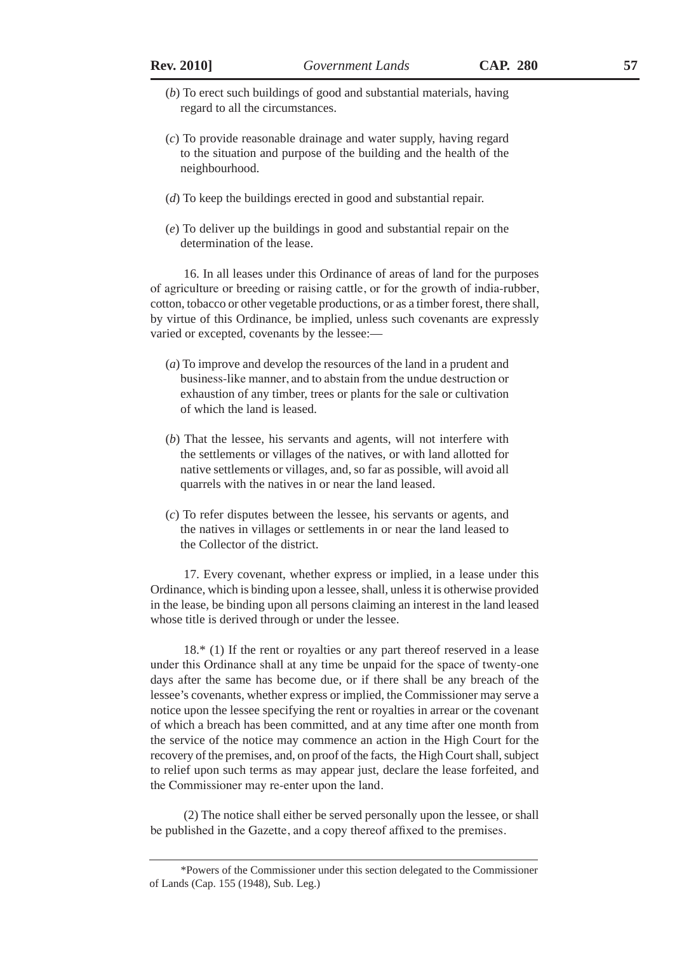- (*b*) To erect such buildings of good and substantial materials, having regard to all the circumstances.
- (*c*) To provide reasonable drainage and water supply, having regard to the situation and purpose of the building and the health of the neighbourhood.
- (*d*) To keep the buildings erected in good and substantial repair.
- (*e*) To deliver up the buildings in good and substantial repair on the determination of the lease.

16. In all leases under this Ordinance of areas of land for the purposes of agriculture or breeding or raising cattle, or for the growth of india-rubber, cotton, tobacco or other vegetable productions, or as a timber forest, there shall, by virtue of this Ordinance, be implied, unless such covenants are expressly varied or excepted, covenants by the lessee:—

- (*a*) To improve and develop the resources of the land in a prudent and business-like manner, and to abstain from the undue destruction or exhaustion of any timber, trees or plants for the sale or cultivation of which the land is leased.
- (*b*) That the lessee, his servants and agents, will not interfere with the settlements or villages of the natives, or with land allotted for native settlements or villages, and, so far as possible, will avoid all quarrels with the natives in or near the land leased.
- (*c*) To refer disputes between the lessee, his servants or agents, and the natives in villages or settlements in or near the land leased to the Collector of the district.

17. Every covenant, whether express or implied, in a lease under this Ordinance, which is binding upon a lessee, shall, unless it is otherwise provided in the lease, be binding upon all persons claiming an interest in the land leased whose title is derived through or under the lessee.

18.\* (1) If the rent or royalties or any part thereof reserved in a lease under this Ordinance shall at any time be unpaid for the space of twenty-one days after the same has become due, or if there shall be any breach of the lessee's covenants, whether express or implied, the Commissioner may serve a notice upon the lessee specifying the rent or royalties in arrear or the covenant of which a breach has been committed, and at any time after one month from the service of the notice may commence an action in the High Court for the recovery of the premises, and, on proof of the facts, the High Court shall, subject to relief upon such terms as may appear just, declare the lease forfeited, and the Commissioner may re-enter upon the land.

(2) The notice shall either be served personally upon the lessee, or shall be published in the Gazette, and a copy thereof affixed to the premises.

<sup>\*</sup>Powers of the Commissioner under this section delegated to the Commissioner of Lands (Cap. 155 (1948), Sub. Leg.)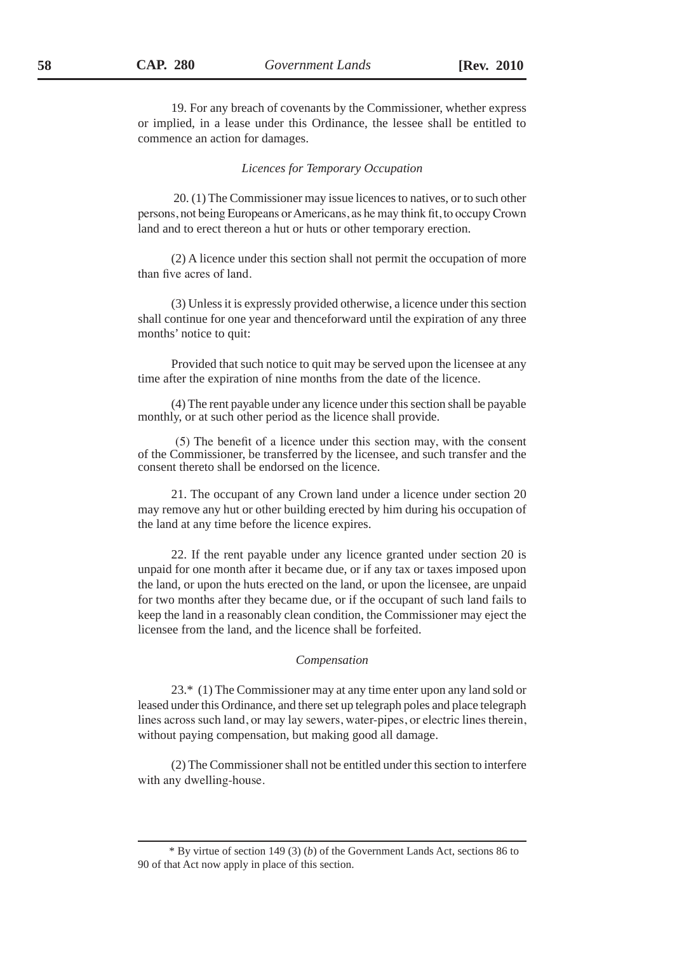19. For any breach of covenants by the Commissioner, whether express or implied, in a lease under this Ordinance, the lessee shall be entitled to commence an action for damages.

#### *Licences for Temporary Occupation*

 20. (1) The Commissioner may issue licences to natives, or to such other persons, not being Europeans or Americans, as he may think fit, to occupy Crown land and to erect thereon a hut or huts or other temporary erection.

(2) A licence under this section shall not permit the occupation of more than five acres of land.

(3) Unless it is expressly provided otherwise, a licence under this section shall continue for one year and thenceforward until the expiration of any three months' notice to quit:

Provided that such notice to quit may be served upon the licensee at any time after the expiration of nine months from the date of the licence.

(4) The rent payable under any licence under this section shall be payable monthly, or at such other period as the licence shall provide.

 (5) The benefit of a licence under this section may, with the consent of the Commissioner, be transferred by the licensee, and such transfer and the consent thereto shall be endorsed on the licence.

21. The occupant of any Crown land under a licence under section 20 may remove any hut or other building erected by him during his occupation of the land at any time before the licence expires.

22. If the rent payable under any licence granted under section 20 is unpaid for one month after it became due, or if any tax or taxes imposed upon the land, or upon the huts erected on the land, or upon the licensee, are unpaid for two months after they became due, or if the occupant of such land fails to keep the land in a reasonably clean condition, the Commissioner may eject the licensee from the land, and the licence shall be forfeited.

#### *Compensation*

23.\* (1) The Commissioner may at any time enter upon any land sold or leased under this Ordinance, and there set up telegraph poles and place telegraph lines across such land, or may lay sewers, water-pipes, or electric lines therein, without paying compensation, but making good all damage.

(2) The Commissioner shall not be entitled under this section to interfere with any dwelling-house.

<sup>\*</sup> By virtue of section 149 (3) (*b*) of the Government Lands Act, sections 86 to 90 of that Act now apply in place of this section.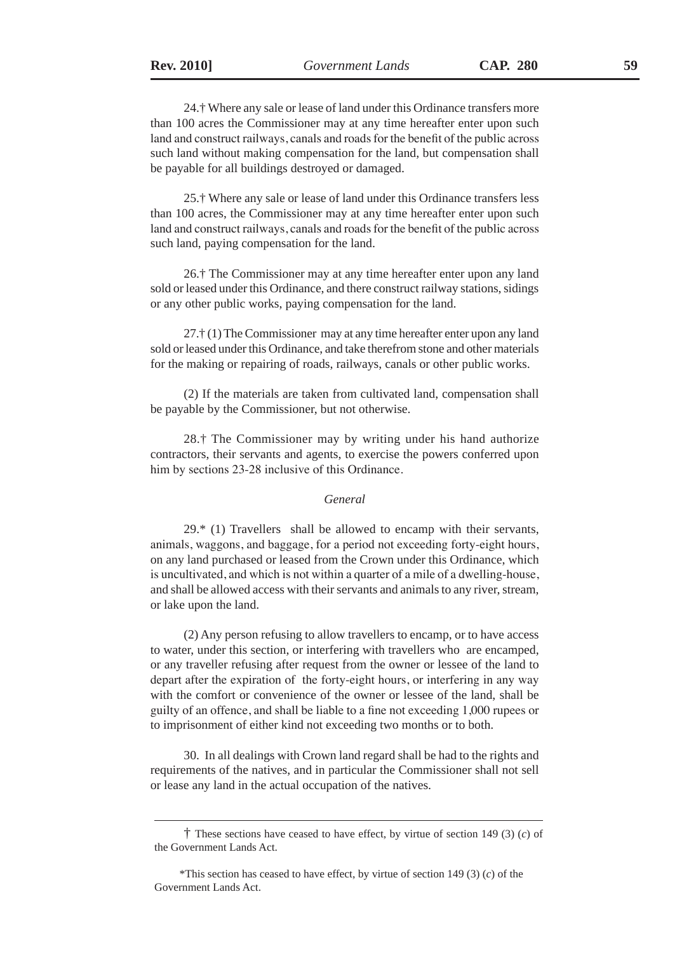24.† Where any sale or lease of land under this Ordinance transfers more than 100 acres the Commissioner may at any time hereafter enter upon such land and construct railways, canals and roads for the benefit of the public across such land without making compensation for the land, but compensation shall be payable for all buildings destroyed or damaged.

25.† Where any sale or lease of land under this Ordinance transfers less than 100 acres, the Commissioner may at any time hereafter enter upon such land and construct railways, canals and roads for the benefit of the public across such land, paying compensation for the land.

26.† The Commissioner may at any time hereafter enter upon any land sold or leased under this Ordinance, and there construct railway stations, sidings or any other public works, paying compensation for the land.

27.† (1) The Commissioner may at any time hereafter enter upon any land sold or leased under this Ordinance, and take therefrom stone and other materials for the making or repairing of roads, railways, canals or other public works.

(2) If the materials are taken from cultivated land, compensation shall be payable by the Commissioner, but not otherwise.

28.† The Commissioner may by writing under his hand authorize contractors, their servants and agents, to exercise the powers conferred upon him by sections 23-28 inclusive of this Ordinance.

#### *General*

 $29.*$  (1) Travellers shall be allowed to encamp with their servants, animals, waggons, and baggage, for a period not exceeding forty-eight hours, on any land purchased or leased from the Crown under this Ordinance, which is uncultivated, and which is not within a quarter of a mile of a dwelling-house, and shall be allowed access with their servants and animals to any river, stream, or lake upon the land.

(2) Any person refusing to allow travellers to encamp, or to have access to water, under this section, or interfering with travellers who are encamped, or any traveller refusing after request from the owner or lessee of the land to depart after the expiration of the forty-eight hours, or interfering in any way with the comfort or convenience of the owner or lessee of the land, shall be guilty of an offence, and shall be liable to a fine not exceeding 1,000 rupees or to imprisonment of either kind not exceeding two months or to both.

30. In all dealings with Crown land regard shall be had to the rights and requirements of the natives, and in particular the Commissioner shall not sell or lease any land in the actual occupation of the natives.

 <sup>†</sup> These sections have ceased to have effect, by virtue of section 149 (3) (*c*) of the Government Lands Act.

<sup>\*</sup>This section has ceased to have effect, by virtue of section 149 (3) (*c*) of the Government Lands Act.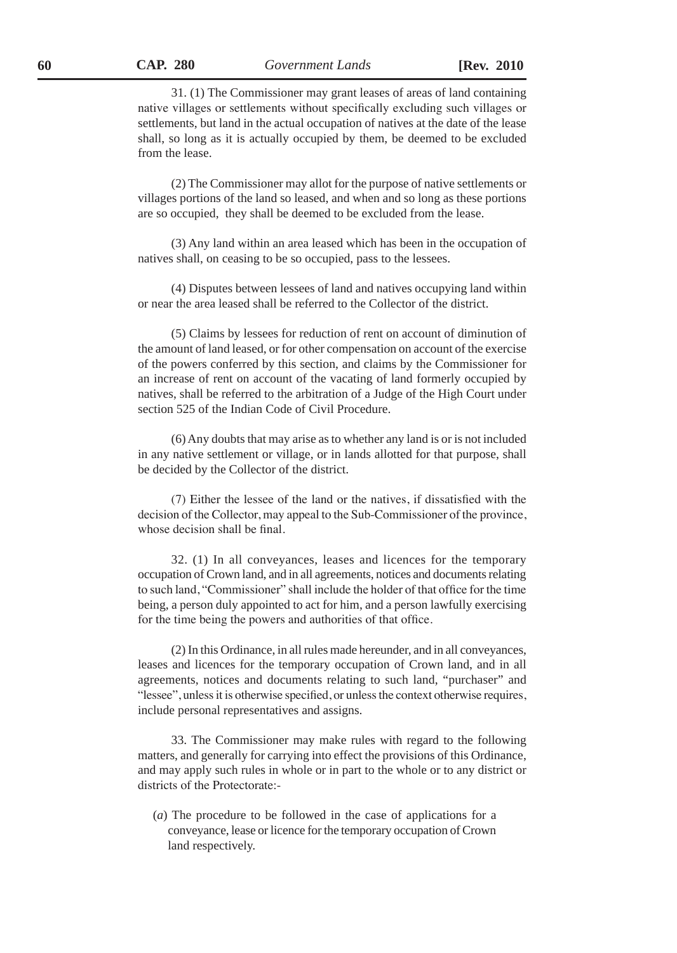31. (1) The Commissioner may grant leases of areas of land containing native villages or settlements without specifically excluding such villages or settlements, but land in the actual occupation of natives at the date of the lease shall, so long as it is actually occupied by them, be deemed to be excluded from the lease.

(2) The Commissioner may allot for the purpose of native settlements or villages portions of the land so leased, and when and so long as these portions are so occupied, they shall be deemed to be excluded from the lease.

(3) Any land within an area leased which has been in the occupation of natives shall, on ceasing to be so occupied, pass to the lessees.

(4) Disputes between lessees of land and natives occupying land within or near the area leased shall be referred to the Collector of the district.

(5) Claims by lessees for reduction of rent on account of diminution of the amount of land leased, or for other compensation on account of the exercise of the powers conferred by this section, and claims by the Commissioner for an increase of rent on account of the vacating of land formerly occupied by natives, shall be referred to the arbitration of a Judge of the High Court under section 525 of the Indian Code of Civil Procedure.

(6) Any doubts that may arise as to whether any land is or is not included in any native settlement or village, or in lands allotted for that purpose, shall be decided by the Collector of the district.

(7) Either the lessee of the land or the natives, if dissatisfied with the decision of the Collector, may appeal to the Sub-Commissioner of the province, whose decision shall be final.

32. (1) In all conveyances, leases and licences for the temporary occupation of Crown land, and in all agreements, notices and documents relating to such land, "Commissioner" shall include the holder of that office for the time being, a person duly appointed to act for him, and a person lawfully exercising for the time being the powers and authorities of that office.

(2) In this Ordinance, in all rules made hereunder, and in all conveyances, leases and licences for the temporary occupation of Crown land, and in all agreements, notices and documents relating to such land, "purchaser" and "lessee", unless it is otherwise specified, or unless the context otherwise requires, include personal representatives and assigns.

33. The Commissioner may make rules with regard to the following matters, and generally for carrying into effect the provisions of this Ordinance, and may apply such rules in whole or in part to the whole or to any district or districts of the Protectorate:-

(*a*) The procedure to be followed in the case of applications for a conveyance, lease or licence for the temporary occupation of Crown land respectively.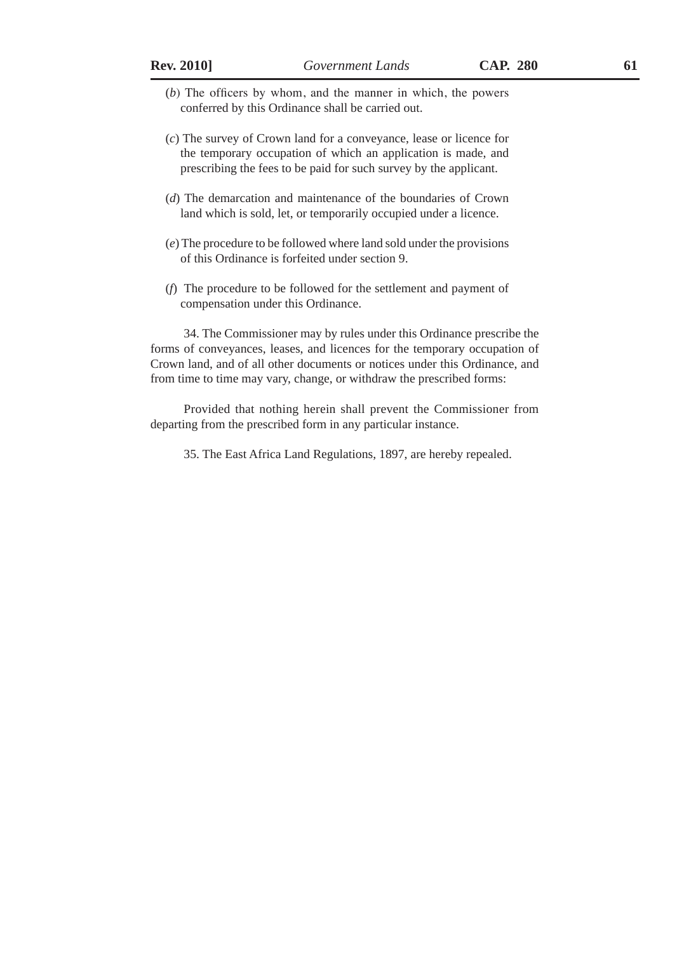- (*b*) The officers by whom, and the manner in which, the powers conferred by this Ordinance shall be carried out.
- (*c*) The survey of Crown land for a conveyance, lease or licence for the temporary occupation of which an application is made, and prescribing the fees to be paid for such survey by the applicant.
- (*d*) The demarcation and maintenance of the boundaries of Crown land which is sold, let, or temporarily occupied under a licence.
- (*e*) The procedure to be followed where land sold under the provisions of this Ordinance is forfeited under section 9.
- (*f*) The procedure to be followed for the settlement and payment of compensation under this Ordinance.

34. The Commissioner may by rules under this Ordinance prescribe the forms of conveyances, leases, and licences for the temporary occupation of Crown land, and of all other documents or notices under this Ordinance, and from time to time may vary, change, or withdraw the prescribed forms:

Provided that nothing herein shall prevent the Commissioner from departing from the prescribed form in any particular instance.

35. The East Africa Land Regulations, 1897, are hereby repealed.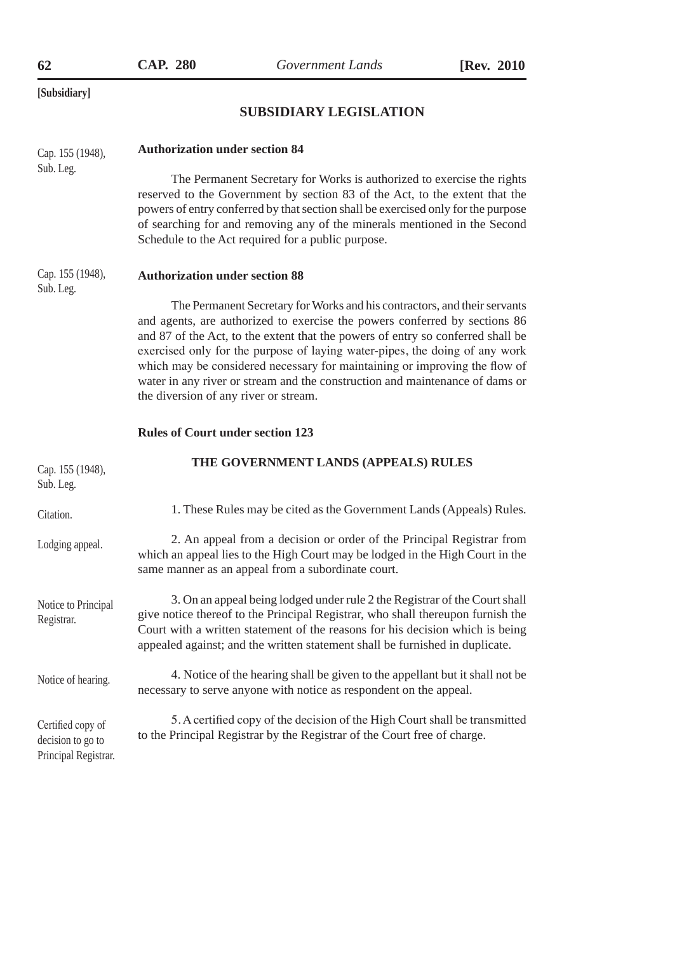# **SUBSIDIARY LEGISLATION**

| Cap. 155 (1948),                  | <b>Authorization under section 84</b>                                                                                                                                                                                                                                                                                                                                                                                                                                                                                            |
|-----------------------------------|----------------------------------------------------------------------------------------------------------------------------------------------------------------------------------------------------------------------------------------------------------------------------------------------------------------------------------------------------------------------------------------------------------------------------------------------------------------------------------------------------------------------------------|
| Sub. Leg.                         | The Permanent Secretary for Works is authorized to exercise the rights<br>reserved to the Government by section 83 of the Act, to the extent that the<br>powers of entry conferred by that section shall be exercised only for the purpose<br>of searching for and removing any of the minerals mentioned in the Second<br>Schedule to the Act required for a public purpose.                                                                                                                                                    |
| Cap. 155 (1948),<br>Sub. Leg.     | <b>Authorization under section 88</b>                                                                                                                                                                                                                                                                                                                                                                                                                                                                                            |
|                                   | The Permanent Secretary for Works and his contractors, and their servants<br>and agents, are authorized to exercise the powers conferred by sections 86<br>and 87 of the Act, to the extent that the powers of entry so conferred shall be<br>exercised only for the purpose of laying water-pipes, the doing of any work<br>which may be considered necessary for maintaining or improving the flow of<br>water in any river or stream and the construction and maintenance of dams or<br>the diversion of any river or stream. |
|                                   | <b>Rules of Court under section 123</b>                                                                                                                                                                                                                                                                                                                                                                                                                                                                                          |
|                                   |                                                                                                                                                                                                                                                                                                                                                                                                                                                                                                                                  |
| Cap. 155 (1948),<br>Sub. Leg.     | THE GOVERNMENT LANDS (APPEALS) RULES                                                                                                                                                                                                                                                                                                                                                                                                                                                                                             |
| Citation.                         | 1. These Rules may be cited as the Government Lands (Appeals) Rules.                                                                                                                                                                                                                                                                                                                                                                                                                                                             |
| Lodging appeal.                   | 2. An appeal from a decision or order of the Principal Registrar from<br>which an appeal lies to the High Court may be lodged in the High Court in the<br>same manner as an appeal from a subordinate court.                                                                                                                                                                                                                                                                                                                     |
| Notice to Principal<br>Registrar. | 3. On an appeal being lodged under rule 2 the Registrar of the Court shall<br>give notice thereof to the Principal Registrar, who shall thereupon furnish the<br>Court with a written statement of the reasons for his decision which is being<br>appealed against; and the written statement shall be furnished in duplicate.                                                                                                                                                                                                   |
| Notice of hearing.                | 4. Notice of the hearing shall be given to the appellant but it shall not be<br>necessary to serve anyone with notice as respondent on the appeal.                                                                                                                                                                                                                                                                                                                                                                               |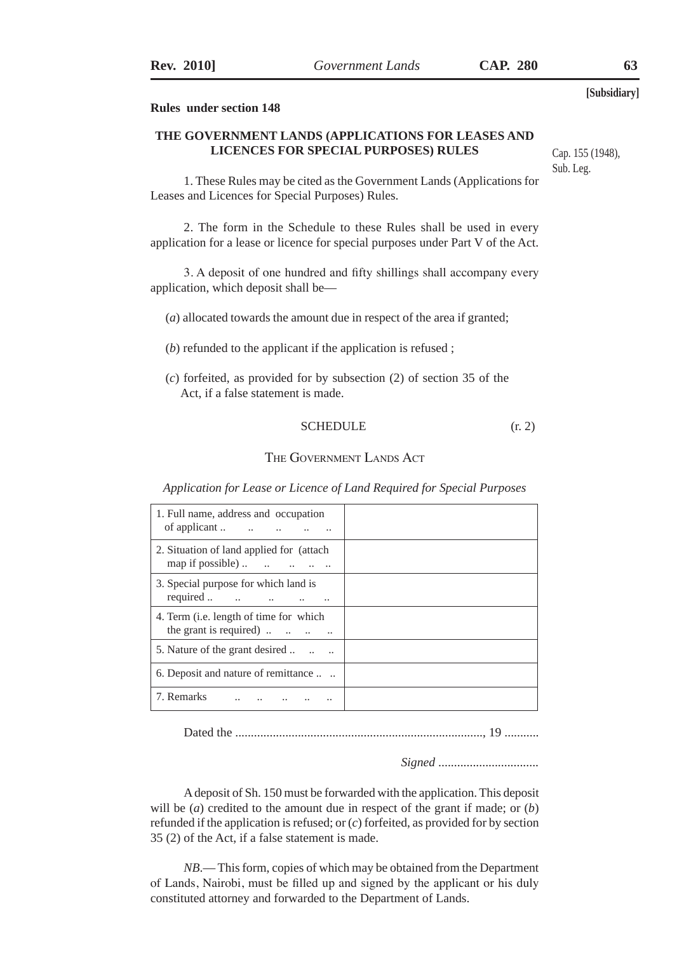#### **Rules under section 148**

#### **THE GOVERNMENT LANDS (APPLICATIONS FOR LEASES AND LICENCES FOR SPECIAL PURPOSES) RULES**

1. These Rules may be cited as the Government Lands (Applications for Leases and Licences for Special Purposes) Rules.

2. The form in the Schedule to these Rules shall be used in every application for a lease or licence for special purposes under Part V of the Act.

3. A deposit of one hundred and fifty shillings shall accompany every application, which deposit shall be—

- (*a*) allocated towards the amount due in respect of the area if granted;
- (*b*) refunded to the applicant if the application is refused ;
- (*c*) forfeited, as provided for by subsection (2) of section 35 of the Act, if a false statement is made.

#### SCHEDULE  $(r, 2)$

#### The Government Lands Act

*Application for Lease or Licence of Land Required for Special Purposes* 

| 1. Full name, address and occupation                                                                |  |
|-----------------------------------------------------------------------------------------------------|--|
| 2. Situation of land applied for (attach)<br>map if possible) $\ldots$ $\ldots$ $\ldots$ $\ldots$   |  |
| 3. Special purpose for which land is<br>required                                                    |  |
| 4. Term ( <i>i.e.</i> length of time for which<br>the grant is required) $\ldots$ $\ldots$ $\ldots$ |  |
| 5. Nature of the grant desired                                                                      |  |
| 6. Deposit and nature of remittance                                                                 |  |
| 7. Remarks                                                                                          |  |

Dated the ..............................................................................., 19 ...........

*Signed* ................................

A deposit of Sh. 150 must be forwarded with the application. This deposit will be (*a*) credited to the amount due in respect of the grant if made; or (*b*) refunded if the application is refused; or (*c*) forfeited, as provided for by section 35 (2) of the Act, if a false statement is made.

*NB*.— This form, copies of which may be obtained from the Department of Lands, Nairobi, must be filled up and signed by the applicant or his duly constituted attorney and forwarded to the Department of Lands.

Cap. 155 (1948), Sub. Leg.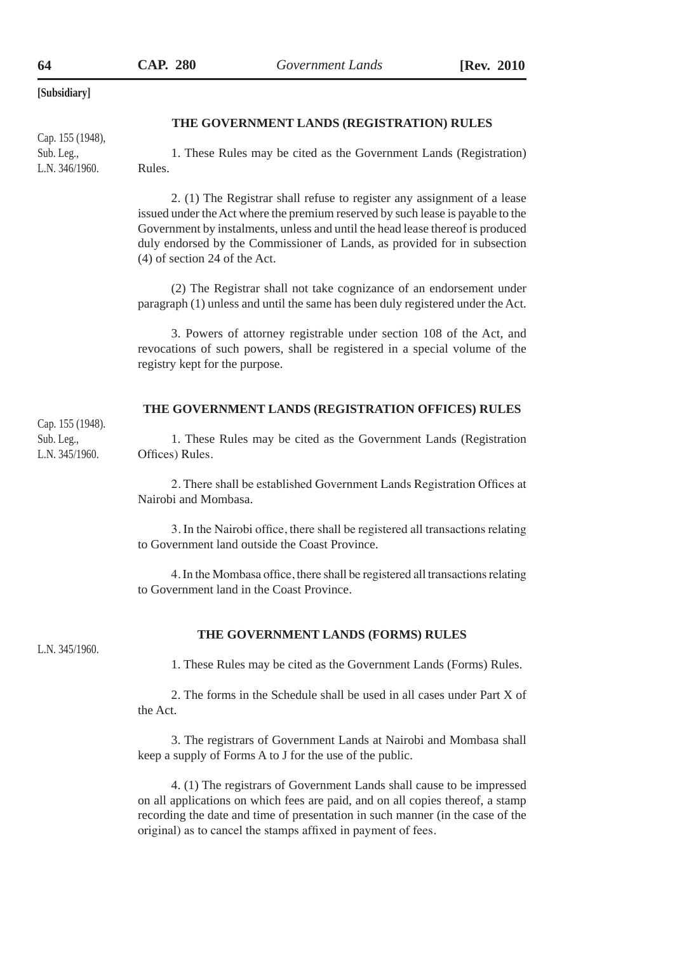#### **THE GOVERNMENT LANDS (REGISTRATION) RULES**

Cap. 155 (1948), Sub. Leg., L.N. 346/1960.

1. These Rules may be cited as the Government Lands (Registration) Rules.

2. (1) The Registrar shall refuse to register any assignment of a lease issued under the Act where the premium reserved by such lease is payable to the Government by instalments, unless and until the head lease thereof is produced duly endorsed by the Commissioner of Lands, as provided for in subsection (4) of section 24 of the Act.

(2) The Registrar shall not take cognizance of an endorsement under paragraph (1) unless and until the same has been duly registered under the Act.

3. Powers of attorney registrable under section 108 of the Act, and revocations of such powers, shall be registered in a special volume of the registry kept for the purpose.

#### **THE GOVERNMENT LANDS (REGISTRATION OFFICES) RULES**

Cap. 155 (1948). Sub. Leg., L.N. 345/1960.

1. These Rules may be cited as the Government Lands (Registration Offices) Rules.

2. There shall be established Government Lands Registration Offices at Nairobi and Mombasa.

3. In the Nairobi office, there shall be registered all transactions relating to Government land outside the Coast Province.

4. In the Mombasa office, there shall be registered all transactions relating to Government land in the Coast Province.

L.N. 345/1960.

#### **THE GOVERNMENT LANDS (FORMS) RULES**

1. These Rules may be cited as the Government Lands (Forms) Rules.

2. The forms in the Schedule shall be used in all cases under Part X of the Act.

3. The registrars of Government Lands at Nairobi and Mombasa shall keep a supply of Forms A to J for the use of the public.

4. (1) The registrars of Government Lands shall cause to be impressed on all applications on which fees are paid, and on all copies thereof, a stamp recording the date and time of presentation in such manner (in the case of the original) as to cancel the stamps affixed in payment of fees.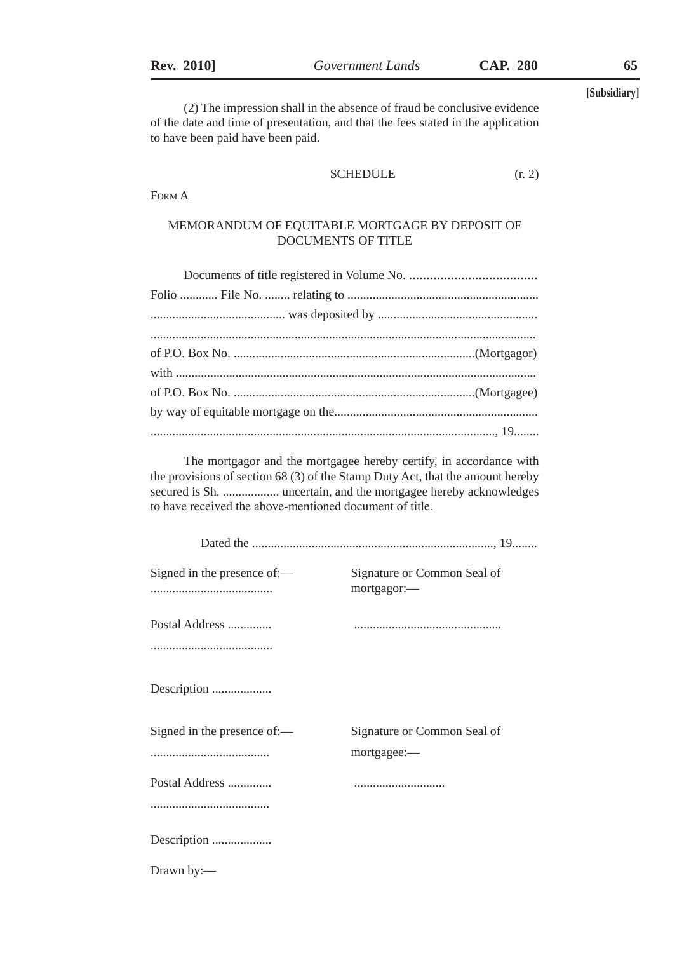(2) The impression shall in the absence of fraud be conclusive evidence of the date and time of presentation, and that the fees stated in the application to have been paid have been paid.

### SCHEDULE  $(r, 2)$

Form A

#### MEMORANDUM OF EQUITABLE MORTGAGE BY DEPOSIT OF DOCUMENTS OF TITLE

The mortgagor and the mortgagee hereby certify, in accordance with the provisions of section 68 (3) of the Stamp Duty Act, that the amount hereby secured is Sh. .................. uncertain, and the mortgagee hereby acknowledges to have received the above-mentioned document of title.

| Signed in the presence of:—<br>                     | Signature or Common Seal of<br>mortgagor:- |
|-----------------------------------------------------|--------------------------------------------|
| Postal Address                                      |                                            |
|                                                     |                                            |
| Description                                         |                                            |
| Signed in the presence of: $\overline{\phantom{a}}$ | Signature or Common Seal of                |
|                                                     | mortgagee:-                                |
| Postal Address                                      |                                            |
|                                                     |                                            |
| Description                                         |                                            |
| Drawn by:-                                          |                                            |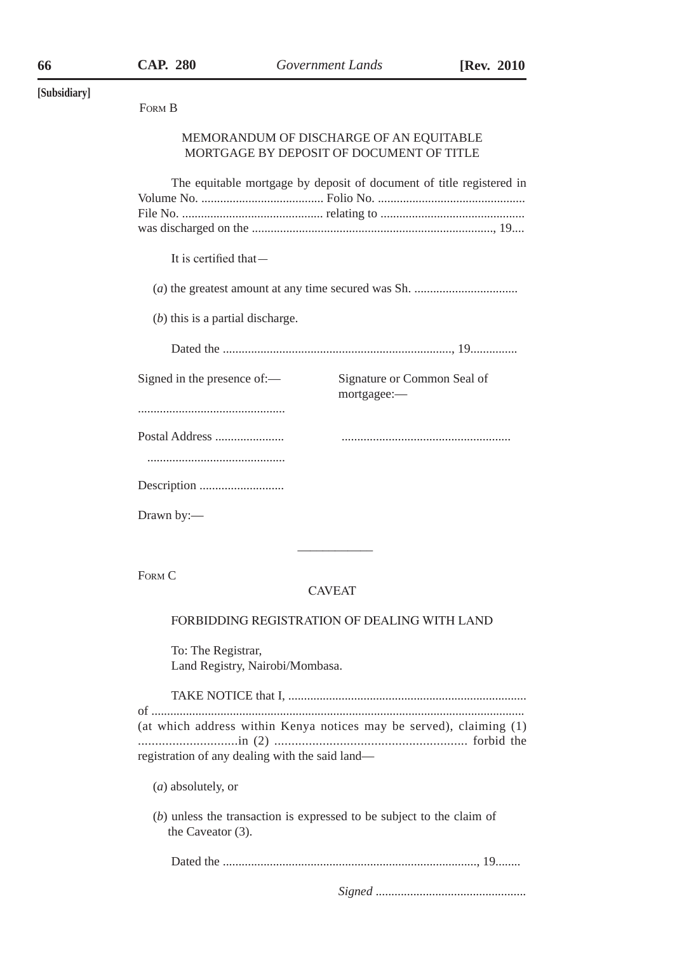| [Subsidiary] |                                                                                                                        |  |  |
|--------------|------------------------------------------------------------------------------------------------------------------------|--|--|
|              | FORM B                                                                                                                 |  |  |
|              | MEMORANDUM OF DISCHARGE OF AN EQUITABLE<br>MORTGAGE BY DEPOSIT OF DOCUMENT OF TITLE                                    |  |  |
|              | The equitable mortgage by deposit of document of title registered in                                                   |  |  |
|              | It is certified that-                                                                                                  |  |  |
|              |                                                                                                                        |  |  |
|              | $(b)$ this is a partial discharge.                                                                                     |  |  |
|              |                                                                                                                        |  |  |
|              | Signed in the presence of:-<br>Signature or Common Seal of<br>mortgagee:-                                              |  |  |
|              |                                                                                                                        |  |  |
|              | Postal Address                                                                                                         |  |  |
|              |                                                                                                                        |  |  |
|              |                                                                                                                        |  |  |
|              | Drawn by:-                                                                                                             |  |  |
|              |                                                                                                                        |  |  |
|              | FORM C<br><b>CAVEAT</b>                                                                                                |  |  |
|              | FORBIDDING REGISTRATION OF DEALING WITH LAND                                                                           |  |  |
|              | To: The Registrar,<br>Land Registry, Nairobi/Mombasa.                                                                  |  |  |
|              |                                                                                                                        |  |  |
|              | (at which address within Kenya notices may be served), claiming (1)<br>registration of any dealing with the said land- |  |  |
|              | $(a)$ absolutely, or                                                                                                   |  |  |
|              | $(b)$ unless the transaction is expressed to be subject to the claim of<br>the Caveator $(3)$ .                        |  |  |

Dated the ................................................................................., 19........

*Signed* ................................................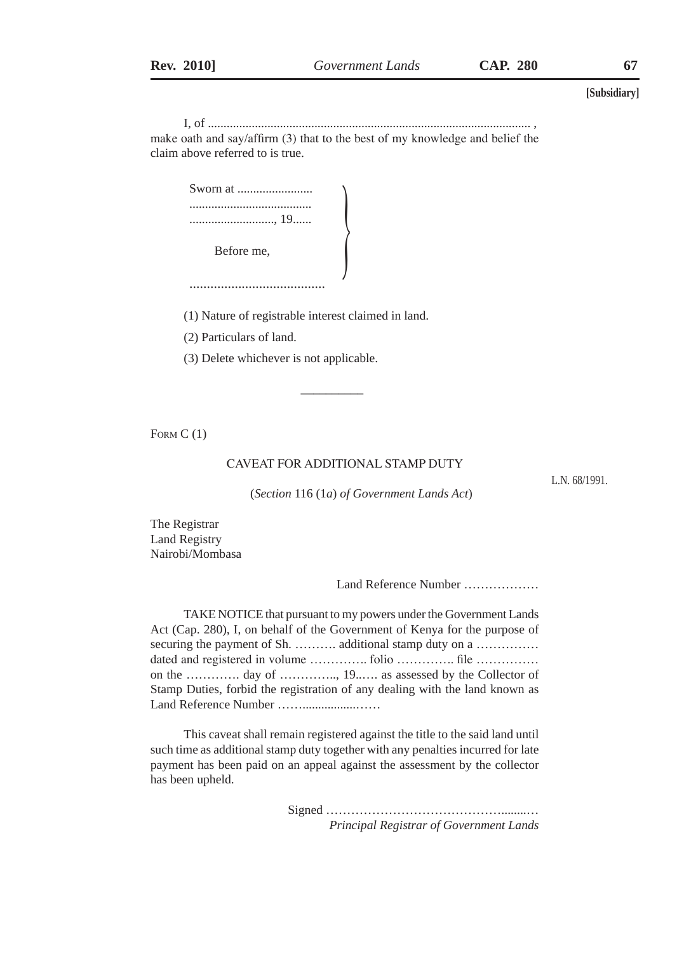I, of ....................................................................................................... , make oath and say/affirm (3) that to the best of my knowledge and belief the claim above referred to is true.

 $\left($ 

| Sworn at |
|----------|
|          |
|          |
|          |

Before me,

.......................................

(1) Nature of registrable interest claimed in land.

(2) Particulars of land.

(3) Delete whichever is not applicable.

 $\frac{1}{2}$  ,  $\frac{1}{2}$  ,  $\frac{1}{2}$  ,  $\frac{1}{2}$  ,  $\frac{1}{2}$  ,  $\frac{1}{2}$  ,  $\frac{1}{2}$  ,  $\frac{1}{2}$  ,  $\frac{1}{2}$  ,  $\frac{1}{2}$  ,  $\frac{1}{2}$  ,  $\frac{1}{2}$  ,  $\frac{1}{2}$  ,  $\frac{1}{2}$  ,  $\frac{1}{2}$  ,  $\frac{1}{2}$  ,  $\frac{1}{2}$  ,  $\frac{1}{2}$  ,  $\frac{1$ 

FORM C(1)

#### CAVEAT FOR ADDITIONAL STAMP DUTY

L.N. 68/1991.

(*Section* 116 (1*a*) *of Government Lands Act*)

The Registrar Land Registry Nairobi/Mombasa

Land Reference Number ………………

TAKE NOTICE that pursuant to my powers under the Government Lands Act (Cap. 280), I, on behalf of the Government of Kenya for the purpose of securing the payment of Sh. ……….. additional stamp duty on a …………… dated and registered in volume …………... folio …………... file ………….. on the …………. day of ………….., 19..…. as assessed by the Collector of Stamp Duties, forbid the registration of any dealing with the land known as Land Reference Number ……......................

This caveat shall remain registered against the title to the said land until such time as additional stamp duty together with any penalties incurred for late payment has been paid on an appeal against the assessment by the collector has been upheld.

> Signed ……………………………………........… *Principal Registrar of Government Lands*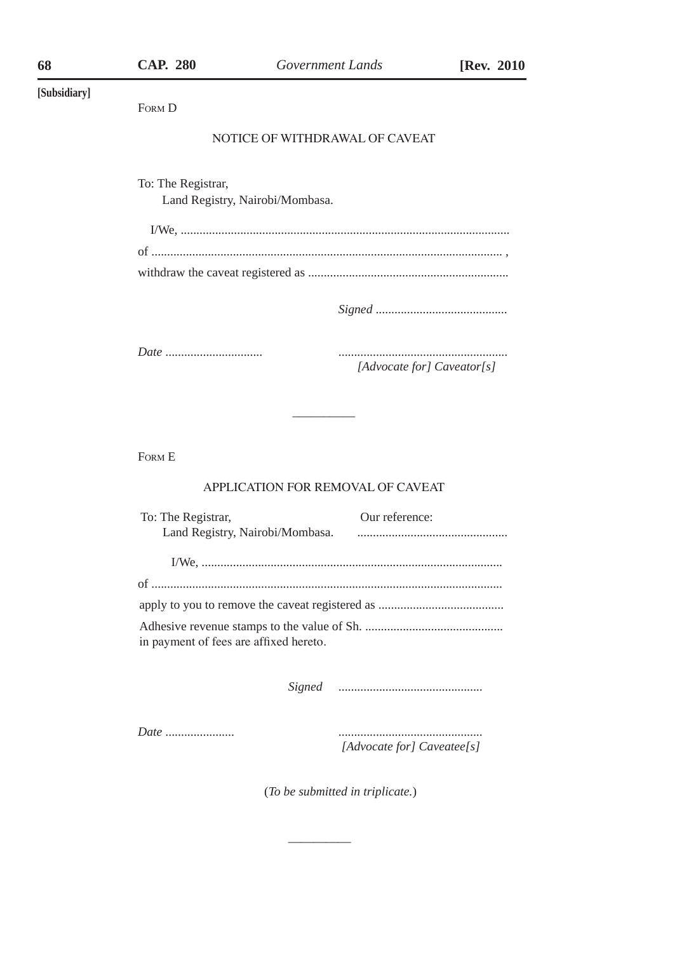| ١R. |  |
|-----|--|
|     |  |

#### NOTICE OF WITHDRAWAL OF CAVEAT

To: The Registrar,

Land Registry, Nairobi/Mombasa.

*Signed* ..........................................

*Date* ............................... ......................................................

*[Advocate for] Caveator[s]* 

Form E

#### APPLICATION FOR REMOVAL OF CAVEAT

 $\overline{\phantom{a}}$ 

| To: The Registrar,                     | Our reference: |
|----------------------------------------|----------------|
| Land Registry, Nairobi/Mombasa.        |                |
|                                        |                |
|                                        |                |
|                                        |                |
| in payment of fees are affixed hereto. |                |

*Signed* ..............................................

*Date* ...................... ..............................................

\_\_\_\_\_\_\_\_\_\_

*[Advocate for] Caveatee[s]*

(*To be submitted in triplicate.*)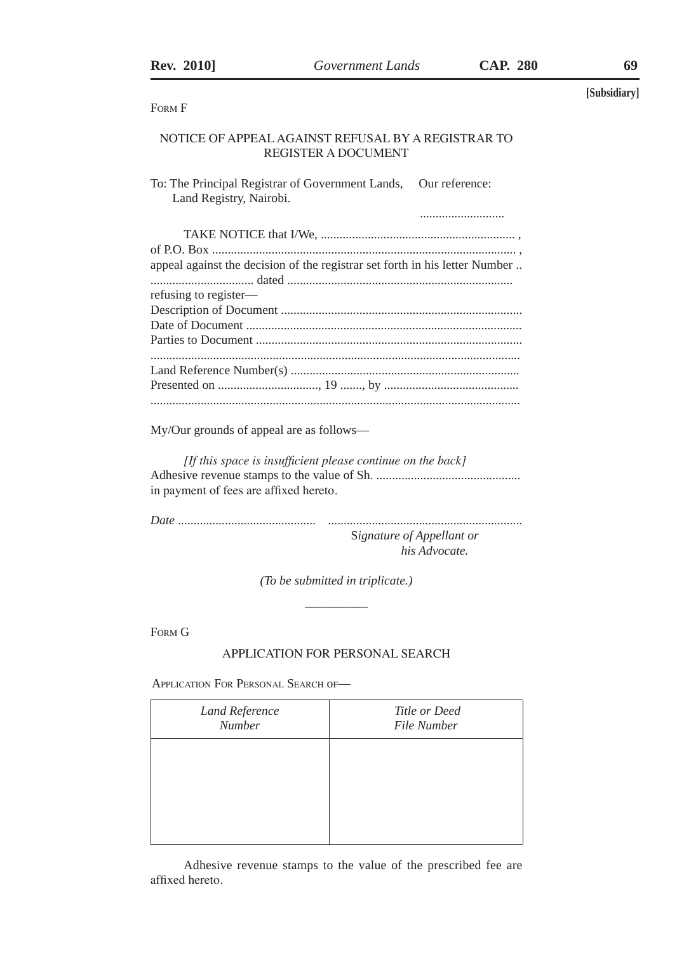| <b>Rev. 2010</b>                         | Government Lands                                                                                                                                                                                                                                                                                                                   | <b>CAP. 280</b> | 69           |
|------------------------------------------|------------------------------------------------------------------------------------------------------------------------------------------------------------------------------------------------------------------------------------------------------------------------------------------------------------------------------------|-----------------|--------------|
|                                          |                                                                                                                                                                                                                                                                                                                                    |                 | [Subsidiary] |
| FORM F                                   |                                                                                                                                                                                                                                                                                                                                    |                 |              |
|                                          | NOTICE OF APPEAL AGAINST REFUSAL BY A REGISTRAR TO<br><b>REGISTER A DOCUMENT</b>                                                                                                                                                                                                                                                   |                 |              |
| Land Registry, Nairobi.                  | To: The Principal Registrar of Government Lands, Our reference:                                                                                                                                                                                                                                                                    |                 |              |
|                                          |                                                                                                                                                                                                                                                                                                                                    |                 |              |
| refusing to register—                    | appeal against the decision of the registrar set forth in his letter Number                                                                                                                                                                                                                                                        |                 |              |
|                                          |                                                                                                                                                                                                                                                                                                                                    |                 |              |
| My/Our grounds of appeal are as follows— | $\mathbf{r}$ $\mathbf{r}$ $\mathbf{r}$ $\mathbf{r}$ $\mathbf{r}$ $\mathbf{r}$ $\mathbf{r}$ $\mathbf{r}$ $\mathbf{r}$ $\mathbf{r}$ $\mathbf{r}$ $\mathbf{r}$ $\mathbf{r}$ $\mathbf{r}$ $\mathbf{r}$ $\mathbf{r}$ $\mathbf{r}$ $\mathbf{r}$ $\mathbf{r}$ $\mathbf{r}$ $\mathbf{r}$ $\mathbf{r}$ $\mathbf{r}$ $\mathbf{r}$ $\mathbf{$ |                 |              |

*[If this space is insufficient please continue on the back]* Adhesive revenue stamps to the value of Sh. .............................................. in payment of fees are affixed hereto.

*Date* ............................................ .............................................................. S*ignature of Appellant or his Advocate.*

> *(To be submitted in triplicate.)*   $\overline{\phantom{a}}$

Form G

Ī

# APPLICATION FOR PERSONAL SEARCH

APPLICATION FOR PERSONAL SEARCH OF-

| Land Reference<br><b>Number</b> | Title or Deed<br>File Number |
|---------------------------------|------------------------------|
|                                 |                              |
|                                 |                              |
|                                 |                              |

Adhesive revenue stamps to the value of the prescribed fee are affixed hereto.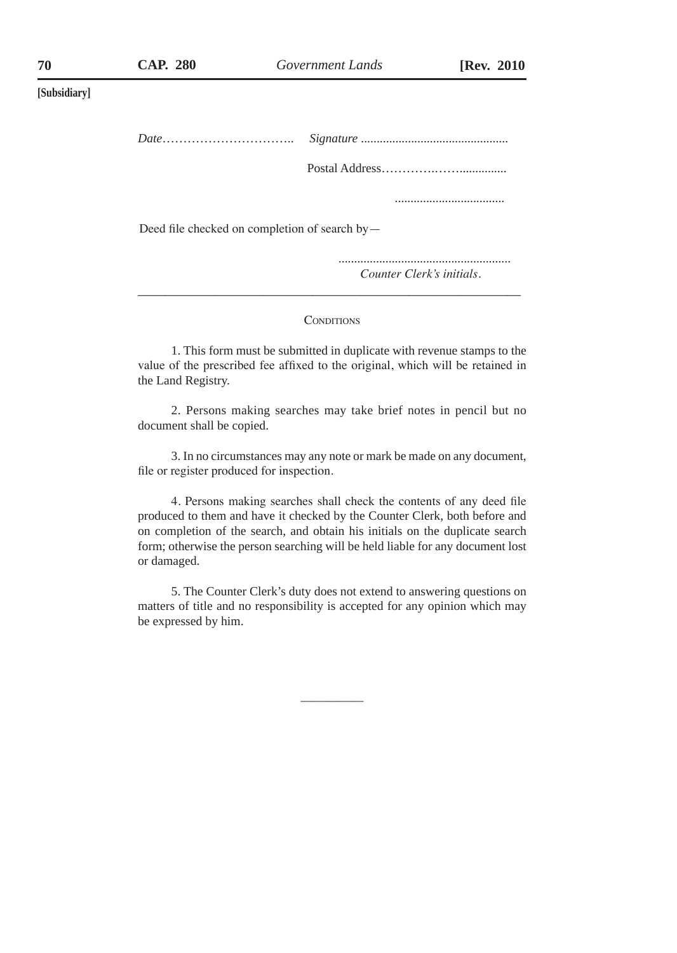| $Date \dots \dots \dots \dots \dots \dots \dots \dots \dots \dots$ |                           |  |  |
|--------------------------------------------------------------------|---------------------------|--|--|
|                                                                    |                           |  |  |
|                                                                    |                           |  |  |
| Deed file checked on completion of search by $-$                   |                           |  |  |
|                                                                    | Counter Clerk's initials. |  |  |

#### **CONDITIONS**

1. This form must be submitted in duplicate with revenue stamps to the value of the prescribed fee affixed to the original, which will be retained in the Land Registry.

2. Persons making searches may take brief notes in pencil but no document shall be copied.

3. In no circumstances may any note or mark be made on any document, file or register produced for inspection.

4. Persons making searches shall check the contents of any deed file produced to them and have it checked by the Counter Clerk, both before and on completion of the search, and obtain his initials on the duplicate search form; otherwise the person searching will be held liable for any document lost or damaged.

5. The Counter Clerk's duty does not extend to answering questions on matters of title and no responsibility is accepted for any opinion which may be expressed by him.

 $\overline{\phantom{a}}$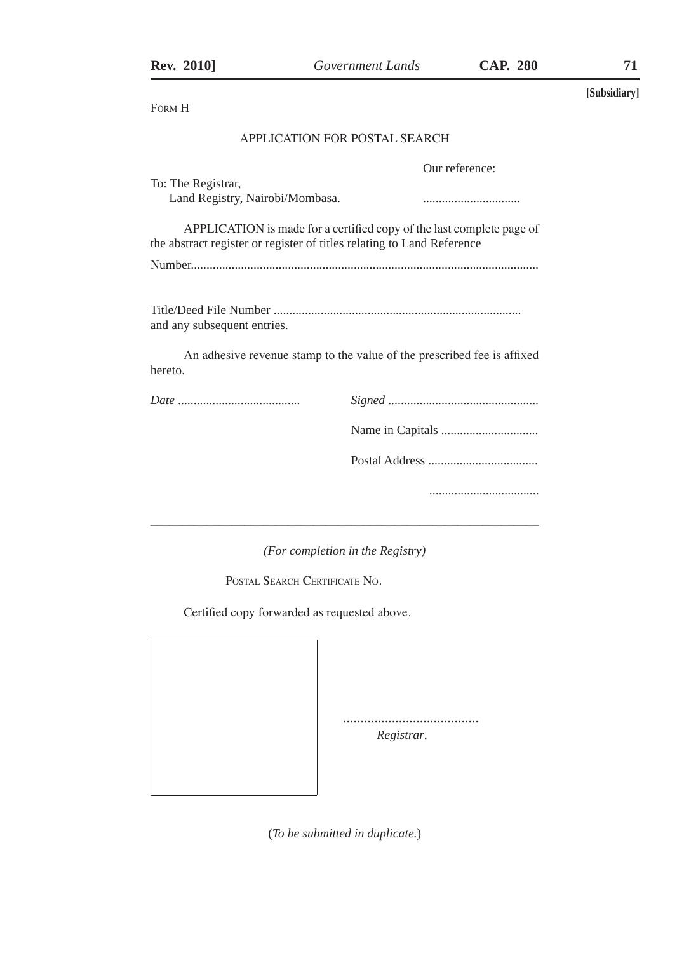| <b>Rev. 2010</b>                                                       | Government Lands                                                        | <b>CAP. 280</b> | 71           |
|------------------------------------------------------------------------|-------------------------------------------------------------------------|-----------------|--------------|
| FORM H                                                                 |                                                                         |                 | [Subsidiary] |
|                                                                        | APPLICATION FOR POSTAL SEARCH                                           |                 |              |
| To: The Registrar,<br>Land Registry, Nairobi/Mombasa.                  |                                                                         | Our reference:  |              |
| the abstract register or register of titles relating to Land Reference | APPLICATION is made for a certified copy of the last complete page of   |                 |              |
| and any subsequent entries.                                            |                                                                         |                 |              |
| hereto.                                                                | An adhesive revenue stamp to the value of the prescribed fee is affixed |                 |              |
|                                                                        |                                                                         |                 |              |
|                                                                        |                                                                         |                 |              |
|                                                                        |                                                                         |                 |              |
|                                                                        |                                                                         |                 |              |

*(For completion in the Registry)*

POSTAL SEARCH CERTIFICATE NO.

Certified copy forwarded as requested above.

.......................................

 *Registrar.*

(*To be submitted in duplicate.*)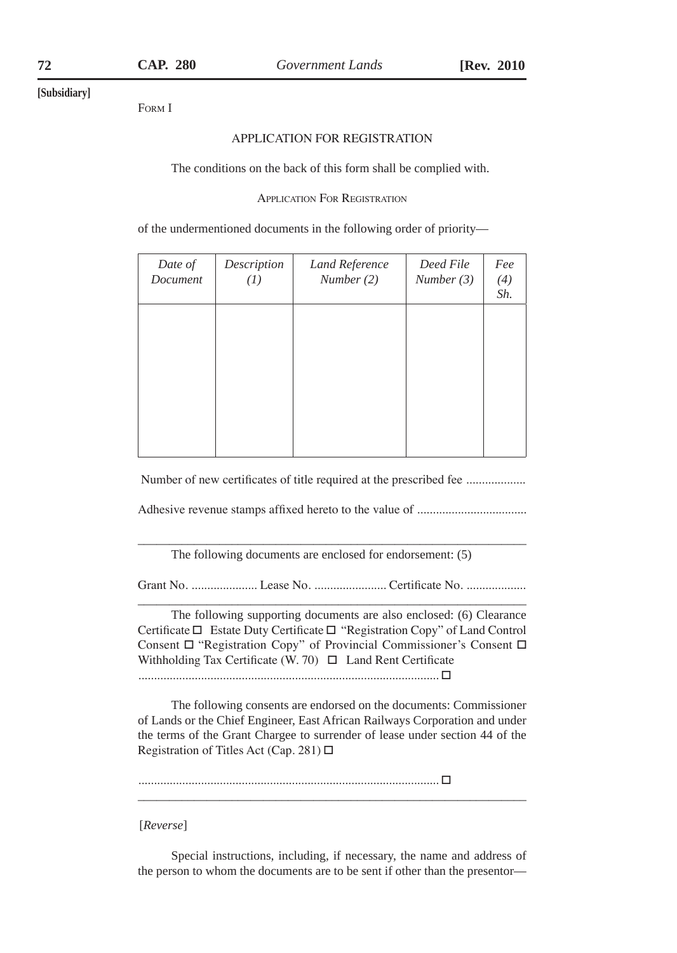Form I

#### APPLICATION FOR REGISTRATION

The conditions on the back of this form shall be complied with.

Application For Registration

of the undermentioned documents in the following order of priority—

| Date of<br>Document | Description<br>(I) | Land Reference<br>Number(2) | Deed File<br>Number (3) | Fee<br>(4)<br>Sh. |
|---------------------|--------------------|-----------------------------|-------------------------|-------------------|
|                     |                    |                             |                         |                   |
|                     |                    |                             |                         |                   |
|                     |                    |                             |                         |                   |

Number of new certificates of title required at the prescribed fee ..................

Adhesive revenue stamps affixed hereto to the value of ...................................

\_\_\_\_\_\_\_\_\_\_\_\_\_\_\_\_\_\_\_\_\_\_\_\_\_\_\_\_\_\_\_\_\_\_\_\_\_\_\_\_\_\_\_\_\_\_\_\_\_\_\_\_\_\_\_\_\_\_\_\_\_\_ The following documents are enclosed for endorsement: (5)

Grant No. ..................... Lease No. ....................... Certificate No. ................... \_\_\_\_\_\_\_\_\_\_\_\_\_\_\_\_\_\_\_\_\_\_\_\_\_\_\_\_\_\_\_\_\_\_\_\_\_\_\_\_\_\_\_\_\_\_\_\_\_\_\_\_\_\_\_\_\_\_\_\_\_\_

The following supporting documents are also enclosed: (6) Clearance Certificate □ Estate Duty Certificate □ "Registration Copy" of Land Control Consent □ "Registration Copy" of Provincial Commissioner's Consent □ Withholding Tax Certificate (W. 70)  $\Box$  Land Rent Certificate ................................................................................................ □

The following consents are endorsed on the documents: Commissioner of Lands or the Chief Engineer, East African Railways Corporation and under the terms of the Grant Chargee to surrender of lease under section 44 of the Registration of Titles Act (Cap. 281) □

\_\_\_\_\_\_\_\_\_\_\_\_\_\_\_\_\_\_\_\_\_\_\_\_\_\_\_\_\_\_\_\_\_\_\_\_\_\_\_\_\_\_\_\_\_\_\_\_\_\_\_\_\_\_\_\_\_\_\_\_\_\_

................................................................................................ □

#### [*Reverse*]

Special instructions, including, if necessary, the name and address of the person to whom the documents are to be sent if other than the presentor—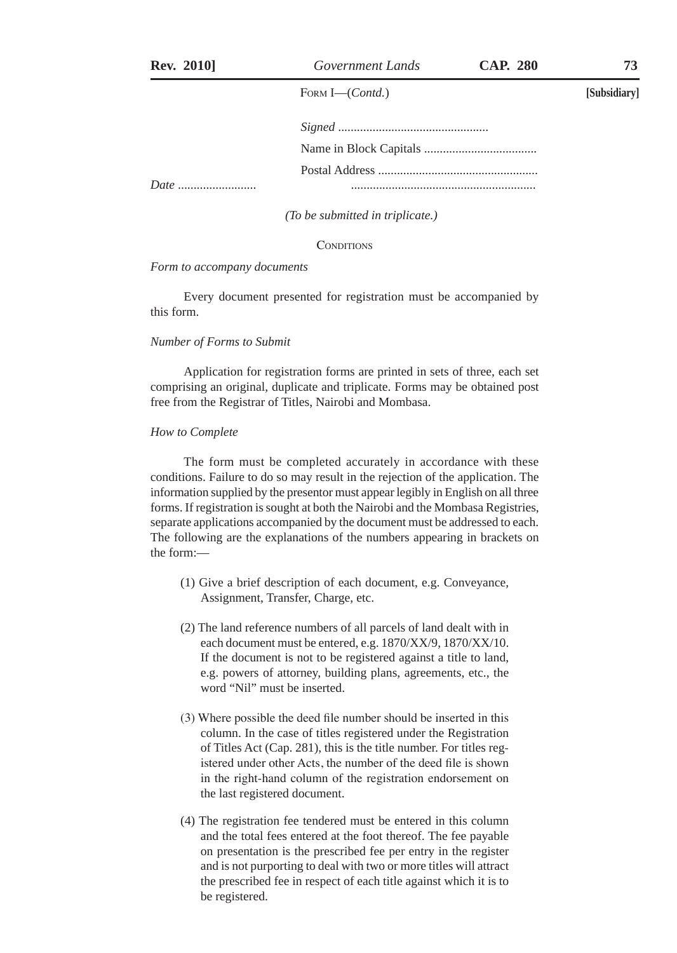FORM I-(Contd.)

| Date |  |
|------|--|

*(To be submitted in triplicate.)*

CONDITIONS

*Form to accompany documents*

Every document presented for registration must be accompanied by this form.

#### *Number of Forms to Submit*

Application for registration forms are printed in sets of three, each set comprising an original, duplicate and triplicate. Forms may be obtained post free from the Registrar of Titles, Nairobi and Mombasa.

#### *How to Complete*

The form must be completed accurately in accordance with these conditions. Failure to do so may result in the rejection of the application. The information supplied by the presentor must appear legibly in English on all three forms. If registration is sought at both the Nairobi and the Mombasa Registries, separate applications accompanied by the document must be addressed to each. The following are the explanations of the numbers appearing in brackets on the form:—

- (1) Give a brief description of each document, e.g. Conveyance, Assignment, Transfer, Charge, etc.
- (2) The land reference numbers of all parcels of land dealt with in each document must be entered, e.g. 1870/XX/9, 1870/XX/10. If the document is not to be registered against a title to land, e.g. powers of attorney, building plans, agreements, etc., the word "Nil" must be inserted.
- (3) Where possible the deed file number should be inserted in this column. In the case of titles registered under the Registration of Titles Act (Cap. 281), this is the title number. For titles registered under other Acts, the number of the deed file is shown in the right-hand column of the registration endorsement on the last registered document.
- (4) The registration fee tendered must be entered in this column and the total fees entered at the foot thereof. The fee payable on presentation is the prescribed fee per entry in the register and is not purporting to deal with two or more titles will attract the prescribed fee in respect of each title against which it is to be registered.

**[Subsidiary]**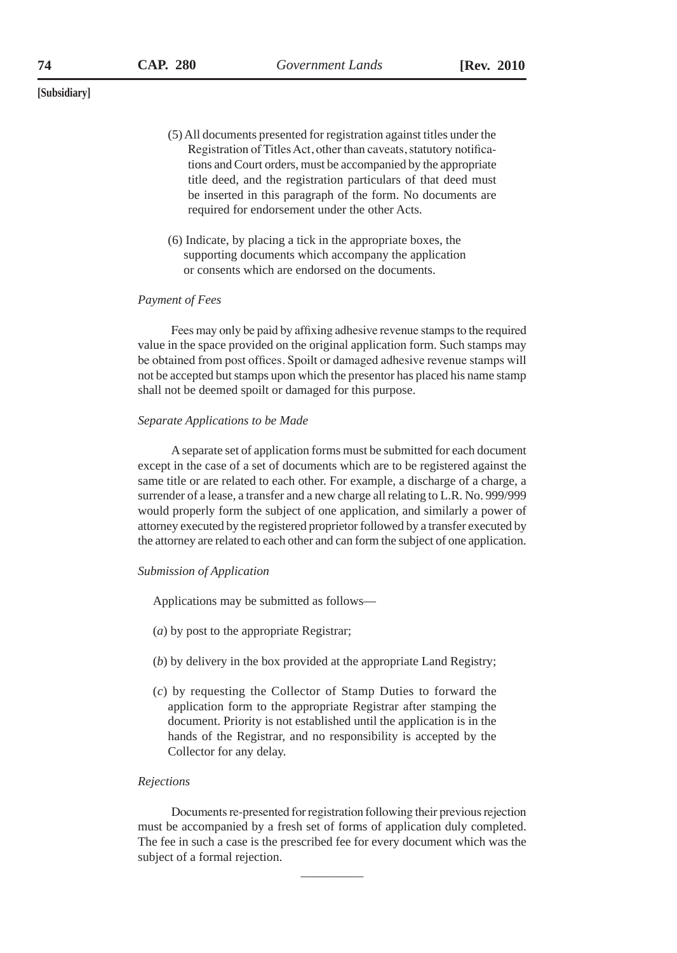- (5) All documents presented for registration against titles under the Registration of Titles Act, other than caveats, statutory notifications and Court orders, must be accompanied by the appropriate title deed, and the registration particulars of that deed must be inserted in this paragraph of the form. No documents are required for endorsement under the other Acts.
- (6) Indicate, by placing a tick in the appropriate boxes, the supporting documents which accompany the application or consents which are endorsed on the documents.

### *Payment of Fees*

Fees may only be paid by affixing adhesive revenue stamps to the required value in the space provided on the original application form. Such stamps may be obtained from post offices. Spoilt or damaged adhesive revenue stamps will not be accepted but stamps upon which the presentor has placed his name stamp shall not be deemed spoilt or damaged for this purpose.

## *Separate Applications to be Made*

A separate set of application forms must be submitted for each document except in the case of a set of documents which are to be registered against the same title or are related to each other. For example, a discharge of a charge, a surrender of a lease, a transfer and a new charge all relating to L.R. No. 999/999 would properly form the subject of one application, and similarly a power of attorney executed by the registered proprietor followed by a transfer executed by the attorney are related to each other and can form the subject of one application.

#### *Submission of Application*

Applications may be submitted as follows—

- (*a*) by post to the appropriate Registrar;
- (*b*) by delivery in the box provided at the appropriate Land Registry;
- (*c*) by requesting the Collector of Stamp Duties to forward the application form to the appropriate Registrar after stamping the document. Priority is not established until the application is in the hands of the Registrar, and no responsibility is accepted by the Collector for any delay.

#### *Rejections*

Documents re-presented for registration following their previous rejection must be accompanied by a fresh set of forms of application duly completed. The fee in such a case is the prescribed fee for every document which was the subject of a formal rejection.

 $\overline{\phantom{a}}$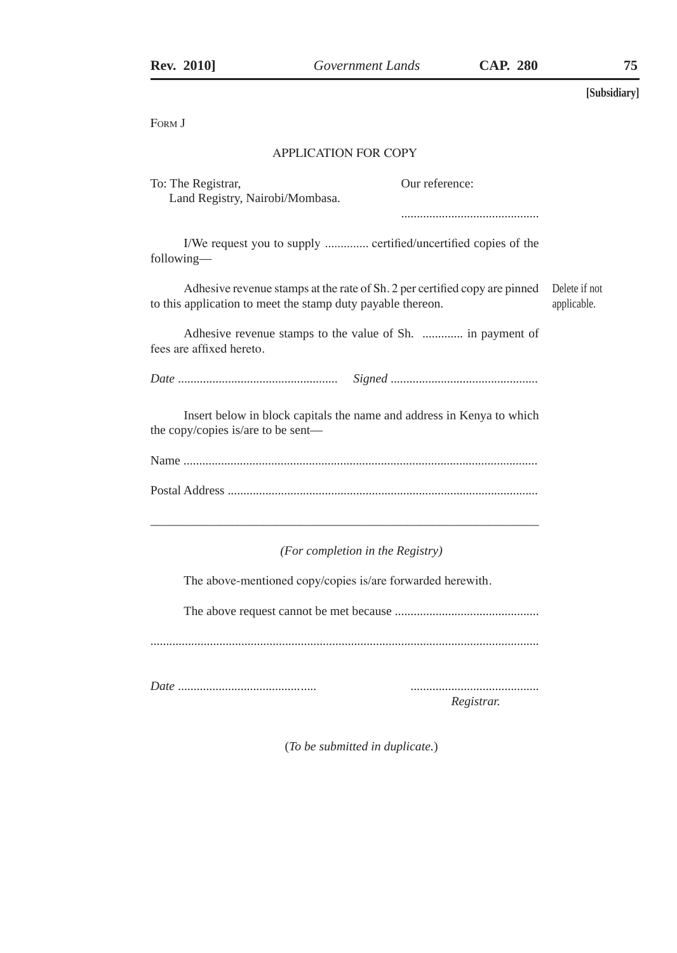FORM **J** 

## APPLICATION FOR COPY

| To: The Registrar,<br>Land Registry, Nairobi/Mombasa.                                                                                     | Our reference: |                              |
|-------------------------------------------------------------------------------------------------------------------------------------------|----------------|------------------------------|
|                                                                                                                                           |                |                              |
| I/We request you to supply  certified/uncertified copies of the<br>following—                                                             |                |                              |
| Adhesive revenue stamps at the rate of Sh. 2 per certified copy are pinned<br>to this application to meet the stamp duty payable thereon. |                | Delete if not<br>applicable. |
| Adhesive revenue stamps to the value of Sh.  in payment of<br>fees are affixed hereto.                                                    |                |                              |
|                                                                                                                                           |                |                              |
| Insert below in block capitals the name and address in Kenya to which<br>the copy/copies is/are to be sent—                               |                |                              |

Name ................................................................................................................. Postal Address ...................................................................................................

\_\_\_\_\_\_\_\_\_\_\_\_\_\_\_\_\_\_\_\_\_\_\_\_\_\_\_\_\_\_\_\_\_\_\_\_\_\_\_\_\_\_\_\_\_\_\_\_\_\_\_\_\_\_\_\_\_\_\_\_\_\_

*(For completion in the Registry)*

The above-mentioned copy/copies is/are forwarded herewith.

The above request cannot be met because ..............................................

............................................................................................................................

*Date* ............................................ .........................................

*Registrar.*

(*To be submitted in duplicate.*)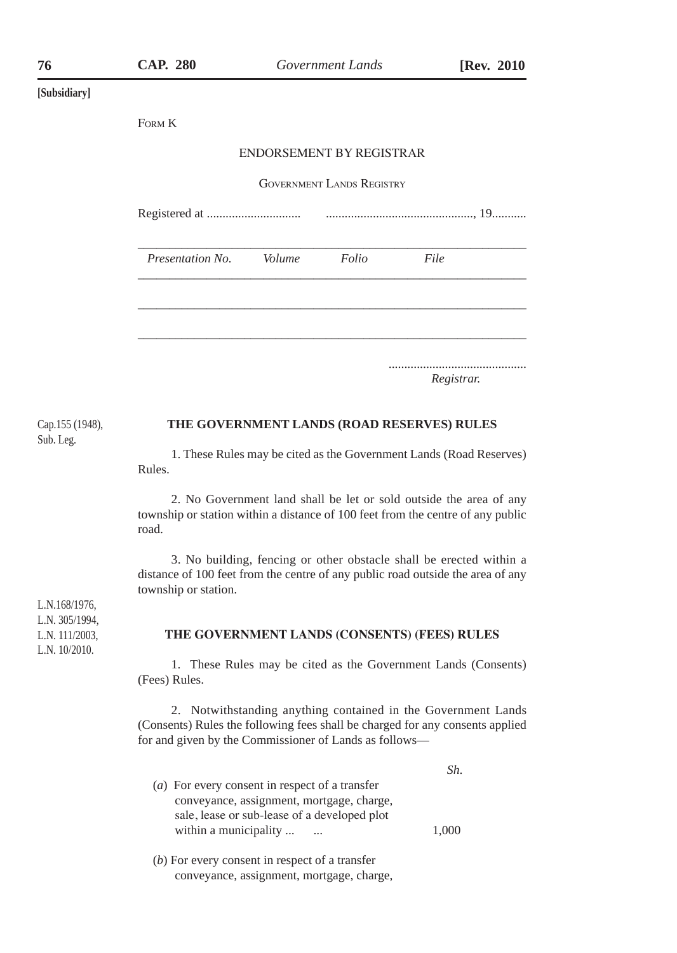|                                                   | FORM K                                                                                                                                                                         |
|---------------------------------------------------|--------------------------------------------------------------------------------------------------------------------------------------------------------------------------------|
|                                                   | ENDORSEMENT BY REGISTRAR                                                                                                                                                       |
|                                                   | <b>GOVERNMENT LANDS REGISTRY</b>                                                                                                                                               |
|                                                   |                                                                                                                                                                                |
|                                                   | Presentation No.<br>Volume<br>Folio<br>File                                                                                                                                    |
|                                                   |                                                                                                                                                                                |
|                                                   | Registrar.                                                                                                                                                                     |
| Cap.155 (1948),                                   | THE GOVERNMENT LANDS (ROAD RESERVES) RULES                                                                                                                                     |
| Sub. Leg.                                         | 1. These Rules may be cited as the Government Lands (Road Reserves)<br>Rules.                                                                                                  |
|                                                   | 2. No Government land shall be let or sold outside the area of any<br>township or station within a distance of 100 feet from the centre of any public<br>road.                 |
| L.N.168/1976,                                     | 3. No building, fencing or other obstacle shall be erected within a<br>distance of 100 feet from the centre of any public road outside the area of any<br>township or station. |
| L.N. 305/1994,<br>L.N. 111/2003,<br>L.N. 10/2010. | THE GOVERNMENT LANDS (CONSENTS) (FEES) RULES                                                                                                                                   |
|                                                   | 1. These Rules may be cited as the Government Lands (Consents)<br>(Fees) Rules.                                                                                                |
|                                                   | 2. Notwithstanding anything contained in the Government Lands                                                                                                                  |

(Consents) Rules the following fees shall be charged for any consents applied for and given by the Commissioner of Lands as follows—

|                                                | Sh    |  |
|------------------------------------------------|-------|--|
| (a) For every consent in respect of a transfer |       |  |
| conveyance, assignment, mortgage, charge,      |       |  |
| sale, lease or sub-lease of a developed plot   |       |  |
| within a municipality<br>                      | 1.000 |  |
|                                                |       |  |

(*b*) For every consent in respect of a transfer conveyance, assignment, mortgage, charge,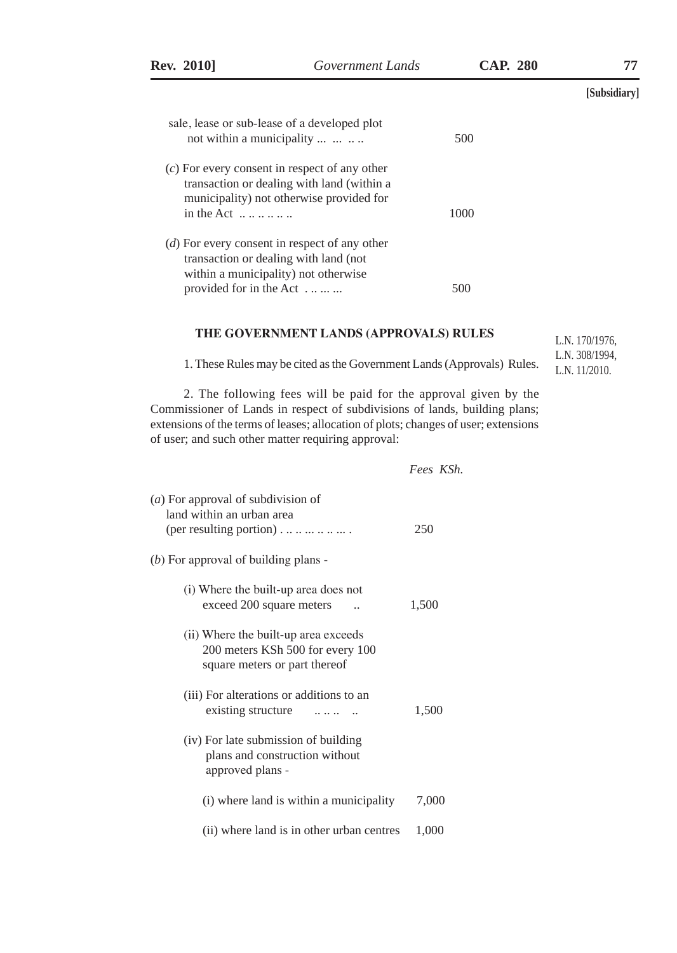| <b>Rev. 2010</b>                                | Government Lands                                                                       | <b>CAP. 280</b> | 77           |
|-------------------------------------------------|----------------------------------------------------------------------------------------|-----------------|--------------|
|                                                 |                                                                                        |                 | [Subsidiary] |
| sale, lease or sub-lease of a developed plot    |                                                                                        |                 |              |
| not within a municipality                       |                                                                                        | 500             |              |
| $(c)$ For every consent in respect of any other | transaction or dealing with land (within a<br>municipality) not otherwise provided for |                 |              |
| in the Act $\dots \dots \dots$                  |                                                                                        | 1000            |              |
| $(d)$ For every consent in respect of any other |                                                                                        |                 |              |
| transaction or dealing with land (not           |                                                                                        |                 |              |
| within a municipality) not otherwise            |                                                                                        |                 |              |
| provided for in the Act                         |                                                                                        | 500             |              |

## **THE GOVERNMENT LANDS (APPROVALS) RULES**

1. These Rules may be cited as the Government Lands (Approvals) Rules.

2. The following fees will be paid for the approval given by the Commissioner of Lands in respect of subdivisions of lands, building plans; extensions of the terms of leases; allocation of plots; changes of user; extensions of user; and such other matter requiring approval:

 *Fees KSh.*

L.N. 170/1976, L.N. 308/1994, L.N. 11/2010.

| (a) For approval of subdivision of<br>land within an urban area<br>(per resulting portion) $\dots \dots \dots \dots$ | 250   |
|----------------------------------------------------------------------------------------------------------------------|-------|
| $(b)$ For approval of building plans -                                                                               |       |
| (i) Where the built-up area does not<br>exceed 200 square meters                                                     | 1,500 |
| (ii) Where the built-up area exceeds<br>200 meters KSh 500 for every 100<br>square meters or part thereof            |       |
| (iii) For alterations or additions to an<br>existing structure                                                       | 1,500 |
| (iv) For late submission of building<br>plans and construction without<br>approved plans -                           |       |
| (i) where land is within a municipality                                                                              | 7,000 |
| (ii) where land is in other urban centres                                                                            | 1,000 |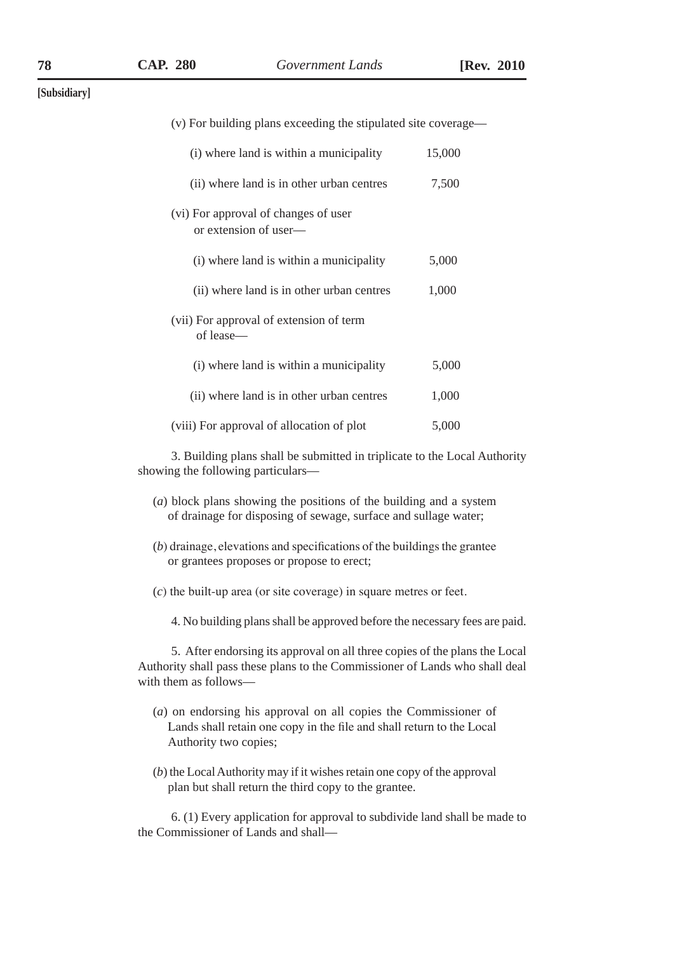| (v) For building plans exceeding the stipulated site coverage— |        |
|----------------------------------------------------------------|--------|
| (i) where land is within a municipality                        | 15,000 |
| (ii) where land is in other urban centres                      | 7,500  |
| (vi) For approval of changes of user<br>or extension of user-  |        |
| (i) where land is within a municipality                        | 5,000  |
| (ii) where land is in other urban centres                      | 1,000  |
| (vii) For approval of extension of term<br>of lease—           |        |
| (i) where land is within a municipality                        | 5,000  |
| (ii) where land is in other urban centres                      | 1,000  |
| (viii) For approval of allocation of plot                      | 5,000  |
|                                                                |        |

3. Building plans shall be submitted in triplicate to the Local Authority showing the following particulars—

- (*a*) block plans showing the positions of the building and a system of drainage for disposing of sewage, surface and sullage water;
- (*b*) drainage, elevations and specifications of the buildings the grantee or grantees proposes or propose to erect;
- (*c*) the built-up area (or site coverage) in square metres or feet.

4. No building plans shall be approved before the necessary fees are paid.

5. After endorsing its approval on all three copies of the plans the Local Authority shall pass these plans to the Commissioner of Lands who shall deal with them as follows—

- (*a*) on endorsing his approval on all copies the Commissioner of Lands shall retain one copy in the file and shall return to the Local Authority two copies;
- (*b*) the Local Authority may if it wishes retain one copy of the approval plan but shall return the third copy to the grantee.

6. (1) Every application for approval to subdivide land shall be made to the Commissioner of Lands and shall—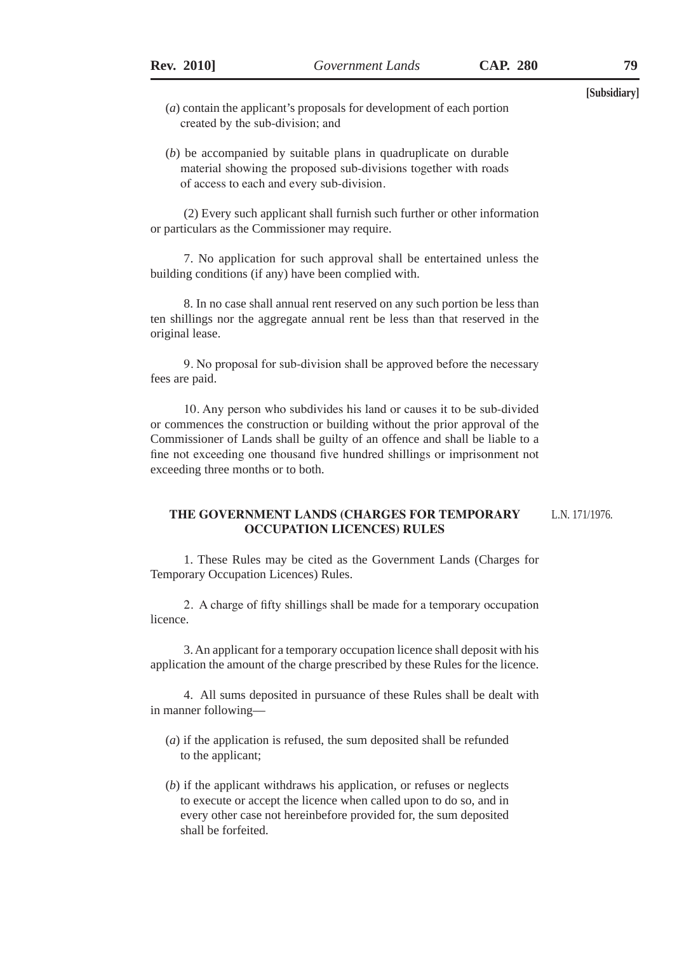- (*a*) contain the applicant's proposals for development of each portion created by the sub-division; and
- (*b*) be accompanied by suitable plans in quadruplicate on durable material showing the proposed sub-divisions together with roads of access to each and every sub-division.

(2) Every such applicant shall furnish such further or other information or particulars as the Commissioner may require.

7. No application for such approval shall be entertained unless the building conditions (if any) have been complied with.

8. In no case shall annual rent reserved on any such portion be less than ten shillings nor the aggregate annual rent be less than that reserved in the original lease.

9. No proposal for sub-division shall be approved before the necessary fees are paid.

10. Any person who subdivides his land or causes it to be sub-divided or commences the construction or building without the prior approval of the Commissioner of Lands shall be guilty of an offence and shall be liable to a fine not exceeding one thousand five hundred shillings or imprisonment not exceeding three months or to both.

#### **THE GOVERNMENT LANDS (CHARGES FOR TEMPORARY OCCUPATION LICENCES) RULES** L.N. 171/1976.

1. These Rules may be cited as the Government Lands (Charges for Temporary Occupation Licences) Rules.

2. A charge of fifty shillings shall be made for a temporary occupation licence.

3. An applicant for a temporary occupation licence shall deposit with his application the amount of the charge prescribed by these Rules for the licence.

4. All sums deposited in pursuance of these Rules shall be dealt with in manner following—

- (*a*) if the application is refused, the sum deposited shall be refunded to the applicant;
- (*b*) if the applicant withdraws his application, or refuses or neglects to execute or accept the licence when called upon to do so, and in every other case not hereinbefore provided for, the sum deposited shall be forfeited.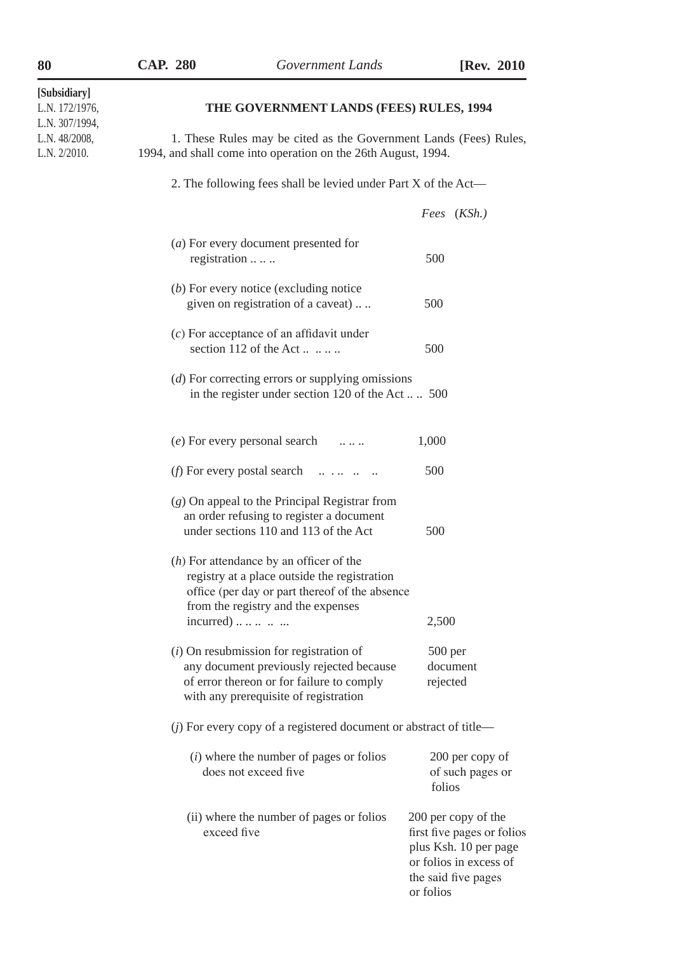| [Subsidiary]<br>L.N. 172/1976,<br>L.N. 307/1994, | THE GOVERNMENT LANDS (FEES) RULES, 1994                                                                                                                                           |                                                                                                                                          |  |  |  |
|--------------------------------------------------|-----------------------------------------------------------------------------------------------------------------------------------------------------------------------------------|------------------------------------------------------------------------------------------------------------------------------------------|--|--|--|
| L.N. 48/2008,<br>L.N. 2/2010.                    |                                                                                                                                                                                   | 1. These Rules may be cited as the Government Lands (Fees) Rules,<br>1994, and shall come into operation on the 26th August, 1994.       |  |  |  |
|                                                  | 2. The following fees shall be levied under Part X of the Act—                                                                                                                    |                                                                                                                                          |  |  |  |
|                                                  |                                                                                                                                                                                   | Fees (KSh.)                                                                                                                              |  |  |  |
|                                                  | (a) For every document presented for<br>registration                                                                                                                              | 500                                                                                                                                      |  |  |  |
|                                                  | (b) For every notice (excluding notice<br>given on registration of a caveat)                                                                                                      | 500                                                                                                                                      |  |  |  |
|                                                  | $(c)$ For acceptance of an affidavit under<br>section 112 of the Act $\dots \dots$                                                                                                | 500                                                                                                                                      |  |  |  |
|                                                  | (d) For correcting errors or supplying omissions<br>in the register under section 120 of the Act  500                                                                             |                                                                                                                                          |  |  |  |
|                                                  | (e) For every personal search<br>$\sim$ $\sim$ $\sim$ $\sim$                                                                                                                      | 1,000                                                                                                                                    |  |  |  |
|                                                  | ( <i>f</i> ) For every postal search<br>للمناطق المتحدث المتار                                                                                                                    | 500                                                                                                                                      |  |  |  |
|                                                  | $(g)$ On appeal to the Principal Registrar from<br>an order refusing to register a document<br>under sections 110 and 113 of the Act                                              | 500                                                                                                                                      |  |  |  |
|                                                  | $(h)$ For attendance by an officer of the<br>registry at a place outside the registration<br>office (per day or part thereof of the absence<br>from the registry and the expenses |                                                                                                                                          |  |  |  |
|                                                  | $incurred)$                                                                                                                                                                       | 2,500                                                                                                                                    |  |  |  |
|                                                  | $(i)$ On resubmission for registration of<br>any document previously rejected because<br>of error thereon or for failure to comply<br>with any prerequisite of registration       | $500$ per<br>document<br>rejected                                                                                                        |  |  |  |
|                                                  | $(j)$ For every copy of a registered document or abstract of title—                                                                                                               |                                                                                                                                          |  |  |  |
|                                                  | $(i)$ where the number of pages or folios<br>does not exceed five                                                                                                                 | 200 per copy of<br>of such pages or<br>folios                                                                                            |  |  |  |
|                                                  | (ii) where the number of pages or folios<br>exceed five                                                                                                                           | 200 per copy of the<br>first five pages or folios<br>plus Ksh. 10 per page<br>or folios in excess of<br>the said five pages<br>or folios |  |  |  |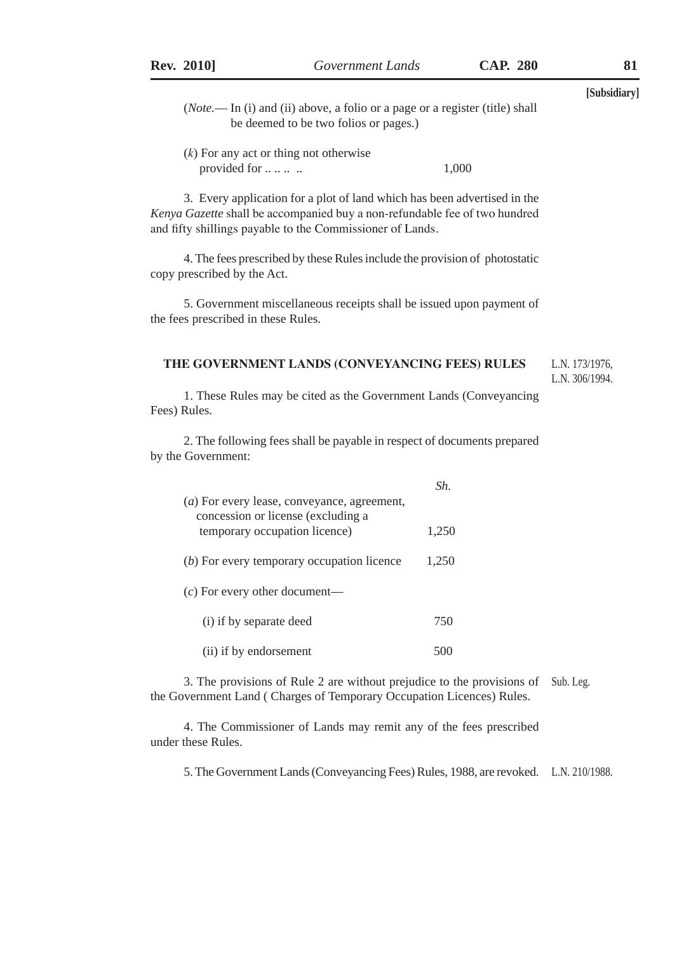(*k*) For any act or thing not otherwise provided for .. .. .. .. 1,000

3. Every application for a plot of land which has been advertised in the *Kenya Gazette* shall be accompanied buy a non-refundable fee of two hundred and fifty shillings payable to the Commissioner of Lands.

4. The fees prescribed by these Rules include the provision of photostatic copy prescribed by the Act.

5. Government miscellaneous receipts shall be issued upon payment of the fees prescribed in these Rules.

#### **THE GOVERNMENT LANDS (CONVEYANCING FEES) RULES** L.N. 173/1976,

L.N. 306/1994.

1. These Rules may be cited as the Government Lands (Conveyancing Fees) Rules.

2. The following fees shall be payable in respect of documents prepared by the Government:

|                                                                     | Sh    |
|---------------------------------------------------------------------|-------|
| (a) For every lease, conveyance, agreement,                         |       |
| concession or license (excluding a<br>temporary occupation licence) | 1,250 |
| (b) For every temporary occupation licence                          | 1,250 |
| $(c)$ For every other document—                                     |       |
| (i) if by separate deed                                             | 750   |
| (ii) if by endorsement                                              |       |

3. The provisions of Rule 2 are without prejudice to the provisions of Sub. Leg. the Government Land ( Charges of Temporary Occupation Licences) Rules.

4. The Commissioner of Lands may remit any of the fees prescribed under these Rules.

5. The Government Lands (Conveyancing Fees) Rules, 1988, are revoked. L.N. 210/1988.

<sup>(</sup>*Note.*— In (i) and (ii) above, a folio or a page or a register (title) shall be deemed to be two folios or pages.)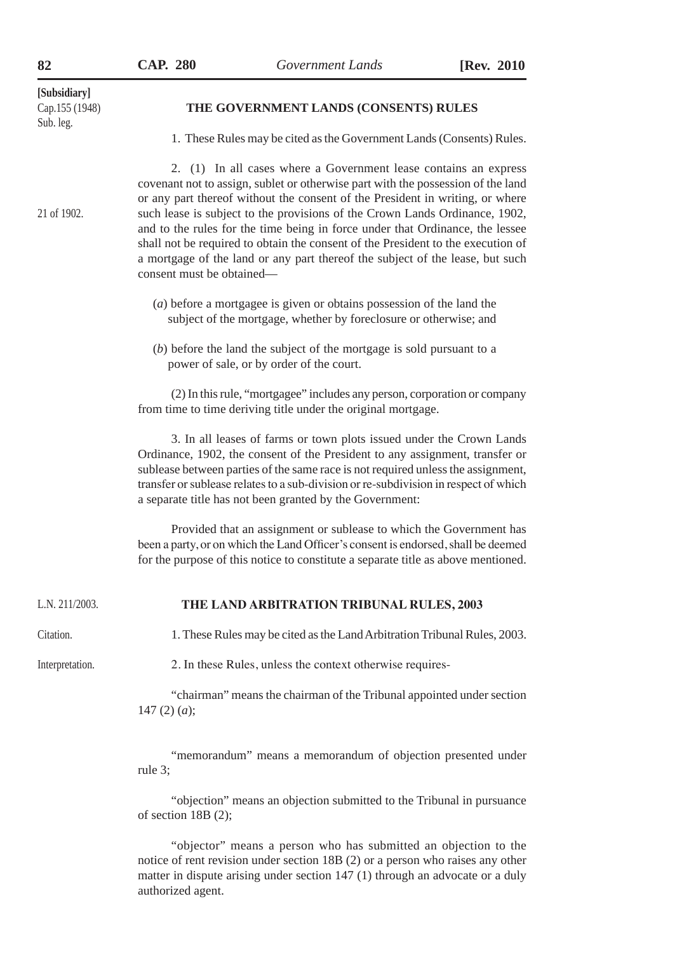| [Subsidiary]<br>Cap.155 (1948)<br>Sub. leg. | THE GOVERNMENT LANDS (CONSENTS) RULES                                                                                                                                                                                                                                                                                                                                                                                                                                                                                                                                                                   |
|---------------------------------------------|---------------------------------------------------------------------------------------------------------------------------------------------------------------------------------------------------------------------------------------------------------------------------------------------------------------------------------------------------------------------------------------------------------------------------------------------------------------------------------------------------------------------------------------------------------------------------------------------------------|
|                                             | 1. These Rules may be cited as the Government Lands (Consents) Rules.                                                                                                                                                                                                                                                                                                                                                                                                                                                                                                                                   |
| 21 of 1902.                                 | 2. (1) In all cases where a Government lease contains an express<br>covenant not to assign, sublet or otherwise part with the possession of the land<br>or any part thereof without the consent of the President in writing, or where<br>such lease is subject to the provisions of the Crown Lands Ordinance, 1902,<br>and to the rules for the time being in force under that Ordinance, the lessee<br>shall not be required to obtain the consent of the President to the execution of<br>a mortgage of the land or any part thereof the subject of the lease, but such<br>consent must be obtained— |
|                                             | $(a)$ before a mortgagee is given or obtains possession of the land the<br>subject of the mortgage, whether by foreclosure or otherwise; and                                                                                                                                                                                                                                                                                                                                                                                                                                                            |
|                                             | $(b)$ before the land the subject of the mortgage is sold pursuant to a<br>power of sale, or by order of the court.                                                                                                                                                                                                                                                                                                                                                                                                                                                                                     |
|                                             | (2) In this rule, "mortgagee" includes any person, corporation or company<br>from time to time deriving title under the original mortgage.                                                                                                                                                                                                                                                                                                                                                                                                                                                              |
|                                             | 3. In all leases of farms or town plots issued under the Crown Lands<br>Ordinance, 1902, the consent of the President to any assignment, transfer or<br>sublease between parties of the same race is not required unless the assignment,<br>transfer or sublease relates to a sub-division or re-subdivision in respect of which<br>a separate title has not been granted by the Government:                                                                                                                                                                                                            |
|                                             | Provided that an assignment or sublease to which the Government has<br>been a party, or on which the Land Officer's consent is endorsed, shall be deemed<br>for the purpose of this notice to constitute a separate title as above mentioned.                                                                                                                                                                                                                                                                                                                                                           |
| L.N. 211/2003.                              | THE LAND ARBITRATION TRIBUNAL RULES, 2003                                                                                                                                                                                                                                                                                                                                                                                                                                                                                                                                                               |
| Citation.                                   | 1. These Rules may be cited as the Land Arbitration Tribunal Rules, 2003.                                                                                                                                                                                                                                                                                                                                                                                                                                                                                                                               |
| Interpretation.                             | 2. In these Rules, unless the context otherwise requires-                                                                                                                                                                                                                                                                                                                                                                                                                                                                                                                                               |
|                                             | "chairman" means the chairman of the Tribunal appointed under section<br>147 $(2)$ $(a);$                                                                                                                                                                                                                                                                                                                                                                                                                                                                                                               |
|                                             | "memorandum" means a memorandum of objection presented under                                                                                                                                                                                                                                                                                                                                                                                                                                                                                                                                            |

rule 3;

"objection" means an objection submitted to the Tribunal in pursuance of section 18B (2);

"objector" means a person who has submitted an objection to the notice of rent revision under section 18B (2) or a person who raises any other matter in dispute arising under section 147 (1) through an advocate or a duly authorized agent.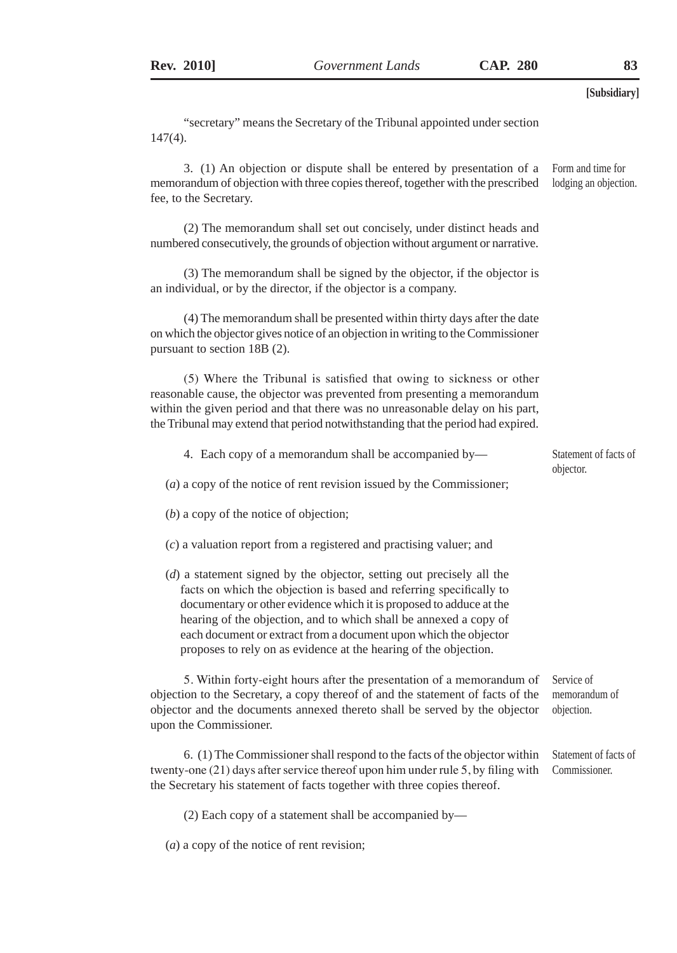"secretary" means the Secretary of the Tribunal appointed under section 147(4).

3. (1) An objection or dispute shall be entered by presentation of a memorandum of objection with three copies thereof, together with the prescribed fee, to the Secretary. Form and time for lodging an objection.

(2) The memorandum shall set out concisely, under distinct heads and numbered consecutively, the grounds of objection without argument or narrative.

(3) The memorandum shall be signed by the objector, if the objector is an individual, or by the director, if the objector is a company.

(4) The memorandum shall be presented within thirty days after the date on which the objector gives notice of an objection in writing to the Commissioner pursuant to section 18B (2).

(5) Where the Tribunal is satisfied that owing to sickness or other reasonable cause, the objector was prevented from presenting a memorandum within the given period and that there was no unreasonable delay on his part, the Tribunal may extend that period notwithstanding that the period had expired.

| 4. Each copy of a memorandum shall be accompanied by— | Statement of facts of |
|-------------------------------------------------------|-----------------------|
|                                                       | objector.             |

(*a*) a copy of the notice of rent revision issued by the Commissioner;

- (*b*) a copy of the notice of objection;
- (*c*) a valuation report from a registered and practising valuer; and
- (*d*) a statement signed by the objector, setting out precisely all the facts on which the objection is based and referring specifically to documentary or other evidence which it is proposed to adduce at the hearing of the objection, and to which shall be annexed a copy of each document or extract from a document upon which the objector proposes to rely on as evidence at the hearing of the objection.

5. Within forty-eight hours after the presentation of a memorandum of objection to the Secretary, a copy thereof of and the statement of facts of the objector and the documents annexed thereto shall be served by the objector upon the Commissioner. Service of memorandum of objection.

6. (1) The Commissioner shall respond to the facts of the objector within twenty-one (21) days after service thereof upon him under rule 5, by filing with the Secretary his statement of facts together with three copies thereof. Statement of facts of Commissioner.

(2) Each copy of a statement shall be accompanied by—

(*a*) a copy of the notice of rent revision;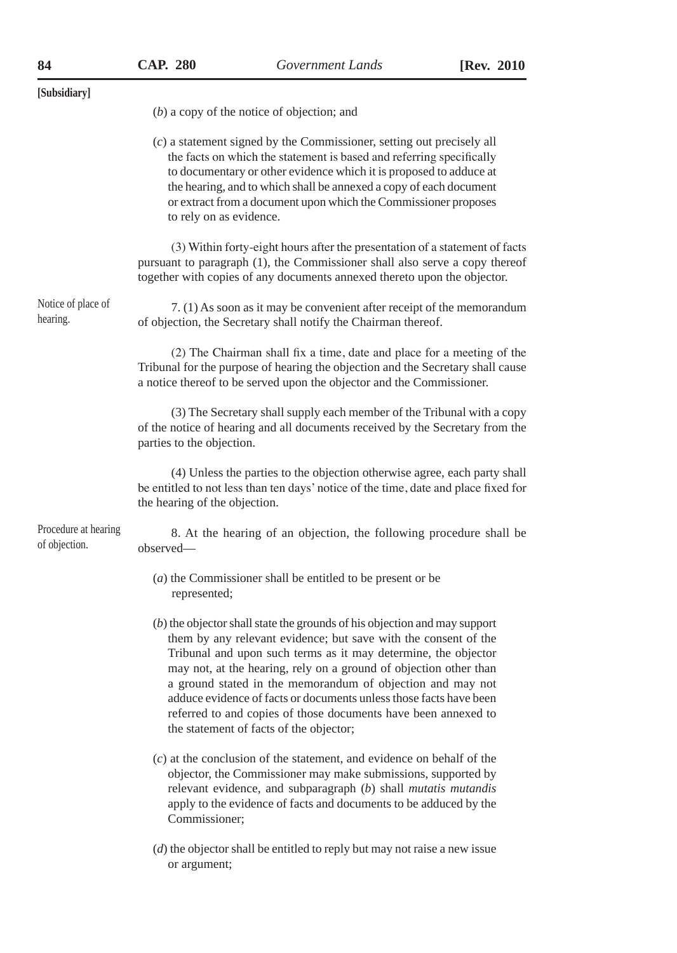| [Subsidiary]                          |                                                                                                                                                                                                                                                                                                                                                                                                                                                                                                                                        |
|---------------------------------------|----------------------------------------------------------------------------------------------------------------------------------------------------------------------------------------------------------------------------------------------------------------------------------------------------------------------------------------------------------------------------------------------------------------------------------------------------------------------------------------------------------------------------------------|
|                                       | $(b)$ a copy of the notice of objection; and                                                                                                                                                                                                                                                                                                                                                                                                                                                                                           |
|                                       | $(c)$ a statement signed by the Commissioner, setting out precisely all<br>the facts on which the statement is based and referring specifically<br>to documentary or other evidence which it is proposed to adduce at<br>the hearing, and to which shall be annexed a copy of each document<br>or extract from a document upon which the Commissioner proposes<br>to rely on as evidence.                                                                                                                                              |
|                                       | (3) Within forty-eight hours after the presentation of a statement of facts<br>pursuant to paragraph (1), the Commissioner shall also serve a copy thereof<br>together with copies of any documents annexed thereto upon the objector.                                                                                                                                                                                                                                                                                                 |
| Notice of place of<br>hearing.        | 7. (1) As soon as it may be convenient after receipt of the memorandum<br>of objection, the Secretary shall notify the Chairman thereof.                                                                                                                                                                                                                                                                                                                                                                                               |
|                                       | (2) The Chairman shall fix a time, date and place for a meeting of the<br>Tribunal for the purpose of hearing the objection and the Secretary shall cause<br>a notice thereof to be served upon the objector and the Commissioner.                                                                                                                                                                                                                                                                                                     |
|                                       | (3) The Secretary shall supply each member of the Tribunal with a copy<br>of the notice of hearing and all documents received by the Secretary from the<br>parties to the objection.                                                                                                                                                                                                                                                                                                                                                   |
|                                       | (4) Unless the parties to the objection otherwise agree, each party shall<br>be entitled to not less than ten days' notice of the time, date and place fixed for<br>the hearing of the objection.                                                                                                                                                                                                                                                                                                                                      |
| Procedure at hearing<br>of objection. | 8. At the hearing of an objection, the following procedure shall be<br>observed-                                                                                                                                                                                                                                                                                                                                                                                                                                                       |
|                                       | (a) the Commissioner shall be entitled to be present or be<br>represented;                                                                                                                                                                                                                                                                                                                                                                                                                                                             |
|                                       | $(b)$ the objector shall state the grounds of his objection and may support<br>them by any relevant evidence; but save with the consent of the<br>Tribunal and upon such terms as it may determine, the objector<br>may not, at the hearing, rely on a ground of objection other than<br>a ground stated in the memorandum of objection and may not<br>adduce evidence of facts or documents unless those facts have been<br>referred to and copies of those documents have been annexed to<br>the statement of facts of the objector; |
|                                       | $(c)$ at the conclusion of the statement, and evidence on behalf of the<br>objector, the Commissioner may make submissions, supported by<br>relevant evidence, and subparagraph (b) shall mutatis mutandis<br>apply to the evidence of facts and documents to be adduced by the<br>Commissioner;                                                                                                                                                                                                                                       |
|                                       | $(d)$ the objector shall be entitled to reply but may not raise a new issue<br>or argument;                                                                                                                                                                                                                                                                                                                                                                                                                                            |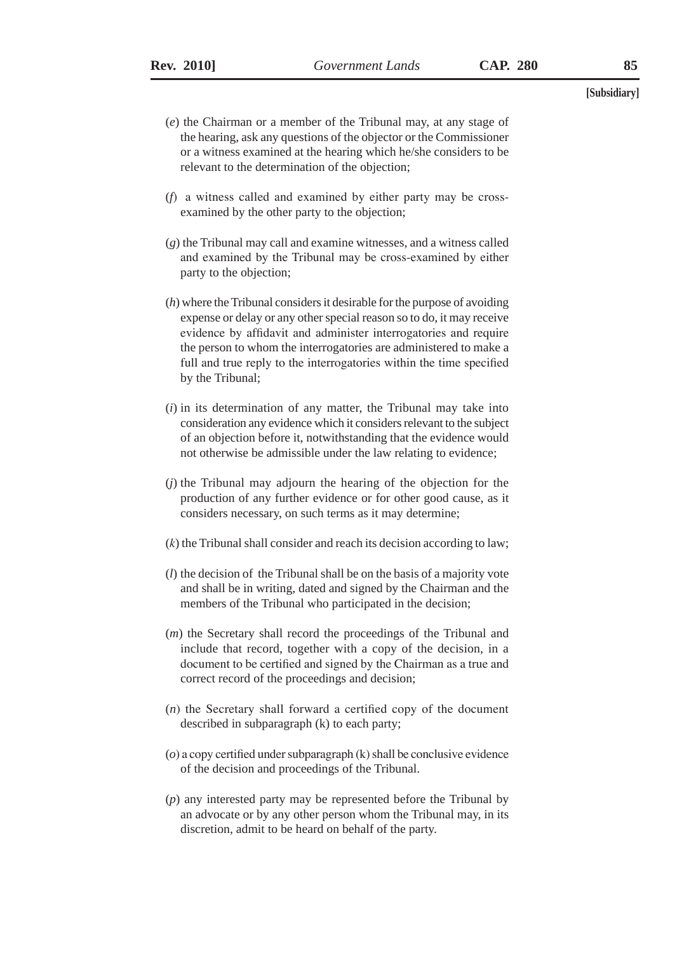- (*e*) the Chairman or a member of the Tribunal may, at any stage of the hearing, ask any questions of the objector or the Commissioner or a witness examined at the hearing which he/she considers to be relevant to the determination of the objection;
- (*f*) a witness called and examined by either party may be crossexamined by the other party to the objection;
- (*g*) the Tribunal may call and examine witnesses, and a witness called and examined by the Tribunal may be cross-examined by either party to the objection;
- (*h*) where the Tribunal considers it desirable for the purpose of avoiding expense or delay or any other special reason so to do, it may receive evidence by affidavit and administer interrogatories and require the person to whom the interrogatories are administered to make a full and true reply to the interrogatories within the time specified by the Tribunal;
- (*i*) in its determination of any matter, the Tribunal may take into consideration any evidence which it considers relevant to the subject of an objection before it, notwithstanding that the evidence would not otherwise be admissible under the law relating to evidence;
- (*j*) the Tribunal may adjourn the hearing of the objection for the production of any further evidence or for other good cause, as it considers necessary, on such terms as it may determine;
- (*k*) the Tribunal shall consider and reach its decision according to law;
- (*l*) the decision of the Tribunal shall be on the basis of a majority vote and shall be in writing, dated and signed by the Chairman and the members of the Tribunal who participated in the decision;
- (*m*) the Secretary shall record the proceedings of the Tribunal and include that record, together with a copy of the decision, in a document to be certified and signed by the Chairman as a true and correct record of the proceedings and decision;
- (*n*) the Secretary shall forward a certified copy of the document described in subparagraph (k) to each party;
- (*o*) a copy certified under subparagraph (k) shall be conclusive evidence of the decision and proceedings of the Tribunal.
- (*p*) any interested party may be represented before the Tribunal by an advocate or by any other person whom the Tribunal may, in its discretion, admit to be heard on behalf of the party.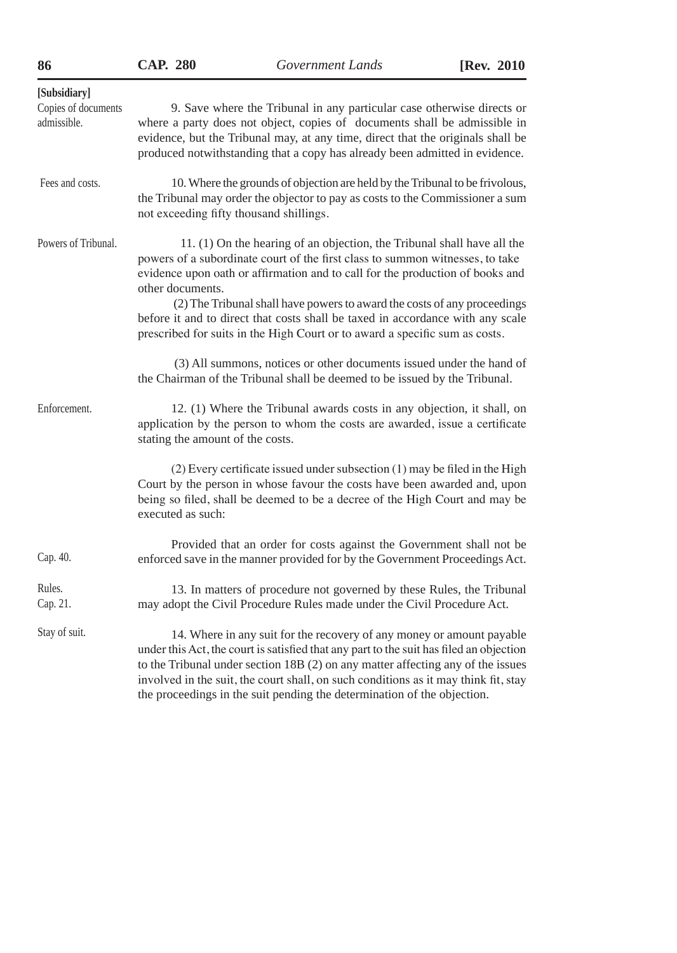| 280 |  |
|-----|--|
|     |  |

| [Subsidiary]                       |                                                                                                                                                                                                                                                                                                                                                                                                                                                                                                            |
|------------------------------------|------------------------------------------------------------------------------------------------------------------------------------------------------------------------------------------------------------------------------------------------------------------------------------------------------------------------------------------------------------------------------------------------------------------------------------------------------------------------------------------------------------|
| Copies of documents<br>admissible. | 9. Save where the Tribunal in any particular case otherwise directs or<br>where a party does not object, copies of documents shall be admissible in<br>evidence, but the Tribunal may, at any time, direct that the originals shall be<br>produced notwithstanding that a copy has already been admitted in evidence.                                                                                                                                                                                      |
| Fees and costs.                    | 10. Where the grounds of objection are held by the Tribunal to be frivolous,<br>the Tribunal may order the objector to pay as costs to the Commissioner a sum<br>not exceeding fifty thousand shillings.                                                                                                                                                                                                                                                                                                   |
| Powers of Tribunal.                | 11. (1) On the hearing of an objection, the Tribunal shall have all the<br>powers of a subordinate court of the first class to summon witnesses, to take<br>evidence upon oath or affirmation and to call for the production of books and<br>other documents.<br>(2) The Tribunal shall have powers to award the costs of any proceedings<br>before it and to direct that costs shall be taxed in accordance with any scale<br>prescribed for suits in the High Court or to award a specific sum as costs. |
|                                    | (3) All summons, notices or other documents issued under the hand of<br>the Chairman of the Tribunal shall be deemed to be issued by the Tribunal.                                                                                                                                                                                                                                                                                                                                                         |
| Enforcement.                       | 12. (1) Where the Tribunal awards costs in any objection, it shall, on<br>application by the person to whom the costs are awarded, issue a certificate<br>stating the amount of the costs.                                                                                                                                                                                                                                                                                                                 |
|                                    | $(2)$ Every certificate issued under subsection $(1)$ may be filed in the High<br>Court by the person in whose favour the costs have been awarded and, upon<br>being so filed, shall be deemed to be a decree of the High Court and may be<br>executed as such:                                                                                                                                                                                                                                            |
| Cap. 40.                           | Provided that an order for costs against the Government shall not be<br>enforced save in the manner provided for by the Government Proceedings Act.                                                                                                                                                                                                                                                                                                                                                        |
| Rules.<br>Cap. 21.                 | 13. In matters of procedure not governed by these Rules, the Tribunal<br>may adopt the Civil Procedure Rules made under the Civil Procedure Act.                                                                                                                                                                                                                                                                                                                                                           |
| Stay of suit.                      | 14. Where in any suit for the recovery of any money or amount payable<br>under this Act, the court is satisfied that any part to the suit has filed an objection<br>to the Tribunal under section 18B (2) on any matter affecting any of the issues<br>involved in the suit, the court shall, on such conditions as it may think fit, stay<br>the proceedings in the suit pending the determination of the objection.                                                                                      |